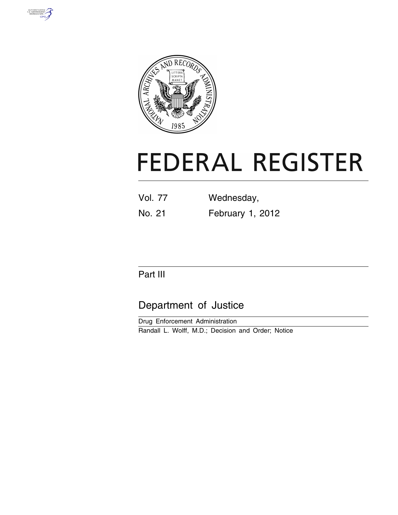



# **FEDERAL REGISTER**

| <b>Vol. 77</b> | Wednesday,       |
|----------------|------------------|
| No. 21         | February 1, 2012 |

# Part III

# Department of Justice

Drug Enforcement Administration Randall L. Wolff, M.D.; Decision and Order; Notice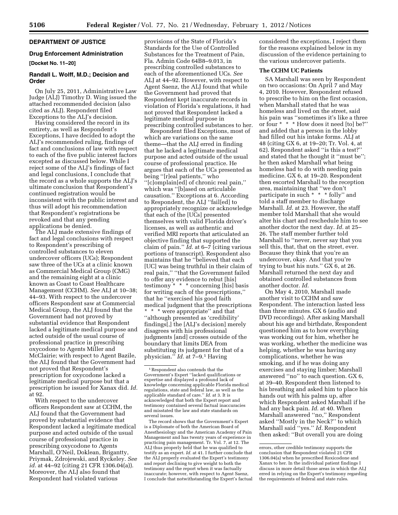# **DEPARTMENT OF JUSTICE**

#### **Drug Enforcement Administration**

# **[Docket No. 11–20]**

# **Randall L. Wolff, M.D.; Decision and Order**

On July 25, 2011, Administrative Law Judge (ALJ) Timothy D. Wing issued the attached recommended decision (also cited as ALJ). Respondent filed Exceptions to the ALJ's decision.

Having considered the record in its entirety, as well as Respondent's Exceptions, I have decided to adopt the ALJ's recommended ruling, findings of fact and conclusions of law with respect to each of the five public interest factors excepted as discussed below. While I reject some of the ALJ's findings of fact and legal conclusions, I conclude that the record as a whole supports the ALJ's ultimate conclusion that Respondent's continued registration would be inconsistent with the public interest and thus will adopt his recommendation that Respondent's registrations be revoked and that any pending applications be denied.

The ALJ made extensive findings of fact and legal conclusions with respect to Respondent's prescribing of controlled substances to eleven undercover officers (UCs); Respondent saw three of the UCs at a clinic known as Commercial Medical Group (CMG) and the remaining eight at a clinic known as Coast to Coast Healthcare Management (CCHM). *See* ALJ at 10–38; 44–93. With respect to the undercover officers Respondent saw at Commercial Medical Group, the ALJ found that the Government had not proved by substantial evidence that Respondent lacked a legitimate medical purpose and acted outside of the usual course of professional practice in prescribing oxycodone to Agents Miller and McClairie; with respect to Agent Bazile, the ALJ found that the Government had not proved that Respondent's prescription for oxycodone lacked a legitimate medical purpose but that a prescription he issued for Xanax did. *Id.*  at 92.

With respect to the undercover officers Respondent saw at CCHM, the ALJ found that the Government had proved by substantial evidence that Respondent lacked a legitimate medical purpose and acted outside of the usual course of professional practice in prescribing oxycodone to Agents Marshall, O'Neil, Doklean, Brigantty, Priymak, Zdrojewski, and Ryckeley. *See id.* at 44–92 (citing 21 CFR 1306.04(a)). Moreover, the ALJ also found that Respondent had violated various

provisions of the State of Florida's Standards for the Use of Controlled Substances for the Treatment of Pain, Fla. Admin Code 64B8–9.013, in prescribing controlled substances to each of the aforementioned UCs. *See*  ALJ at 44–92. However, with respect to Agent Saenz, the ALJ found that while the Government had proved that Respondent kept inaccurate records in violation of Florida's regulations, it had not proved that Respondent lacked a legitimate medical purpose in prescribing controlled substances to her.

Respondent filed Exceptions, most of which are variations on the same theme—that the ALJ erred in finding that he lacked a legitimate medical purpose and acted outside of the usual course of professional practice. He argues that each of the UCs presented as being ''[r]eal patients,'' who ''[c]omplain[ed] of chronic real pain,'' which was ''[b]ased on articulable causation.'' Exceptions at 6. According to Respondent, the ALJ ''fail[ed] to appropriately recognize or acknowledge that each of the [UCs] presented themselves with valid Florida driver's licenses, as well as authentic and verified MRI reports that articulated an objective finding that supported the claim of pain.'' *Id.* at 6–7 (citing various portions of transcript). Respondent also maintains that he ''believed that each [UC] was being truthful in their claim of real pain,'' ''that the Government failed to offer any evidence to rebut [his] testimony \* \* \* concerning [his] basis for writing each of the prescriptions,'' that he ''exercised his good faith medical judgment that the prescriptions \* \* \* were appropriate'' and that ''although presented as 'credibility' findings[,] the [ALJ's decision] merely disagrees with his professional judgments [and] crosses outside of the boundary that limits DEA from substituting its judgment for that of a physician.'' *Id.* at 7–9.1 Having

The record shows that the Government's Expert is a Diplomate of both the American Board of Anesthesiology and the American Academy of Pain Management and has twenty years of experience in practicing pain management. Tr. Vol. 7, at 12. The ALJ thus properly held that he was qualified to testify as an expert. *Id.* at 41. I further conclude that the ALJ properly evaluated the Expert's testimony and report declining to give weight to both the testimony and the report when it was factually inaccurate; however, with respect to Agent Saenz, I conclude that notwithstanding the Expert's factual considered the exceptions, I reject them for the reasons explained below in my discussion of the evidence pertaining to the various undercover patients.

# **The CCHM UC Patients**

SA Marshall was seen by Respondent on two occasions: On April 7 and May 4, 2010. However, Respondent refused to prescribe to him on the first occasion, when Marshall stated that he was homeless and lived on the street, said his pain was ''sometimes it's like a three or four \* \* \* How does it need [to] be?'' and added that a person in the lobby had filled out his intake forms. ALJ at 48 (citing GX 6, at 19–20; Tr. Vol. 4, at 62). Respondent asked ''is this a test?'' and stated that he thought it ''must be''; he then asked Marshall what being homeless had to do with needing pain medicine. GX 6, at 19–20. Respondent then escorted Marshall to the reception area, maintaining that ''we don't participate in such \* \* \* folly'' and told a staff member to discharge Marshall. *Id.* at 23. However, the staff member told Marshall that she would alter his chart and reschedule him to see another doctor the next day. *Id.* at 25– 26. The staff member further told Marshall to ''never, never say that you sell this, that, that on the street, ever. Because they think that you're an undercover, okay. And that you're trying to bust his nuts.'' GX 6, at 26. Marshall returned the next day and obtained controlled substances from another doctor. *Id.* 

On May 4, 2010, Marshall made another visit to CCHM and saw Respondent. The interaction lasted less than three minutes. GX 6 (audio and DVD recordings). After asking Marshall about his age and birthdate, Respondent questioned him as to how everything was working out for him, whether he was working, whether the medicine was helping, whether he was having any complications, whether he was smoking, and if he was doing any exercises and staying limber; Marshall answered ''no'' to each question. GX 6, at 39–40. Respondent then listened to his breathing and asked him to place his hands out with his palms up, after which Respondent asked Marshall if he had any back pain. *Id.* at 40. When Marshall answered ''no,'' Respondent asked ''Mostly in the Neck?'' to which Marshall said ''yes.'' *Id.* Respondent then asked: ''But overall you are doing

<sup>1</sup>Respondent also contends that the Government's Expert ''lacked qualifications or expertise and displayed a profound lack of knowledge concerning applicable Florida medical regulations, state and federal law, as well as the applicable standard of care.'' *Id.* at 3. It is acknowledged that both the Expert report and testimony contained several factual inaccuracies and misstated the law and state standards on several issues.

errors, other credible testimony supports the conclusion that Respondent violated 21 CFR 1306.04(a) when he prescribed Roxicodone and Xanax to her. In the individual patient findings I discuss in more detail those areas in which the ALJ erred in relying on the Expert's testimony regarding the requirements of federal and state rules.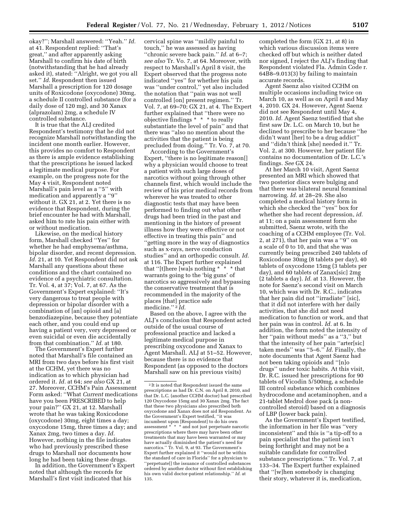okay?''; Marshall answered: ''Yeah.'' *Id.*  at 41. Respondent replied: ''That's great,'' and after apparently asking Marshall to confirm his date of birth (notwithstanding that he had already asked it), stated: ''Alright, we got you all set.'' *Id.* Respondent then issued Marshall a prescription for 120 dosage units of Roxicodone (oxycodone) 30mg, a schedule II controlled substance (for a daily dose of 120 mg), and 30 Xanax (alprazolam) 2mg, a schedule IV controlled substance.

It is true that the ALJ credited Respondent's testimony that he did not recognize Marshall notwithstanding the incident one month earlier. However, this provides no comfort to Respondent as there is ample evidence establishing that the prescriptions he issued lacked a legitimate medical purpose. For example, on the progress note for the May 4 visit, Respondent noted Marshall's pain level as a ''5'' with medication and apparently a ''9'' without it. GX 21, at 2. Yet there is no evidence that Respondent, during the brief encounter he had with Marshall, asked him to rate his pain either with or without medication.

Likewise, on the medical history form, Marshall checked ''Yes'' for whether he had emphysema/asthma, bipolar disorder, and recent depression. *Id.* 21, at 10. Yet Respondent did not ask Marshall any questions about these conditions and the chart contained no evidence of a psychiatric consultation. Tr. Vol. 4, at 37; Vol. 7, at 67. As the Government's Expert explained: ''It's very dangerous to treat people with depression or bipolar disorder with a combination of [an] opioid and [a] benzodiazepine, because they potentiate each other, and you could end up having a patient very, very depressed or even suicidal or even die accidentally from that combination.'' *Id.* at 180.

The Government's Expert further noted that Marshall's file contained an MRI from two days before his first visit at the CCHM, yet there was no indication as to which physician had ordered it. *Id.* at 64; *see also* GX 21, at 27. Moreover, CCHM's Pain Assessment Form asked: ''What *Current* medications have you been PRESCRIBED to help your pain?'' GX 21, at 12. Marshall wrote that he was taking Roxicodone (oxycodone) 30mg, eight times a day; oxycodone 15mg, three times a day; and Xanax 2mg, two times a day. *Id.*  However, nothing in the file indicates who had previously prescribed these drugs to Marshall nor documents how long he had been taking these drugs.

In addition, the Government's Expert noted that although the records for Marshall's first visit indicated that his

cervical spine was ''mildly painful to touch,'' he was assessed as having ''chronic severe back pain.'' *Id.* at 6–7; *see also* Tr. Vo. 7, at 64. Moreover, with respect to Marshall's April 8 visit, the Expert observed that the progress note indicated ''yes'' for whether his pain was ''under control,'' yet also included the notation that ''pain was not well controlled [on] present regimen.'' Tr. Vol. 7, at 69–70; GX 21, at 4. The Expert further explained that ''there were no objective findings \* \* \* to really substantiate the level of pain'' and that there was ''also no mention about the activities that the patient is being precluded from doing.'' Tr. Vo. 7, at 70.

According to the Government's Expert, ''there is no legitimate reason[] why a physician would choose to treat a patient with such large doses of narcotics without going through other channels first, which would include the review of his prior medical records from wherever he was treated to other diagnostic tests that may have been performed to finding out what other drugs had been tried in the past and mentioning in the history of present illness how they were effective or not effective in treating this pain'' and ''getting more in the way of diagnostics such as x-rays, nerve conduction studies'' and an orthopedic consult. *Id.*  at 116. The Expert further explained that ''[t]here [wa]s nothing \* \* \* that warrants going to the 'big guns' of narcotics so aggressively and bypassing the conservative treatment that is recommended in the majority of the places [that] practice safe medicine.'' 2 *Id.* 

Based on the above, I agree with the ALJ's conclusion that Respondent acted outside of the usual course of professional practice and lacked a legitimate medical purpose in prescribing oxycodone and Xanax to Agent Marshall. ALJ at 51–52. However, because there is no evidence that Respondent (as opposed to the doctors Marshall saw on his previous visits)

completed the form (GX 21, at 8) in which various discussion items were checked off but which is neither dated nor signed, I reject the ALJ's finding that Respondent violated Fla. Admin Code r. 64B8–9.013(3) by failing to maintain accurate records.

Agent Saenz also visited CCHM on multiple occasions including twice on March 10, as well as on April 8 and May 4, 2010. GX 24. However, Agent Saenz did not see Respondent until May 4, 2010. *Id.* Agent Saenz testified that she first saw Dr. L.C. on March 10, but he declined to prescribe to her because ''he didn't want [her] to be a drug addict'' and ''didn't think [she] needed it.'' Tr. Vol. 2, at 300. However, her patient file contains no documentation of Dr. L.C.'s findings. *See* GX 24.

At her March 10 visit, Agent Saenz presented an MRI which showed that two posterior discs were bulging and that there was bilateral neural foraminal narrowing. *Id.* at 28–29. She also completed a medical history form in which she checked the ''yes'' box for whether she had recent depression, *id.*  at 11; on a pain assessment form she submitted, Saenz wrote, with the coaching of a CCHM employee (Tr. Vol. 2, at 271), that her pain was a ''9'' on a scale of 0 to 10, and that she was currently being prescribed 240 tablets of Roxicodone 30mg (8 tablets per day), 40 tablets of oxycodone 15mg (3 tablets per day), and 60 tablets of Zanax[sic] 2mg (2 tablets a day). *Id.* at 13. However, the note for Saenz's second visit on March 10, which was with Dr. R.C., indicates that her pain did not ''irradiate'' [sic], that it did not interfere with her daily activities, that she did not need medication to function or work, and that her pain was in control. *Id.* at 6. In addition, the form noted the intensity of her "pain without meds" as a "3," but that the intensity of her pain ''arter[sic] taken meds'' was ''5–6.'' *Id.* Finally, the note documents that Agent Saenz had not been taking opioids and ''[n]o drugs'' under toxic habits. At this visit, Dr. R.C. issued her prescriptions for 90 tablets of Vicodin 5/500mg, a schedule III control substance which combines hydrocodone and acetaminophen, and a 21-tablet Medrol dose pack (a noncontrolled steroid) based on a diagnosis of LBP (lower back pain).

As the Government's Expert testified, the information in her file was ''very inconsistent'' and this is ''a tip-off to a pain specialist that the patient isn't being forthright and may not be a suitable candidate for controlled substance prescriptions.'' Tr. Vol. 7, at 133–34. The Expert further explained that ''[w]hen somebody is changing their story, whatever it is, medication,

<sup>2</sup> It is noted that Respondent issued the same prescriptions as had Dr. C.N. on April 8, 2010, and that Dr. L.C. (another CCHM doctor) had prescribed 120 Oxycodone 15mg and 30 Xanax 2mg. The fact that these two physicians also prescribed both oxycodone and Xanax does not aid Respondent. As the Government's Expert testified, ''it was incumbent upon [Respondent] to do his own assessment  $\stackrel{*}{\textstyle\cdot}^*$  \* and not just perpetuate narcotic prescriptions where there may have been other treatments that may have been warranted or may have actually diminished the patient's need for narcotics.'' Tr. Vol. 9, at 93. The Government's Expert further explained it ''would not be within the standard of care in Florida'' for a physician to ''perpetuate[] the issuance of controlled substances ordered by another doctor without first establishing his own valid doctor-patient relationship.'' *Id.* at 135.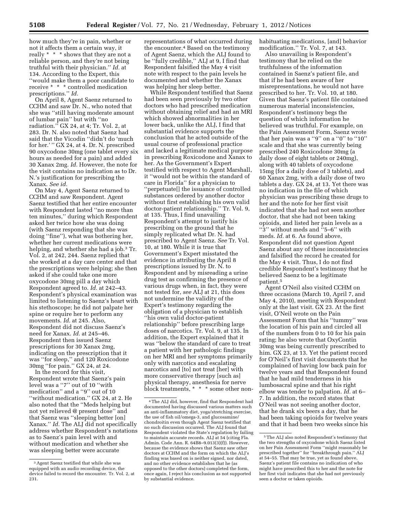how much they're in pain, whether or not it affects them a certain way, it really \* \* \* shows that they are not a reliable person, and they're not being truthful with their physician.'' *Id.* at 134. According to the Expert, this ''would make them a poor candidate to receive \* \* \* controlled medication prescriptions.'' *Id.* 

On April 8, Agent Saenz returned to CCHM and saw Dr. N., who noted that she was ''still having moderate amount of lumbar pain'' but with ''no radiation.'' GX 24, at 4; Tr. Vol. 2, at 283. Dr. N. also noted that Saenz had said that the Vicodin ''didn't do 'much for her.'" GX 24, at 4. Dr. N. prescribed 90 oxycodone 30mg (one tablet every six hours as needed for a pain) and added 30 Xanax 2mg. *Id.* However, the note for the visit contains no indication as to Dr. N.'s justification for prescribing the Xanax. *See id.* 

On May 4, Agent Saenz returned to CCHM and saw Respondent. Agent Saenz testified that her entire encounter with Respondent lasted ''no more than ten minutes,'' during which Respondent asked her twice how she was doing (with Saenz responding that she was doing ''fine''), what was bothering her, whether her current medications were helping, and whether she had a job.3 Tr. Vol. 2, at 242, 244. Saenz replied that she worked at a day care center and that the prescriptions were helping; she then asked if she could take one more oxycodone 30mg pill a day which Respondent agreed to. *Id.* at 242–43. Respondent's physical examination was limited to listening to Saenz's heart with his stethoscope; he did not palpate her spine or require her to perform any movements. *Id.* at 245. Also, Respondent did not discuss Saenz's need for Xanax. *Id.* at 245–46. Respondent then issued Saenz prescriptions for 30 Xanax 2mg, indicating on the prescription that it was ''for sleep,'' and 120 Roxicodone 30mg ''for pain.'' GX 24, at 24.

In the record for this visit, Respondent wrote that Saenz's pain level was a ''7'' out of 10 ''with medication'' and a ''9'' out of 10 ''without medication.'' GX 24, at 2. He also noted that the ''Meds helping but not yet relieved @ present dose'' and that Saenz was ''sleeping better [on] Xanax.'' *Id.* The ALJ did not specifically address whether Respondent's notations as to Saenz's pain level with and without medication and whether she was sleeping better were accurate

representations of what occurred during the encounter.4 Based on the testimony of Agent Saenz, which the ALJ found to be ''fully credible,'' ALJ at 9, I find that Respondent falsified the May 4 visit note with respect to the pain levels he documented and whether the Xanax was helping her sleep better.

While Respondent testified that Saenz had been seen previously by two other doctors who had prescribed medication without obtaining relief and had an MRI which showed abnormalities in her lower back, unlike the ALJ, I find that substantial evidence supports the conclusion that he acted outside of the usual course of professional practice and lacked a legitimate medical purpose in prescribing Roxicodone and Xanax to her. As the Government's Expert testified with respect to Agent Marshall, it ''would not be within the standard of care in Florida'' for a physician to ''perpetuate[] the issuance of controlled substances ordered by another doctor without first establishing his own valid doctor-patient relationship.'' Tr. Vol. 9, at 135. Thus, I find unavailing Respondent's attempt to justify his prescribing on the ground that he simply replicated what Dr. N. had prescribed to Agent Saenz. *See* Tr. Vol. 10, at 180. While it is true that Government's Expert misstated the evidence in attributing the April 8 prescriptions issued by Dr. N. to Respondent and by misreading a urine drug test as confirming the presence of various drugs when, in fact, they were not tested for, *see* ALJ at 21, this does not undermine the validity of the Expert's testimony regarding the obligation of a physician to establish ''his own valid doctor-patient relationship'' before prescribing large doses of narcotics. Tr. Vol. 9, at 135. In addition, the Expert explained that it was ''below the standard of care to treat a patient with her pathologic findings on her MRI and her symptoms primarily only with narcotics and escalating narcotics and [to] not treat [her] with more conservative therapy [such as] physical therapy, anesthesia for nerve block treatments, \* \* \* some other nonhabituating medications, [and] behavior modification.'' Tr. Vol. 7, at 143.

Also unavailing is Respondent's testimony that he relied on the truthfulness of the information contained in Saenz's patient file, and that if he had been aware of her misrepresentations, he would not have prescribed to her. Tr. Vol. 10, at 180. Given that Saenz's patient file contained numerous material inconsistencies, Respondent's testimony begs the question of which information he believed was truthful. For example, on the Pain Assessment Form, Saenz wrote that her pain was a ''9'' on a ''0'' to ''10'' scale and that she was currently being prescribed 240 Roxicodone 30mg (a daily dose of eight tablets or 240mg), along with 40 tablets of oxycodone 15mg (for a daily dose of 3 tablets), and 60 Xanax 2mg, with a daily dose of two tablets a day. GX 24, at 13. Yet there was no indication in the file of which physician was prescribing these drugs to her and the note for her first visit indicated that she had not seen another doctor, that she had not been taking opioids, and listed her pain levels as a ''3'' without meds and ''5–6'' with meds. *Id.* at 6. As found above, Respondent did not question Agent Saenz about any of these inconsistencies and falsified the record he created for the May 4 visit. Thus, I do not find credible Respondent's testimony that he believed Saenz to be a legitimate patient.5

Agent O'Neil also visited CCHM on three occasions (March 10, April 7, and May 4, 2010), meeting with Respondent only at the last visit. GX 23. At the first visit, O'Neil wrote on the Pain Assessment Form that his ''tummy'' was the location of his pain and circled all of the numbers from 0 to 10 for his pain rating; he also wrote that OxyContin 30mg was being currently prescribed to him. GX 23, at 13. Yet the patient record for O'Neil's first visit documents that he complained of having low back pain for twelve years and that Respondent found that he had mild tenderness in his lumbosacral spine and that his right elbow was tender to palpation. *Id.* at 6– 7. In addition, the record states that O'Neil was not seeing another doctor, that he drank six beers a day, that he had been taking opioids for twelve years and that it had been two weeks since his

<sup>3</sup>Agent Saenz testified that while she was equipped with an audio recording device, the device failed to record the encounter. Tr. Vol. 2, at 231.

<sup>4</sup>The ALJ did, however, find that Respondent had documented having discussed various matters such an anti-inflammatory diet, yoga/stretching exercise, the use of fish oil/omega-3, and glucosamine/ chondroitin even though Agent Saenz testified that no such discussion occurred. The ALJ found that Respondent violated the State's regulation by failing to maintain accurate records. ALJ at 54 (citing Fla. Admin. Code Ann. R. 64B8–9.013(3)(f)). However, because the evidence shows that Saenz saw other doctors at CCHM and the form on which the ALJ's finding was based on is neither signed, nor dated, and no other evidence establishes that he (as opposed to the other doctors) completed the form, once again, I reject his conclusion as not supported by substantial evidence.

<sup>5</sup>The ALJ also noted Respondent's testimony that the two strengths of oxycodone which Saenz listed on her Pain Assessment Form ''might reasonably be prescribed together'' for ''breakthrough pain.'' ALJ at 54–55. That may be true, yet as found above, Saenz's patient file contains no indication of who might have prescribed this to her and the note for her first visit indicates that she had not previously seen a doctor or taken opioids.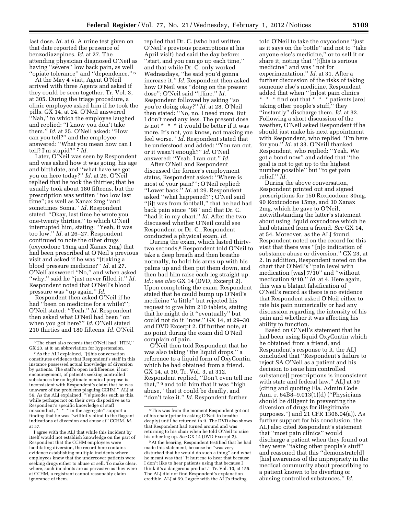last dose. *Id.* at 6. A urine test given on that date reported the presence of benzodiazepines. *Id.* at 27. The attending physician diagnosed O'Neil as having ''severe'' low back pain, as well ''opiate tolerance'' and ''dependence.'' 6

At the May 4 visit, Agent O'Neil arrived with three Agents and asked if they could be seen together. Tr. Vol. 3, at 305. During the triage procedure, a clinic employee asked him if he took the pills. GX 14, at 24. O'Neil answered ''Nah,'' to which the employee laughed and replied: ''I know you don't take them.'' *Id.* at 25. O'Neil asked: ''How can you tell?'' and the employee answered: ''What you mean how can I tell? I'm stupid?'' 7 *Id.* 

Later, O'Neil was seen by Respondent and was asked how it was going, his age and birthdate, and ''what have we got you on here today?'' *Id.* at 26. O'Neil replied that he took the thirties; that he usually took about 180 fifteens, but the prescription was written ''too low last time''; as well as Xanax 2mg ''and sometimes Soma.'' *Id.* Respondent stated: ''Okay, last time he wrote you one-twenty thirties,'' to which O'Neil interrupted him, stating: ''Yeah, it was too low.'' *Id.* at 26–27. Respondent continued to note the other drugs (oxycodone 15mg and Xanax 2mg) that had been prescribed at O'Neil's previous visit and asked if he was ''[t]aking a blood pressure medicine?'' *Id.* at 27. O'Neil answered ''No,'' and when asked ''why,'' said he ''just never filled it.'' *Id.*  Respondent noted that O'Neil's blood pressure was ''up again.'' *Id.* 

Respondent then asked O'Neil if he had ''been on medicine for a while?''; O'Neil stated: ''Yeah.'' *Id.* Respondent then asked what O'Neil had been ''on when you got here?'' *Id.* O'Neil stated 210 thirties and 180 fifteens. *Id.* O'Neil

I agree with the ALJ that while this incident by itself would not establish knowledge on the part of Respondent that the CCHM employees were facilitating diversion, the record here contains evidence establishing multiple incidents where employees knew that the undercover patients were seeking drugs either to abuse or sell. To make clear, where, such incidents are as pervasive as they were at CCHM, a registrant cannot reasonably claim ignorance of them.

replied that Dr. C. (who had written O'Neil's previous prescriptions at his April visit) had said the day before: ''start, and you can go up each time,'' and that while Dr. C. only worked Wednesdays, ''he said you'd gonna increase it.'' *Id.* Respondent then asked how O'Neil was ''doing on the present dose''; O'Neil said ''[f]ine.'' *Id.*  Respondent followed by asking ''so you're doing okay?'' *Id.* at 28. O'Neil then stated: ''No, no. I need more. But I don't need any less. The present dose is not \* \* \* it would be better if it was more. It's not, you know, not making me feel worse.'' *Id.* Respondent stated that he understood and added: ''You ran out, or it wasn't enough?'' *Id.* O'Neil answered: ''Yeah, I ran out.'' *Id.* 

After O'Neil and Respondent discussed the former's employment status, Respondent asked: ''Where is most of your pain?''; O'Neil replied: ''Lower back.'' *Id.* at 29. Respondent asked ''what happened?''; O'Neil said ''[i]t was from football,'' that he had had back pain since ''98'' and that Dr. C. ''had it in my chart.'' *Id.* After the two discussed whether O'Neil could see Respondent or Dr. C., Respondent conducted a physical exam. *Id.* 

During the exam, which lasted thirtytwo seconds,8 Respondent told O'Neil to take a deep breath and then breathe normally, to hold his arms up with his palms up and then put them down, and then had him raise each leg straight up. *Id.; see also* GX 14 (DVD, Excerpt 2). Upon completing the exam, Respondent stated that he could bump up O'Neil's medicine ''a little'' but rejected his request to give him 210 tablets, stating that he might do it ''eventually'' but could not do it ''now.'' GX 14, at 29–30 and DVD Excerpt 2. Of further note, at no point during the exam did O'Neil complain of pain.

O'Neil then told Respondent that he was also taking ''the liquid drops,'' a reference to a liquid form of OxyContin, which he had obtained from a friend. GX 14, at 30, Tr. Vol. 3, at 312. Respondent replied, ''Don't even tell me that,'' 9 and told him that it was ''high abuse,'' that it could be deadly, and ''don't take it.'' *Id.* Respondent further

told O'Neil to take the oxycodone ''just as it says on the bottle'' and not to ''take anyone else's medicine,'' or to sell it or share it, noting that ''[t]his is serious medicine'' and was ''not for experimentation.'' *Id.* at 31. After a further discussion of the risks of taking someone else's medicine, Respondent added that when ''[m]ost pain clinics \* \* \* find out that \* \* \* patients [are] taking other people's stuff,'' they ''instantly'' discharge them. *Id.* at 32. Following a short discussion of the weather, O'Neil asked Respondent if he should just make his next appointment with Respondent, who replied "I'm here for you.'' *Id.* at 33. O'Neill thanked Respondent, who replied: ''Yeah. We got a bond now'' and added that ''the goal is not to get up to the highest number possible'' but ''to get pain relief.'' *Id.* 

During the above conversation, Respondent printed out and signed prescriptions for 150 Roxicodone 30mg, 90 Roxicodone 15mg, and 30 Xanax 2mg, which he gave to O'Neil, notwithstanding the latter's statement about using liquid oxycodone which he had obtained from a friend. *See* GX 14, at 54. Moreover, as the ALJ found, Respondent noted on the record for this visit that there was ''[n]o indication of substance abuse or diversion.'' GX 23, at 2. In addition, Respondent noted on the chart that O'Neil's ''pain level with medication [was]  $7/10$ " and "without medication 9/10.'' *Id.* at 4. Here again, this was a blatant falsification of O'Neil's record as there is no evidence that Respondent asked O'Neil either to rate his pain numerically or had any discussion regarding the intensity of his pain and whether it was affecting his ability to function.

Based on O'Neil's statement that he had been using liquid OxyContin which he obtained from a friend, and Respondent's response to it, the ALJ concluded that ''Respondent's failure to reject SA O'Neil as a patient and his decision to issue him controlled substance[] prescriptions is inconsistent with state and federal law.'' ALJ at 59 (citing and quoting Fla. Admin Code Ann. r. 64B8–9.013(1)(d) (''Physicians should be diligent in preventing the diversion of drugs for illegitimate purposes.'') and 21 CFR 1306.04(a)). As further support for his conclusion, the ALJ also cited Respondent's statement that ''most pain clinics'' would discharge a patient when they found out they were ''taking other people's stuff'' and reasoned that this ''demonstrate[d] [his] awareness of the impropriety in the medical community about prescribing to a patient known to be diverting or abusing controlled substances.'' *Id.* 

<sup>6</sup>The chart also records that O'Neil had ''HTN,'' GX 23, at 8; an abbreviation for hypertension.

<sup>7</sup>As the ALJ explained, ''[t]his conversation constitutes evidence that Respondent's staff in this instance possessed actual knowledge of diversion by patients. The staff's open indifference, if not encouragement, of patients seeking controlled substances for no legitimate medical purpose is inconsistent with Respondent's claim that he was unaware of the problems plaguing CCHM.'' ALJ at 56. As the ALJ explained, ''[e]pisodes such as this, while perhaps not on their own dispositive as to Respondent's specific knowledge of staff misconduct, \* \* \* in the aggregate'' support a finding that he was ''willfully blind to the flagrant indications of diversion and abuse at'' CCHM. *Id.*  at 57.

<sup>8</sup>This was from the moment Respondent got out of his chair (prior to asking O'Neil to breathe deeply) until he returned to it. The DVD also shows that Respondent had turned around and was returning to his chair when he told O'Neil to raise his other leg up. *See* GX 14 (DVD Excerpt 2).

<sup>9</sup>At the hearing, Respondent testified that he had made this statement, because he ''was very disturbed that he would do such a thing'' and what he meant was that ''it hurt me to hear that because I don't like to hear patients using that because I think it's a dangerous product.'' Tr. Vol. 10, at 155. The ALJ did not find Respondent's explanation credible. ALJ at 59. I agree with the ALJ's finding.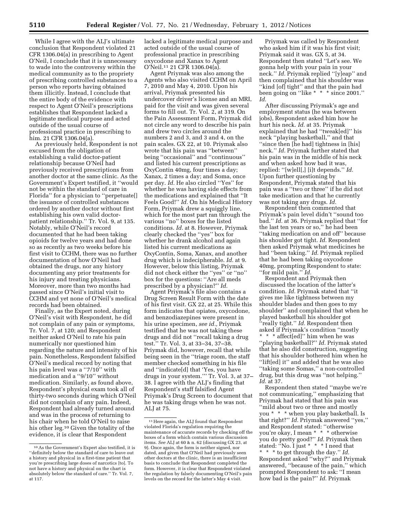While I agree with the ALJ's ultimate conclusion that Respondent violated 21 CFR 1306.04(a) in prescribing to Agent O'Neil, I conclude that it is unnecessary to wade into the controversy within the medical community as to the propriety of prescribing controlled substances to a person who reports having obtained them illicitly. Instead, I conclude that the entire body of the evidence with respect to Agent O'Neil's prescriptions establishes that Respondent lacked a legitimate medical purpose and acted outside of the usual course of professional practice in prescribing to him. 21 CFR 1306.04(a).

As previously held, Respondent is not excused from the obligation of establishing a valid doctor-patient relationship because O'Neil had previously received prescriptions from another doctor at the same clinic. As the Government's Expert testified, it ''would not be within the standard of care in Florida'' for a physician to ''perpetuate[] the issuance of controlled substances ordered by another doctor without first establishing his own valid doctorpatient relationship.'' Tr. Vol. 9, at 135. Notably, while O'Neil's record documented that he had been taking opioids for twelve years and had done so as recently as two weeks before his first visit to CCHM, there was no further documentation of how O'Neil had obtained the drugs, nor any history documenting any prior treatments for his injury and treating physicians. Moreover, more than two months had passed since O'Neil's initial visit to CCHM and yet none of O'Neil's medical records had been obtained.

Finally, as the Expert noted, during O'Neil's visit with Respondent, he did not complain of any pain or symptoms, Tr. Vol. 7, at 120; and Respondent neither asked O'Neil to rate his pain numerically nor questioned him regarding the nature and intensity of his pain. Nonetheless, Respondent falsified O'Neil's medical record by noting that his pain level was a "7/10" with medication and a ''9/10'' without medication. Similarly, as found above, Respondent's physical exam took all of thirty-two seconds during which O'Neil did not complain of any pain. Indeed, Respondent had already turned around and was in the process of returning to his chair when he told O'Neil to raise his other leg.10 Given the totality of the evidence, it is clear that Respondent

lacked a legitimate medical purpose and acted outside of the usual course of professional practice in prescribing oxycodone and Xanax to Agent O'Neil.11 21 CFR 1306.04(a).

Agent Priymak was also among the Agents who also visited CCHM on April 7, 2010 and May 4, 2010. Upon his arrival, Priymak presented his undercover driver's license and an MRI, paid for the visit and was given several forms to fill out. Tr. Vol. 2, at 319. On the Pain Assessment Form, Priymak did not circle any word to describe his pain and drew two circles around the numbers 2 and 3, and 3 and 4, on the pain scales. GX 22, at 10. Priymak also wrote that his pain was ''between'' being ''occasional'' and ''continuous'' and listed his current prescriptions as OxyContin 40mg, four times a day; Xanax, 2 times a day; and Soma, once per day. *Id.* He also circled ''Yes'' for whether he was having side effects from the medications and explained that ''It Feels Good!'' *Id.* On his Medical History Form, Priymak drew a squiggly line, which for the most part ran through the various ''no'' boxes for the listed conditions. *Id.* at 8. However, Priymak clearly checked the ''yes'' box for whether he drank alcohol and again listed his current medications as OxyContin, Soma, Xanax, and another drug which is indecipherable. *Id.* at 9. However, below this listing, Priymak did not check either the ''yes'' or ''no'' box for the questions: ''Are all meds prescribed by a physician?'' *Id.* 

Agent Priymak's file also contains a Drug Screen Result Form with the date of his first visit. GX 22, at 25. While this form indicates that opiates, oxycodone, and benzodiazepines were present in his urine specimen, *see id.,* Priymak testified that he was not taking these drugs and did not ''recall taking a drug test.'' Tr. Vol. 3, at 33–34, 37–38. Priymak did, however, recall that while being seen in the ''triage room, the staff member checked something in his file and ''indicate[d] that 'Yes, you have drugs in your system.''' Tr. Vol. 3, at 37– 38. I agree with the ALJ's finding that Respondent's staff falsified Agent Priymak's Drug Screen to document that he was taking drugs when he was not. ALJ at 75.

Priymak was called by Respondent who asked him if it was his first visit; Priymak said it was. GX 5, at 34. Respondent then stated ''Let's see. We gonna help with your pain in your neck.'' *Id.* Priymak replied ''[y]eap'' and then complained that his shoulder was ''kind [of] tight'' and that the pain had been going on "like \* \* \* since 2001." *Id.* 

After discussing Priymak's age and employment status (he was between jobs), Respondent asked him how he hurt his neck. *Id.* at 35. Priymak explained that he had ''tweak[ed]'' his neck ''playing basketball,'' and that ''since then [he had] tightness in [his] neck.'' *Id.* Priymak further stated that his pain was in the middle of his neck and when asked how bad it was, replied: ''[w]ell[,] [i]t depends.'' *Id.*  Upon further questioning by Respondent, Priymak stated that his pain was a ''two or three'' if he did not take medication and that he currently was not taking any drugs. *Id.* 

Respondent then commented that Priymak's pain level didn't ''sound too bad.'' *Id.* at 36. Priymak replied that ''for the last ten years or so,'' he had been ''taking medication on and off'' because his shoulder got tight. *Id.* Respondent then asked Priymak what medicines he had ''been taking.'' *Id.* Priymak replied that he had been taking oxycodone 40mg, prompting Respondent to state: ''for mild pain.'' *Id.* 

Respondent and Priymak then discussed the location of the latter's condition. *Id.* Priymak stated that ''it gives me like tightness between my shoulder blades and then goes to my shoulder'' and complained that when he played basketball his shoulder got ''really tight.'' *Id.* Respondent then asked if Priymak's condition ''mostly \* \* \* affect[ed]'' him when he was ''playing basketball?'' *Id.* Priymak stated that he also did construction, suggesting that his shoulder bothered him when he ''lift[ed] it'' and added that he was also ''taking some Somas,'' a non-controlled drug, but this drug was ''not helping.'' *Id.* at 37.

Respondent then stated ''maybe we're not communicating,'' emphasizing that Priymak had stated that his pain was ''mild about two or three and mostly you \* \* \* when you play basketball. Is that right?'' *Id.* Priymak answered ''yes,'' and Respondent stated: ''otherwise you're okay, I mean \* \* \* otherwise you do pretty good?'' *Id.* Priymak then stated: ''No. I just \* \* \* I need that \* \* \* to get through the day.'' *Id.*  Respondent asked ''why?'' and Priymak answered, ''because of the pain,'' which prompted Respondent to ask: ''I mean how bad is the pain?'' *Id.* Priymak

<sup>10</sup>As the Government's Expert also testified, it is ''definitely below the standard of care to leave out a history and physical in a first-time patient that you're prescribing large doses of narcotics [to]. To not have a history and physical on the chart is absolutely below the standard of care.'' Tr. Vol. 7, at 117.

<sup>11</sup>Here again, the ALJ found that Respondent violated Florida's regulation requiring the maintenance of accurate records by checking off the boxes of a form which contain various discussion items. *See* ALJ at 60 & n. 62 (discussing GX 23, at 9). Once again, the form is neither signed, nor dated, and given that O'Neil had previously seen other doctors at the clinic, there is an insufficient basis to conclude that Respondent completed the form. However, it is clear that Respondent violated the regulation by falsely documenting O'Neil's pain levels on the record for the latter's May 4 visit.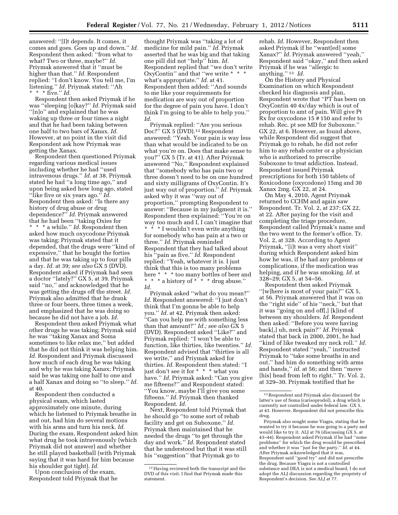answered: ''[I]t depends. It comes, it comes and goes. Goes up and down.'' *Id.*  Respondent then asked: ''from what to what? Two or three, maybe?'' *Id.*  Priymak answered that it ''must be higher than that.'' *Id.* Respondent replied: ''I don't know. You tell me, I'm listening.'' *Id.* Priymak stated: ''Ah \* \* \* five.'' *Id.* 

Respondent then asked Priymak if he was ''sleeping [o]kay?'' *Id.* Priymak said ''[n]o'' and explained that he was waking up three or four times a night and that he had been taking between one half to two bars of Xanax. *Id.*  However, at no point in the visit did Respondent ask how Priymak was getting the Xanax.

Respondent then questioned Priymak regarding various medical issues including whether he had ''used intravenous drugs.'' *Id.* at 38. Priymak stated he had ''a long time ago,'' and upon being asked how long ago, stated ''like five or six years ago.'' *Id.*  Respondent then asked: ''Is there any history of drug abuse or drug dependence?'' *Id.* Priymak answered that he had been ''taking Oxies for \* \* \* a while.'' *Id.* Respondent then asked how much oxycodone Priymak was taking; Priymak stated that it depended, that the drugs were ''kind of expensive,'' that he bought the forties and that he was taking up to four pills a day. *Id.* at 39; *see also* GX 5 (DVD). Respondent asked if Priymak had seen a doctor ''lately?'' GX 5, at 39. Priymak said ''no,'' and acknowledged that he was getting the drugs off the street. *Id.*  Priymak also admitted that he drank three or four beers, three times a week, and emphasized that he was doing so because he did not have a job. *Id.* 

Respondent then asked Priymak what other drugs he was taking; Priymak said he was ''taking Xanax and Soma sometimes to like relax me,'' but added that he did not think it was helping him. *Id.* Respondent and Priymak discussed how much of each drug he was taking and why he was taking Xanax; Priymak said he was taking one half to one and a half Xanax and doing so ''to sleep.'' *Id.*  at 40.

Respondent then conducted a physical exam, which lasted approximately one minute, during which he listened to Priymak breathe in and out, had him do several motions with his arms and turn his neck. *Id.*  During the exam, Respondent asked him what drug he took intravenously (which Priymak did not answer) and whether he still played basketball (with Priymak saying that it was hard for him because his shoulder got tight). *Id.* 

Upon conclusion of the exam, Respondent told Priymak that he

thought Priymak was ''taking a lot of medicine for mild pain.'' *Id.* Priymak asserted that he was big and that taking one pill did not ''help'' him. *Id.*  Respondent replied that ''we don't write OxyContin'' and that ''we write \* \* \* what's appropriate.'' *Id.* at 41. Respondent then added: ''And sounds to me like your requirements for medication are way out of proportion for the degree of pain you have. I don't think I'm going to be able to help you.'' *Id.* 

Priymak replied: ''Are you serious Doc?" GX 5 (DVD).<sup>12</sup> Respondent answered: ''Yeah. Your pain is way less than what would be indicated to be on what you're on. Does that make sense to you?'' GX 5 (Tr. at 41). After Priymak answered ''No,'' Respondent explained that ''somebody who has pain two or three doesn't need to be on one hundred and sixty milligrams of OxyContin. It's just way out of proportion.'' *Id.* Priymak asked why it was ''way out of proportion,'' prompting Respondent to answer: ''Because in my judgment it is.'' Respondent then explained: ''You're on way too much and I, I can't imagine that \* \* \* I wouldn't even write anything for somebody who has pain at a two or three.'' *Id.* Priymak reminded Respondent that they had talked about his ''pain as five.'' *Id.* Respondent replied: ''Yeah, whatever it is. I just think that this is too many problems here \* \* \* too many bottles of beer and \* \* \* a history of \* \* \* drug abuse.'' *Id.* 

Priymak asked ''what do you mean?'' *Id.* Respondent answered: ''I just don't think that I'm gonna be able to help you.'' *Id.* at 42. Priymak then asked: ''Can you help me with something less than that amount?'' *Id.; see also* GX 5 (DVD). Respondent asked ''Like?'' and Priymak replied: ''I won't be able to function, like thirties, like twenties.'' *Id.*  Respondent advised that ''thirties is all we write,'' and Priymak asked for thirties. *Id.* Respondent then stated: ''I just don't see it for \* \* \* what you have.'' *Id.* Priymak asked: ''Can you give me fifteens?'' and Respondent stated: ''You know, maybe I'll give you some fifteens.'' *Id.* Priymak then thanked Respondent. *Id.* 

Next, Respondent told Priymak that he should go ''to some sort of rehab facility and get on Suboxone.'' *Id.*  Priymak then maintained that he needed the drugs ''to get through the day and work.'' *Id.* Respondent stated that he understood but that it was still his ''suggestion'' that Priymak go to

rehab. *Id.* However, Respondent then asked Priymak if he ''want[ed] some Xanax?'' *Id.* Priymak answered ''yeah,'' Respondent said ''okay,'' and then asked Priymak if he was ''allergic to anything.'' 13 *Id.* 

On the History and Physical Examination on which Respondent checked his diagnosis and plan, Respondent wrote that ''PT has been on OxyContin 40 4x/day which is out of proportion to amt of pain. Will give Pt Rx for oxycodone 15 # 150 and refer to rehab. Rec. pt see MD for Suboxone.'' GX 22, at 6. However, as found above, while Respondent did suggest that Priymak go to rehab, he did not refer him to any rehab center or a physician who is authorized to prescribe Suboxone to treat addiction. Instead, Respondent issued Priymak prescriptions for both 150 tablets of Roxicodone (oxycodone) 15mg and 30 Xanax 2mg. GX 22, at 24.

On May 4, 2010, Agent Priymak returned to CCHM and again saw Respondent. Tr. Vol. 2, at 237; GX 22, at 22. After paying for the visit and completing the triage procedure, Respondent called Priymak's name and the two went to the former's office. Tr. Vol. 2, at 328. According to Agent Priymak, "[i]t was a very short visit" during which Respondent asked him how he was, if he had any problems or complications, if the medication was helping, and if he was smoking. *Id.* at 328–29; GX 5, at 54–56.

Respondent then asked Priymak ''[w]here is most of your pain?'' GX 5, at 56. Priymak answered that it was on the ''right side'' of his ''neck,'' but that it was ''going on and off[,] [k]ind of between my shoulders. *Id.* Respondent then asked: ''Before you were having back[,] uh, neck pain?'' *Id.* Priymak stated that back in 2000, 2001, he had ''kind of like tweaked my neck roll.'' *Id.*  Respondent stated ''yeah,'' instructed Priymak to ''take some breaths in and out,'' had him do something with arms and hands,'' *id.* at 56; and then ''move [his] head from left to right." Tr. Vol. 2, at 329–30. Priymak testified that he

<sup>12</sup>Having reviewed both the transcript and the DVD of this visit, I find that Priymak made this statement.

<sup>13</sup>Respondent and Priymak also discussed the latter's use of Soma (carisoprodol), a drug which is currently not controlled under federal law. GX 5, at 43. However, Respondent did not prescribe this drug.

Priymak also sought some Viagra, stating that he wanted to try it because he was going to a party and would like to try it. ALJ at 76 (discussing GX 5, at 43–44). Respondent asked Priymak if he had ''some problems'' for which the drug would be prescribed and whether it was ''just for the party.'' *Id.* at 44. After Priymak acknowledged that it was, Respondent said ''good try'' and did not prescribe the drug. Because Viagra is not a controlled substance and DEA is not a medical board, I do not adopt the ALJ discussion regarding the propriety of Respondent's decision. *See* ALJ at 77.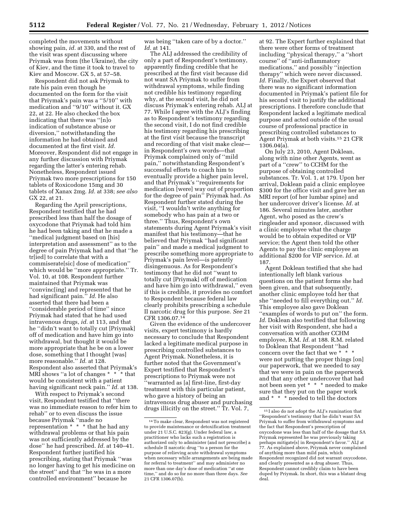completed the movements without showing pain, *id.* at 330, and the rest of the visit was spent discussing where Priymak was from (the Ukraine), the city of Kiev, and the time it took to travel to Kiev and Moscow. GX 5, at 57–58.

Respondent did not ask Priymak to rate his pain even though he documented on the form for the visit that Priymak's pain was a ''5/10'' with medication and ''9/10'' without it. GX 22, at 22. He also checked the box indicating that there was ''[n]o indication of substance abuse or diversion,'' notwithstanding the information he had obtained and documented at the first visit. *Id.*  Moreover, Respondent did not engage in any further discussion with Priymak regarding the latter's entering rehab. Nonetheless, Respondent issued Priymak two more prescriptions for 150 tablets of Roxicodone 15mg and 30 tablets of Xanax 2mg. *Id.* at 338; *see also*  GX 22, at 21.

Regarding the April prescriptions, Respondent testified that he had prescribed less than half the dosage of oxycodone that Priymak had told him he had been taking and that he made a ''medical judgment based on [his] interpretation and assessment'' as to the degree of pain Priymak had and that ''he tr[ied] to correlate that with a commiserate[sic] dose of medication'' which would be ''more appropriate.'' Tr. Vol. 10, at 108. Respondent further maintained that Priymak was ''convinc[ing] and represented that he had significant pain.'' *Id.* He also asserted that there had been a ''considerable period of time'' since Priymak had stated that he had used intravenous drugs, *id.* at 113, and that he ''didn't want to totally cut [Priymak] off of medication and have him go into withdrawal, but thought it would be more appropriate that he be on a lower dose, something that I thought [was] more reasonable.'' *Id.* at 128. Respondent also asserted that Priymak's MRI shows ''a lot of changes \* \* \* that would be consistent with a patient having significant neck pain.'' *Id.* at 138.

With respect to Priymak's second visit, Respondent testified that ''there was no immediate reason to refer him to rehab'' or to even discuss the issue because Priymak ''made no representation \* \* \* that he had any withdrawal problems or that his pain was not sufficiently addressed by the dose'' he had prescribed. *Id.* at 140–41. Respondent further justified his prescribing, stating that Priymak ''was no longer having to get his medicine on the street'' and that ''he was in a more controlled environment'' because he

was being ''taken care of by a doctor.'' *Id.* at 141.

The ALJ addressed the credibility of only a part of Respondent's testimony, apparently finding credible that he prescribed at the first visit because did not want SA Priymak to suffer from withdrawal symptoms, while finding not credible his testimony regarding why, at the second visit, he did not discuss Priymak's entering rehab. ALJ at 77. While I agree with the ALJ's finding as to Respondent's testimony regarding the second visit, I do not find credible his testimony regarding his prescribing at the first visit because the transcript and recording of that visit make clear in Respondent's own words—that Priymak complained only of ''mild pain,'' notwithstanding Respondent's successful efforts to coach him to eventually provide a higher pain level, and that Priymak's ''requirements for medication [were] way out of proportion for the degree of pain'' Priymak had. As Respondent further stated during the visit, ''I wouldn't write anything for somebody who has pain at a two or three.'' Thus, Respondent's own statements during Agent Priymak's visit manifest that his testimony—that he believed that Priymak ''had significant pain'' and made a medical judgment to prescribe something more appropriate to Priymak's pain level—is patently disingenuous. As for Respondent's testimony that he did not ''want to totally cut [Priymak] off of medication and have him go into withdrawal,'' even if this is credible, it provides no comfort to Respondent because federal law clearly prohibits prescribing a schedule II narcotic drug for this purpose. *See* 21 CFR 1306.07.14

Given the evidence of the undercover visits, expert testimony is hardly necessary to conclude that Respondent lacked a legitimate medical purpose in prescribing controlled substances to Agent Priymak. Nonetheless, it is further noted that the Government's Expert testified that Respondent's prescriptions to Priymak were not ''warranted as [a] first-line, first-day treatment with this particular patient, who gave a history of being an intravenous drug abuser and purchasing drugs illicitly on the street.'' Tr. Vol. 7,

at 92. The Expert further explained that there were other forms of treatment including ''physical therapy,'' a ''short course'' of ''anti-inflammatory medications,'' and possibly ''injection therapy'' which were never discussed. *Id.* Finally, the Expert observed that there was no significant information documented in Priymak's patient file for his second visit to justify the additional prescriptions. I therefore conclude that Respondent lacked a legitimate medical purpose and acted outside of the usual course of professional practice in prescribing controlled substances to Agent Priymak at both visits.15 21 CFR 1306.04(a).

On July 23, 2010, Agent Doklean, along with nine other Agents, went as part of a ''crew'' to CCHM for the purpose of obtaining controlled substances. Tr. Vol. 1, at 179. Upon her arrival, Doklean paid a clinic employee \$300 for the office visit and gave her an MRI report (of her lumbar spine) and her undercover driver's license. *Id.* at 186. Several minutes later, another Agent, who posed as the crew's ringleader and sponsor, discussed with a clinic employee what the charge would be to obtain expedited or VIP service; the Agent then told the other Agents to pay the clinic employee an additional \$200 for VIP service. *Id.* at 187.

Agent Doklean testified that she had intentionally left blank various questions on the patient forms she had been given, and that subsequently, another clinic employee told her that she ''needed to fill everything out.'' *Id.*  This employee also gave Doklean ''examples of words to put on'' the form. *Id.* Doklean also testified that following her visit with Respondent, she had a conversation with another CCHM employee, R.M. *Id.* at 188. R.M. related to Doklean that Respondent ''had concern over the fact that we \* \* \* were not putting the proper things [on] our paperwork, that we needed to say that we were in pain on the paperwork and that any other undercover that had not been seen yet \* \* \* needed to make sure that they put on the paper work and \* \* \* needed to tell the doctors

<sup>14</sup>To make clear, Respondent was not registered to provide maintenance or detoxification treatment under 21 U.S.C. 823(g). Under federal law, a practitioner who lacks such a registration is authorized only to administer (and not prescribe) a schedule II narcotic drug ''to a person for the purpose of relieving acute withdrawal symptoms when necessary while arrangements are being made for referral to treatment'' and may administer no more than one day's dose of medication ''at one time,'' and do so for no more than three days. *See*  21 CFR 1306.07(b).

<sup>15</sup> I also do not adopt the ALJ's rumination that ''Respondent's testimony that he didn't want SA Priymak to suffer from withdrawal symptoms and the fact that Respondent's prescription of oxycodone was less than half of the dosage that SA Priymak represented he was previously taking perhaps mitigate[s] in Respondent's favor.'' ALJ at 77. As explained above, Priymak never complained of anything more than mild pain, which Respondent recognized did not warrant oxycodone, and clearly presented as a drug abuser. Thus, Respondent cannot credibly claim to have been duped by Priymak. In short, this was a blatant drug deal.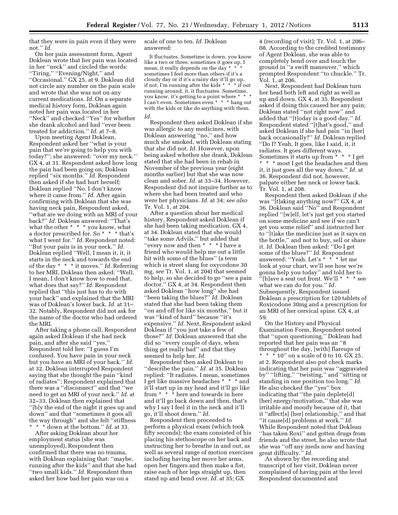that they were in pain even if they were not.'' *Id.* 

On her pain assessment form, Agent Doklean wrote that her pain was located in her ''neck'' and circled the words: ''Tiring,'' ''Evening/Night,'' and ''Occasional.'' GX 25, at 9. Doklean did not circle any number on the pain scale and wrote that she was not on any current medications. *Id.* On a separate medical history form, Doklean again noted her pain was located in her ''Neck'' and checked ''Yes'' for whether she drank alcohol and had ''ever been treated for addiction.'' *Id.* at 7–8.

Upon meeting Agent Doklean, Respondent asked her ''what is your pain that we're going to help you with today?''; she answered: ''over my neck.'' GX 4, at 31. Respondent asked how long the pain had been going on; Doklean replied ''six months.'' *Id.* Respondent then asked if she had hurt herself; Doklean replied ''No. I don't know where it came from.'' *Id.* After again confirming with Doklean that she was having neck pain, Respondent asked, ''what are we doing with an MRI of your back?'' *Id.* Doklean answered: ''That's what the other \* \* \* you know, what a doctor prescribed for. So \* \* \* that's what I went for.'' *Id.* Respondent noted: ''But your pain is in your neck.'' *Id.*  Doklean replied ''Well, I mean it, it, it starts in the neck and towards the end of the day \* \* \* it moves.'' *Id.* Referring to her MRI, Doklean then asked: ''Well, I mean, I don't know how to read that, what does that say?'' *Id.* Respondent replied that ''this just has to do with your back'' and explained that the MRI was of Doklean's lower back. *Id.* at 31– 32. Notably, Respondent did not ask for the name of the doctor who had ordered the MRI.

After taking a phone call, Respondent again asked Doklean if she had neck pain, and after she said ''yes,'' Respondent told her: ''I guess I'm confused. You have pain in your neck but you have an MRI of your back.'' *Id.*  at 32. Doklean interrupted Respondent saying that she thought the pain ''kind of radiates''; Respondent explained that there was a ''disconnect'' and that ''we need to get an MRI of your neck.'' *Id.* at 32–33. Doklean then explained that ''[b]y the end of the night it goes up and down'' and that ''sometimes it goes all the way through'' and she felt ''stiffness \* \* \* down at the bottom.'' *Id.* at 33.

After asking Doklean about her employment status (she was unemployed), Respondent then confirmed that there was no trauma, with Doklean explaining that: ''maybe, running after the kids'' and that she had ''two small kids.'' *Id.* Respondent then asked her how bad her pain was on a

scale of one to ten. *Id.* Doklean answered:

It fluctuates. Sometime is down, you know like a two or three, sometimes it goes up. I mean, it really depends on the day \* \* sometimes I feel more than others if it's a cloudy day or if it's a rainy day it'll go up, if not, I'm running after the kids \* \* \* if out running around, it, it fluctuates. Sometime, you know, it's getting to a point where  $^{\star}$ I can't even. Sometimes even \* \* \* hang out with the kids or like do anything with them. *Id.* 

Respondent then asked Doklean if she was allergic to any medicines, with Doklean answering ''no,'' and how much she smoked, with Doklean stating that she did not. *Id.* However, upon being asked whether she drank, Doklean stated that she had been in rehab in November of the previous year (eight months earlier) but that she was now clean and sober. *Id.* at 33–34. However, Respondent did not inquire further as to where she had been treated and who were her physicians. *Id.* at 34; *see also*  Tr. Vol. 1, at 204.

After a question about her medical history, Respondent asked Doklean if she had been taking medication. GX 4, at 34. Doklean stated that she would ''take some Advils,'' but added that ''every now and then \* \* \* I have a friend who would help me out a little bit with some of the blues'' (a term which is street slang for oxycodone 30 mg, *see* Tr. Vol. 1, at 204) that seemed to help, so she decided to go ''see a pain doctor.'' GX 4, at 34. Respondent then asked Doklean ''how long'' she had ''been taking the blues?'' *Id.* Doklean stated that she had been taking them ''on and off for like six months,'' but it was ''kind of hard'' because ''it's expensive.'' *Id.* Next, Respondent asked Doklean if ''you just take a few of those?'' *Id.* Doklean answered that she did so ''every couple of days, when thing get really bad'' and that they seemed to help her. *Id.* 

Respondent then asked Doklean to ''describe the pain.'' *Id.* at 35. Doklean replied: ''It radiates. I mean, sometimes I get like massive headaches \* \* \* and it'll start up in my head and it'll go like from \* \* \* here and towards in here and it'll go back down and then, that's why I say I feel it in the neck and it'll go, it'll shoot down.'' *Id.* 

Respondent then proceeded to perform a physical exam (which took fifty seconds); the exam consisted of his placing his stethoscope on her back and instructing her to breathe in and out, as well as several range of motion exercises including having her move her arms, open her fingers and then make a fist, raise each of her legs straight up, then stand up and bend over. *Id.* at 35; GX

4 (recording of visit); Tr. Vol. 1, at 206– 08. According to the credited testimony of Agent Doklean, she was able to completely bend over and touch the ground in ''a swift maneuver,'' which prompted Respondent ''to chuckle.'' Tr. Vol. 1, at 206.

Next, Respondent had Doklean turn her head both left and right as well as up and down. GX 4, at 35. Respondent asked if doing this caused her any pain; Doklean stated ''not right now'' and added that ''[t]oday is a good day.'' *Id.*  Respondent stated ''[t]hat's good,'' and asked Doklean if she had pain ''in [her] back occasionally?'' *Id.* Doklean replied ''Do I? Yeah, It goes, like I said, it, it radiates. It goes different ways. Sometimes it starts up from \* \* \* I get \* \* \* most I get the headaches and then it, it just goes all the way down.'' *Id.* at 36. Respondent did not, however, palpate either her neck or lower back. Tr. Vol. 1, at 208.

Respondent then asked Doklean if she was ''[t]aking anything now?'' GX 4, at 36. Doklean said ''No'' and Respondent replied ''[w]ell, let's just get you started on some medicine and see if we can't get you some relief'' and instructed her to ''[t]ake the medicine just as it says on the bottle,'' and not to buy, sell or share it. *Id.* Doklean then asked: ''Do I get some of the blues?'' *Id.* Respondent answered: ''Yeah. Let's \* \* \* let me look at your chart, we'll see how we're gonna help you today'' and told her to ''[h]ave a seat out front. We'll \* \* \* see what we can do for you.'' *Id.*  Subsequently, Respondent issued Doklean a prescription for 120 tablets of Roxicodone 30mg and a prescription for an MRI of her cervical spine. GX 4, at 59.

On the History and Physical Examination Form, Respondent noted that ''upon questioning,'' Doklean had reported that her pain was an ''8 throughout the day, [with] flareups of \* \* \* 10'' on a scale of 0 to 10. GX 25, at 2. Respondent also put check marks indicating that her pain was ''aggravated by" "lifting," "twisting," and "sitting or standing in one position too long.'' *Id.*  He also checked the ''yes'' box indicating that ''the pain deplete[d] [her] energy/motivation," that she was irritable and moody because of it, that it ''affect[s] [her] relationship,'' and that ''it cause[d] problems at work.'' *Id.*  While Respondent noted that Doklean ''has taken Roxi'' and gotten drugs from friends and the street, he also wrote that she was ''off any meds now and having great difficulty.'' *Id.* 

As shown by the recording and transcript of her visit, Doklean never complained of having pain at the level Respondent documented and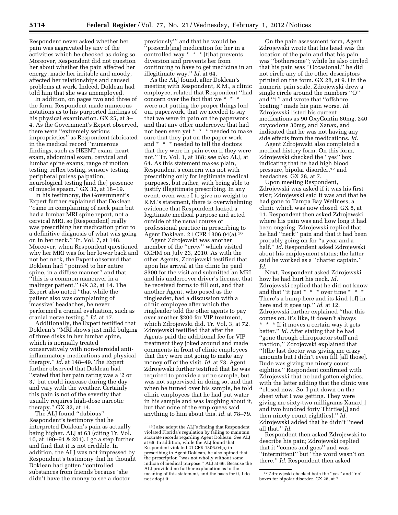Respondent never asked whether her pain was aggravated by any of the activities which he checked as doing so. Moreover, Respondent did not question her about whether the pain affected her energy, made her irritable and moody, affected her relationships and caused problems at work. Indeed, Doklean had told him that she was unemployed.

In addition, on pages two and three of the form, Respondent made numerous notations as to his purported findings of his physical examination. GX 25, at 3– 4. As the Government's Expert observed, there were ''extremely serious improprieties'' as Respondent fabricated in the medical record ''numerous findings, such as HEENT exam, heart exam, abdominal exam, cervical and lumbar spine exams, range of motion testing, reflex testing, sensory testing, peripheral pulses palpation, neurological testing [and the] presence of muscle spasm.'' GX 32, at 18–19.

In his testimony, the Government's Expert further explained that Doklean ''came in complaining of neck pain but had a lumbar MRI spine report, not a cervical MRI, so [Respondent] really was prescribing her medication prior to a definitive diagnosis of what was going on in her neck.'' Tr. Vol. 7, at 148. Moreover, when Respondent questioned why her MRI was for her lower back and not her neck, the Expert observed that Doklean had ''pointed to her entire spine, in a diffuse manner'' and that ''this is a common maneuver in a malinger patient.'' GX 32, at 14. The Expert also noted ''that while the patient also was complaining of 'massive' headaches, he never performed a cranial evaluation, such as cranial nerve testing.'' *Id.* at 17.

Additionally, the Expert testified that Doklean's ''MRI shows just mild bulging of three disks in her lumbar spine, which is normally treated conservatively with non-steroidal antiinflammatory medications and physical therapy.'' *Id.* at 148–49. The Expert further observed that Doklean had ''stated that her pain rating was a '2 or 3,' but could increase during the day and vary with the weather. Certainly this pain is not of the severity that usually requires high-dose narcotic therapy."  $\dot{G}X$  32, at 14.

The ALJ found ''dubious'' Respondent's testimony that he interpreted Doklean's pain as actually being higher. ALJ at 63 (citing Tr. Vol. 10, at 190–91 & 201). I go a step further and find that it is not credible. In addition, the ALJ was not impressed by Respondent's testimony that he thought Doklean had gotten ''controlled substances from friends because 'she didn't have the money to see a doctor

previously''' and that he would be ''prescrib[ing] medication for her in a controlled way \* \* \* [t]hat prevents diversion and prevents her from continuing to have to get medicine in an illegitimate way.'' *Id.* at 64.

As the ALJ found, after Doklean's meeting with Respondent, R.M., a clinic employee, related that Respondent ''had concern over the fact that we \* \* \* were not putting the proper things [on] our paperwork, that we needed to say that we were in pain on the paperwork and that any other undercover that had not been seen yet \* \* \* needed to make sure that they put on the paper work and \* \* \* needed to tell the doctors that they were in pain even if they were not.'' Tr. Vol. 1, at 188; *see also* ALJ, at 64. As this statement makes plain, Respondent's concern was not with prescribing only for legitimate medical purposes, but rather, with being able to justify illegitimate prescribing. In any event, even were I to give no weight to R.M.'s statement, there is overwhelming evidence that Respondent lacked a legitimate medical purpose and acted outside of the usual course of professional practice in prescribing to Agent Doklean. 21 CFR 1306.04(a).16

Agent Zdrojewski was another member of the ''crew'' which visited CCHM on July 23, 2010. As with the other Agents, Zdrojewski testified that upon his arrival at the clinic he paid \$300 for the visit and submitted an MRI and his undercover driver's license, that he received forms to fill out, and that another Agent, who posed as the ringleader, had a discussion with a clinic employee after which the ringleader told the other agents to pay over another \$200 for VIP treatment, which Zdrojewski did. Tr. Vol. 3, at 72. Zdrojewski testified that after the Agents paid the additional fee for VIP treatment they joked around and made comments in front of clinic employees that they were not going to make any money off of the visit. *Id.* at 73. Agent Zdrojewski further testified that he was required to provide a urine sample, but was not supervised in doing so, and that when he turned over his sample, he told clinic employees that he had put water in his sample and was laughing about it, but that none of the employees said anything to him about this. *Id.* at 78–79.

On the pain assessment form, Agent Zdrojewski wrote that his head was the location of the pain and that his pain was ''bothersome''; while he also circled that his pain was ''Occasional,'' he did not circle any of the other descriptors printed on the form. GX 28, at 9. On the numeric pain scale, Zdrojewski drew a single circle around the numbers ''O'' and ''1'' and wrote that ''offshore boating'' made his pain worse. *Id.*  Zdrojewski listed his current medications as 90 OxyContin 80mg, 240 oxycodone 30mg, and Xanax, and indicated that he was not having any side effects from the medications. *Id.* 

Agent Zdrojewski also completed a medical history form. On this form, Zdrojewski checked the ''yes'' box indicating that he had high blood pressure, bipolar disorder,17 and headaches. GX 28, at 7.

Upon meeting Respondent, Zdrojewski was asked if it was his first visit; Zdrojewski said it was and that he had gone to Tampa Bay Wellness, a clinic which was now closed. GX 8, at 11. Respondent then asked Zdrojewski where his pain was and how long it had been ongoing; Zdrojewski replied that he had ''neck'' pain and that it had been probably going on for ''a year and a half.'' *Id.* Respondent asked Zdrojewski about his employment status; the latter said he worked as a ''charter captain.'' *Id.* 

Next, Respondent asked Zdrojewski how he had hurt his neck. *Id.*  Zdrojewski replied that he did not know and that ''it just \* \* \* over time \* \* \* There's a bump here and its kind [of] in here and it goes up.'' *Id.* at 12. Zdrojewski further explained ''that this comes on. It's like, it doesn't always \* \* \* If it moves a certain way it gets better.'' *Id.* After stating that he had ''gone through chiropractor stuff and traction,'' Zdrojewski explained that ''[t]he last doctor was giving me crazy amounts but I didn't even fill [all those]. Dude was giving me ninety count eighties.'' Respondent confirmed with Zdrojewski that he had gotten eighties, with the latter adding that the clinic was ''closed now. So, I put down on the sheet what I was getting. They were giving me sixty-two milligrams Xanax[,] and two hundred forty Thirties[,] and then ninety count eight[ies].'' *Id.*  Zdrojewski added that he didn't ''need all that.'' *Id.* 

Respondent then asked Zdrojewski to describe his pain; Zdrojewski replied that it ''comes and goes'' and was ''intermittent'' but ''the word wasn't on there.'' *Id.* Respondent then asked

<sup>16</sup> I also adopt the ALJ's finding that Respondent violated Florida's regulation by failing to maintain accurate records regarding Agent Doklean. *See* ALJ at 65. In addition, while the ALJ found that Respondent violated 21 CFR 1306.04(a) in prescribing to Agent Doklean, he also opined that the prescription ''was not wholly without some indicia of medical purpose.'' ALJ at 66. Because the ALJ provided no further explanation as to the meaning of this statement, and the basis for it, I do not adopt it.

<sup>17</sup>Zdrowjeski checked both the ''yes'' and ''no'' boxes for bipolar disorder. GX 28, at 7.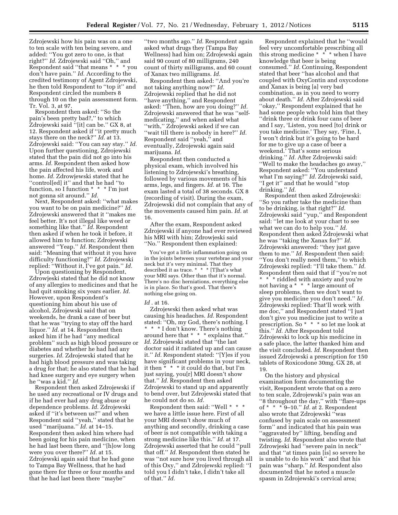Zdrojewski how his pain was on a one to ten scale with ten being severe, and added: ''You got zero to one, is that right?'' *Id.* Zdrojewski said ''Oh,'' and Respondent said ''that means \* \* \* you don't have pain.'' *Id.* According to the credited testimony of Agent Zdrojewski, he then told Respondent to ''top it'' and Respondent circled the numbers 8 through 10 on the pain assessment form. Tr. Vol. 3, at 97.

Respondent then asked: ''So the pain's been pretty bad?,'' to which Zdrojewski said ''[it] can be.'' GX 8, at 12. Respondent asked if ''it pretty much stays there on the neck?'' *Id.* at 13. Zdrojewski said: ''You can say stay.'' *Id.*  Upon further questioning, Zdrojewski stated that the pain did not go into his arms. *Id.* Respondent then asked how the pain affected his life, work and home. *Id.* Zdrowjewski stated that he ''control[ed] it'' and that he had ''to function, so I function \* \* \* I'm just not gonna sit around.'' *Id.* 

Next, Respondent asked: ''what makes you want to be on pain medicine?'' *Id.*  Zdrojewski answered that it ''makes me feel better. It's not illegal like weed or something like that.'' *Id.* Respondent then asked if when he took it before, it allowed him to function; Zdrojewski answered ''Yeap.'' *Id.* Respondent then said: ''Meaning that without it you have difficulty functioning?'' *Id.* Zdrojewski replied: ''Without it, I've got pain.'' *Id.* 

Upon questioning by Respondent, Zdrowjeski stated that he did not know of any allergies to medicines and that he had quit smoking six years earlier. *Id.*  However, upon Respondent's questioning him about his use of alcohol, Zdrojewski said that on weekends, he drank a case of beer but that he was ''trying to stay off the hard liquor.'' *Id.* at 14. Respondent then asked him if he had ''any medical problem'' such as high blood pressure or diabetes and whether he had had any surgeries. *Id.* Zdrojewski stated that he had high blood pressure and was taking a drug for that; he also stated that he had had knee surgery and eye surgery when he ''was a kid.'' *Id.* 

Respondent then asked Zdrojewski if he used any recreational or IV drugs and if he had ever had any drug abuse or dependence problems. *Id.* Zdrojewski asked if ''it's between us?'' and when Respondent said ''yeah,'' stated that he used ''marijuana.'' *Id.* at 14–15. Respondent then asked him where had been going for his pain medicine, when he had last been there, and ''[h]ow long were you over there?'' *Id.* at 15. Zdrojewski again said that he had gone to Tampa Bay Wellness, that he had gone there for three or four months and that he had last been there ''maybe''

''two months ago.'' *Id.* Respondent again asked what drugs they (Tampa Bay Wellness) had him on; Zdrojewski again said 90 count of 80 milligrams, 240 count of thirty milligrams, and 60 count of Xanax two milligrams. *Id.* 

Respondent then asked: ''And you're not taking anything now?'' *Id.*  Zdrojewski replied that he did not ''have anything,'' and Respondent asked: ''Then, how are you doing?'' *Id.*  Zdrojewski answered that he was ''selfmedicating,'' and when asked what ''with,'' Zdrojewski asked if we can ''wait till there is nobody in here?'' *Id.*  Respondent said ''yeah,'' and eventually, Zdrojewski again said marijuana. *Id.* 

Respondent then conducted a physical exam, which involved his listening to Zdrojewski's breathing, followed by various movements of his arms, legs, and fingers. *Id.* at 16. The exam lasted a total of 38 seconds. GX 8 (recording of visit). During the exam, Zdrojewski did not complain that any of the movements caused him pain. *Id.* at 16.

After the exam, Respondent asked Zdrojewski if anyone had ever reviewed his MRI with him; Zdrowjeski said ''No.'' Respondent then explained:

You've got a little inflammation going on in the joints between your vertebrae and your neck but it's very minimal. That they described it as trace. \* \* \* [T]hat's what your MRI says. Other than that it's normal. There's no disc herniations, everything else is in place. So that's good. That there's nothing else going on.

#### *Id* . at 16.

Zdrojewski then asked what was causing his headaches. *Id.* Respondent stated: ''Oh, my God, there's nothing. I \* \* \* I don't know. There's nothing around here that \* \* \* explains that.'' *Id.* Zdrojewski stated that ''the last doctor said it radiated up and can cause it.'' *Id.* Respondent stated: ''[Y]es if you have significant problems in your neck, it then \* \* \* it could do that, but I'm just saying, you[r] MRI doesn't show that.'' *Id.* Respondent then asked Zdrojewski to stand up and apparently to bend over, but Zdrojewski stated that he could not do so. *Id.* 

Respondent then said: ''Well \* \* \* we have a little issue here. First of all your MRI doesn't show much of anything and secondly, drinking a case of beer is not compatible with taking a strong medicine like this.'' *Id.* at 17. Zdrojewski asserted that he could ''pull that off.'' *Id.* Respondent then stated he was ''not sure how you lived through all of this Oxy,'' and Zdrojewski replied: ''I told you I didn't take, I didn't take all of that.'' *Id.* 

Respondent explained that he ''would feel very uncomfortable prescribing all this strong medicine \* \* \* when I have knowledge that beer is being consumed.'' *Id.* Continuing, Respondent stated that beer ''has alcohol and that coupled with OxyContin and oxycodone and Xanax is being [a] very bad combination, as in you need to worry about death.'' *Id.* After Zdrojewski said "okay," Respondent explained that he had some people who told him that they ''drink three or drink four cans of beer and I say, 'Listen, you need [to] drink or you take medicine.' They say, 'Fine, I, I won't drink but it's going to be hard for me to give up a case of beer a weekend.' That's some serious drinking.'' *Id.* After Zdrojewski said: ''Well to make the headaches go away,'' Respondent asked: ''You understand what I'm saying?'' *Id.* Zdrojewski said, ''I get it'' and that he would ''stop drinking.'' *Id.* 

Respondent then asked Zdrojewski: ''So you rather take the medicine than to be drinking, is that right?'' *Id.*  Zdrojewski said ''yup,'' and Respondent said: ''let me look at your chart to see what we can do to help you.'' *Id.*  Respondent then asked Zdrojewski what he was ''taking the Xanax for?'' *Id.*  Zdrojewski answered: ''they just gave them to me.'' *Id.* Respondent then said: ''You don't really need them,'' to which Zdrojewski replied: ''I'll take them.'' *Id.*  Respondent then said that if ''you're not \* \* \* riddled with anxiety and you're not having a \* \* \* large amount of sleep problems, then we don't want to give you medicine you don't need.'' *Id.*  Zdrojewski replied: That'll work with me doc,'' and Respondent stated ''I just don't give you medicine just to write a prescription. So \* \* \* so let me look at this.'' *Id.* After Respondent told Zdrojewski to lock up his medicine in a safe place, the latter thanked him and the visit concluded. *Id.* Respondent then issued Zdrojewski a prescription for 150 tablets of Roxicodone 30mg. GX 28, at 19.

On the history and physical examination form documenting the visit, Respondent wrote that on a zero to ten scale, Zdrojewski's pain was an ''8 throughout the day,'' with ''flare-ups of \* \* \* 9–10.'' *Id.* at 2. Respondent also wrote that Zdrojewski ''was confused by pain scale on assessment form'' and indicated that his pain was ''aggravated by'' lifting, bending and twisting. *Id.* Respondent also wrote that Zdrowjeski had "severe pain in neck" and that ''at times pain [is] so severe he is unable to do his work'' and that his pain was ''sharp.'' *Id.* Respondent also documented that he noted a muscle spasm in Zdrojewski's cervical area;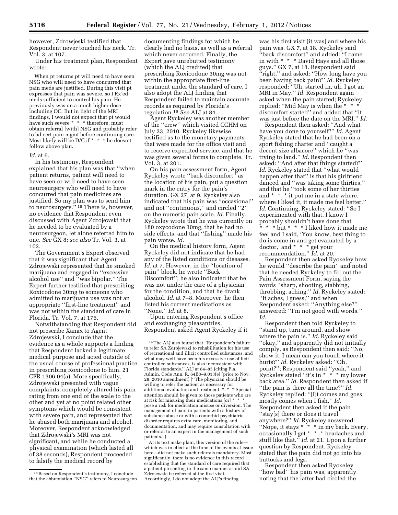however, Zdrowjeski testified that Respondent never touched his neck. Tr. Vol. 3, at 107.

Under his treatment plan, Respondent wrote:

When pt returns pt will need to have seen NSG who will need to have concurred that pain meds are justified. During this visit pt expresses that pain was severe, so I Rx'ed meds sufficient to control his pain. He previously was on a much higher dose including OC. But in light of the MRI findings, I would not expect that pt would have such severe \* \* \* therefore, must obtain referral [with] NSG and probably refer to bd cert pain mgmt before continuing care. Most likely will be D/C if \* \* \* he doesn't follow above plan.

#### *Id.* at 6.

In his testimony, Respondent explained that his plan was that ''when patient returns, patient will need to have seen or will need to have seen neurosurgery who will need to have concurred that pain medicines are justified. So my plan was to send him to neurosurgery.'' 18 There is, however, no evidence that Respondent even discussed with Agent Zdrojewski that he needed to be evaluated by a neurosurgeon, let alone referred him to one. *See* GX 8; *see also* Tr. Vol. 3, at 102.

The Government's Expert observed that it was significant that Agent Zdrojewski represented that he smoked marijuana and engaged in ''excessive alcohol use'' and ''was bipolar.'' The Expert further testified that prescribing Roxicodone 30mg to someone who admitted to marijuana use was not an appropriate ''first-line treatment'' and was not within the standard of care in Florida. Tr. Vol. 7, at 176.

Notwithstanding that Respondent did not prescribe Xanax to Agent Zdrojewski, I conclude that the evidence as a whole supports a finding that Respondent lacked a legitimate medical purpose and acted outside of the usual course of professional practice in prescribing Roxicodone to him. 21 CFR 1306.04(a). More specifically, Zdrojewski presented with vague complaints, completely altered his pain rating from one end of the scale to the other and yet at no point related other symptoms which would be consistent with severe pain, and represented that he abused both marijuana and alcohol. Moreover, Respondent acknowledged that Zdrojewski's MRI was not significant, and while he conducted a physical examination (which lasted all of 38 seconds), Respondent proceeded to falsify the medical record by

documenting findings for which he clearly had no basis, as well as a referral which never occurred. Finally, the Expert gave unrebutted testimony (which the ALJ credited) that prescribing Roxicodone 30mg was not within the appropriate first-line treatment under the standard of care. I also adopt the ALJ finding that Respondent failed to maintain accurate records as required by Florida's regulation.19 *See* ALJ at 84.

Agent Ryckeley was another member of the ''crew'' which visited CCHM on July 23, 2010. Ryckeley likewise testified as to the monetary payments that were made for the office visit and to receive expedited service, and that he was given several forms to complete. Tr. Vol. 3, at 201.

On his pain assessment form, Agent Ryckeley wrote ''back discomfort'' as the location of his pain, put a question mark in the entry for the pain's duration. GX 27, at 9. Ryckeley also indicated that his pain was ''occasional'' and not ''continuous,'' and circled ''2'' on the numeric pain scale. *Id.* Finally, Ryckeley wrote that he was currently on 180 oxycodone 30mg, that he had no side effects, and that ''fishing'' made his pain worse. *Id.* 

On the medical history form, Agent Ryckeley did not indicate that he had any of the listed conditions or diseases. *Id.* at 7. However, in the ''location of pain'' block, he wrote ''Back Discomfort''; he also indicated that he was not under the care of a physician for the condition, and that he drank alcohol. *Id.* at 7–8. Moreover, he then listed his current medications as ''None.'' *Id.* at 8.

Upon entering Respondent's office and exchanging pleasantries, Respondent asked Agent Ryckeley if it

At its text make plain, this version of the rule which was in effect at the time of the events at issue here—did not make such referrals mandatory. Most significantly, there is no evidence in this record establishing that the standard of care required that a patient presenting in the same manner as did SA Zdrojewski be referred at the first visit. Accordingly, I do not adopt the ALJ's finding.

was his first visit (it was) and where his pain was. GX 7, at 18. Ryckeley said ''back discomfort'' and added: ''I came in with \* \* \* David Hays and all those guys.'' GX 7, at 18. Respondent said ''right,'' and asked: ''How long have you been having back pain?'' *Id.* Ryckeley responded: ''Uh, started in, uh, I got an MRI in May.'' *Id.* Respondent again asked when the pain started; Ryckeley replied: ''Mid May is when the \* \* \* discomfort started'' and added that ''it was just before the date on the MRI.'' *Id.* 

Respondent then asked: ''And what have you done to yourself?'' *Id.* Agent Ryckeley stated that he had been on a sport fishing charter and ''caught a decent size albacore'' which he ''was trying to land.'' *Id.* Respondent then asked: ''And after that things started?'' *Id.* Ryckeley stated that ''what would happen after that'' is that his girlfriend danced and ''was taking some thirties,'' and that he ''took some of her thirties and \* \* \* it put me in a state where, where I liked it, it made me feel better.'' *Id.* Continuing, Ryckeley stated: ''So I experimented with that, I know I probably shouldn't have done that \* \* \* but \* \* \* I liked how it made me feel and I said, 'You know, best thing to do is come in and get evaluated by a doctor,' and \* \* \* get your recommendation.'' *Id.* at 20.

Respondent then asked Ryckeley how he would ''describe the pain'' and noted that he needed Ryckeley to fill out the Pain Assessment Form, saying the words ''sharp, shooting, stabbing, throbbing, aching.'' *Id.* Ryckeley stated: ''It aches, I guess,'' and when Respondent asked: ''Anything else?'' answered: ''I'm not good with words.'' *Id.* 

Respondent then told Ryckeley to ''stand up, turn around, and show where the pain is.'' *Id.* Ryckeley said ''okay,'' and apparently did not initially comply, as Respondent then said: ''No, show it, I mean can you touch where it hurts?'' *Id.* Ryckeley asked: ''Oh, point?''; Respondent said ''yeah,'' and Ryckeley stated ''it's in \* \* \* my lower back area.'' *Id.* Respondent then asked if ''the pain is there all the time?'' *Id.*  Ryckeley replied: ''[I]t comes and goes, mostly comes when I fish.'' *Id.*  Respondent then asked if the pain ''stay[s] there or does it travel anywhere?'' *Id.* Ryckeley answered: ''Nope, it stays \* \* \* in my back. Every, occasionally I get \* \* \* headaches and stuff like that.'' *Id.* at 21. Upon a further question by Respondent, Ryckeley stated that the pain did not go into his buttocks and legs.

Respondent then asked Ryckeley ''how bad'' his pain was, apparently noting that the latter had circled the

<sup>18</sup>Based on Respondent's testimony, I conclude that the abbreviation ''NSG'' refers to Neurosurgeon.

<sup>19</sup>The ALJ also found that ''Respondent's failure to refer SA Zdrojewski to rehabilitation for his use of recreational and illicit controlled substances, and what may well have been his excessive use of licit controlled substances, is also inconsistent with Florida standards.'' ALJ at 84–85 (citing Fla. Admin. Code Ann. R. 64B8–9.013(e) (prior to Nov. 28, 2010 amendment) (''The physician should be willing to refer the patient as necessary for additional evaluation and treatment. \* \* \* Special attention should be given to those patients who are at risk for misusing their medications [or] \* \* \* pose a risk for medication misuse or diversion. The management of pain in patients with a history of substance abuse or with a comorbid psychiatric disorder requires extra care, monitoring, and documentation, and may require consultation with or referral to an expert in the management of such patients.'').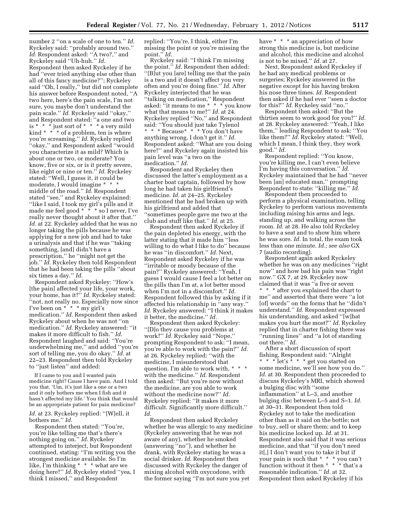number 2 ''on a scale of one to ten.'' *Id.*  Ryckeley said: ''probably around two.'' *Id.* Respondent asked: ''A two?,'' and Ryckeley said ''Uh-huh.'' *Id.*  Respondent then asked Ryckeley if he had ''ever tried anything else other than all of this fancy medicine?''; Ryckeley said ''Oh, I really,'' but did not complete his answer before Respondent noted, ''A two here, here's the pain scale, I'm not sure, you maybe don't understand the pain scale.'' *Id.* Ryckeley said ''okay,'' and Respondent stated: ''a one and two is \* \* \* just sort of \* \* \* a very mild kind \* \* \* of a problem, ten is where you're screaming.'' *Id.* Ryckely replied ''okay,'' and Respondent asked ''would you characterize it as mild? Which is about one or two, or moderate? You know, five or six, or is it pretty severe, like eight or nine or ten.'' *Id.* Ryckeley stated: ''Well, I guess it, it could be moderate, I would imagine \* \* \* middle of the road.'' *Id.* Respondent stated ''see,'' and Ryckeley explained: ''like I said, I took my girl's pills and it made me feel good \* \* \* so I never, I've really never thought about it after that.'' *Id.* at 22. Ryckeley added that he was no longer taking the pills because he was applying for a new job and had to take a urinalysis and that if he was ''taking something, [and] didn't have a prescription,'' he ''might not get the job.'' *Id.* Ryckeley then told Respondent that he had been taking the pills ''about six times a day.'' *Id.* 

Respondent asked Ryckeley: ''How's [the pain] affected your life, your work, your home, has it?'' *Id.* Ryckeley stated: ''not, not really no. Especially now since I've been on \* \* \* my girl's medication.'' *Id.* Respondent then asked Ryckeley about when he was not ''on medication.'' *Id.* Ryckeley answered: ''it makes it more difficult to fish.'' *Id.*  Respondent laughed and said: ''You're underwhelming me,'' and added ''you're sort of telling me, you do okay.'' *Id.* at 22–23. Respondent then told Ryckeley to ''just listen'' and added:

If I came to you and I wanted pain medicine right? Cause I have pain. And I told you that, 'Um, it's just like a one or a two and it only bothers me when I fish and it hasn't affected my life.' You think that would be an appropriate patient for pain medicine?

*Id.* at 23. Ryckeley replied: ''[W]ell, it bothers me.'' *Id.* 

Respondent then stated: ''You're, you're like telling me that's there's nothing going on.'' *Id.* Ryckeley attempted to interject, but Respondent continued, stating: ''I'm writing you the strongest medicine available. So I'm like, I'm thinking \* \* \* what are we doing here?'' *Id.* Ryckeley stated ''yea, I think I missed,'' and Respondent

replied: ''You're, I think, either I'm missing the point or you're missing the point.'' *Id.* 

Ryckeley said: ''I think I'm missing the point.'' *Id.* Respondent then added: ''[B]ut you [are] telling me that the pain is a two and it doesn't affect you very often and you're doing fine.'' *Id.* After Ryckeley interjected that he was ''talking on medication,'' Respondent asked: ''it means to me \* \* \* you know what that means to me?" *Id.* at 24. Ryckeley replied ''No,'' and Respondent said: ''You should just take Tylenol \* \* \* Because\* \* \* You don't have anything wrong, I don't get it.'' *Id.*  Respondent asked: ''What are you doing here?'' and Ryckeley again insisted his pain level was ''a two on the medication.'' *Id.* 

Respondent and Ryckeley then discussed the latter's employment as a charter boat captain, followed by how long he had taken his girlfriend's medicine. *Id.* at 24–25. Ryckeley mentioned that he had broken up with his girlfriend and added that ''sometimes people gave me two at the club and stuff like that.'' *Id.* at 25.

Respondent then asked Ryckeley if the pain depleted his energy, with the latter stating that it made him ''less willing to do what I like to do'' because he was ''in discomfort.'' *Id.* Next, Respondent asked Ryckeley if he was ''irritable or moody because of the pain?'' Ryckeley answered: ''Yeah, I guess I would cause I feel a lot better on the pills than I'm at, a lot better mood when I'm not in a discomfort.'' *Id.*  Respondent followed this by asking if it affected his relationship in ''any way.'' *Id.* Ryckeley answered: ''I think it makes it better, the medicine.'' *Id.* 

Respondent then asked Ryckeley: ''[D]o they cause you problems at work?'' *Id.* Ryckeley said ''Nope,'' prompting Respondent to ask: ''I mean, you're able to work with the pain?'' *Id.*  at 26. Ryckeley replied: ''with the medicine, I misunderstood that question. I'm able to work with, \* \* \* with the medicine.'' *Id.* Respondent then asked: ''But you're now without the medicine, are you able to work without the medicine now?'' *Id.*  Ryckeley replied: ''It makes it more difficult. Significantly more difficult.'' *Id.* 

Respondent then asked Ryckeley whether he was allergic to any medicine (Ryckeley answering that he was not aware of any), whether he smoked (answering ''no''), and whether he drank, with Ryckeley stating he was a social drinker. *Id.* Respondent then discussed with Ryckeley the danger of mixing alcohol with oxycodone, with the former saying ''I'm not sure you yet

have \* \* \* an appreciation of how strong this medicine is, but medicine and alcohol, this medicine and alcohol is not to be mixed.'' *Id.* at 27.

Next, Respondent asked Ryckeley if he had any medical problems or surgeries; Ryckeley answered in the negative except for his having broken his nose three times. *Id.* Respondent then asked if he had ever ''seen a doctor for this?'' *Id.* Ryckeley said ''no.''

Respondent then asked: ''But the thirties seem to work good for you?'' *Id.*  at 28. Ryckeley answered: ''Yeah, I like them,'' leading Respondent to ask: ''You like them?'' *Id.* Ryckeley stated: ''Well, which I mean, I think they, they work good.'' *Id.* 

Respondent replied: ''You know, you're killing me, I can't even believe I'm having this conversation.'' *Id.*  Ryckeley maintained that he had ''never been [an] educated man," prompting Respondent to state: ''killing me.'' *Id.* 

Respondent then proceeded to perform a physical examination, telling Ryckeley to perform various movements including raising his arms and legs, standing up, and walking across the room. *Id.* at 28. He also told Ryckeley to have a seat and to show him where he was sore. *Id.* In total, the exam took less than one minute. *Id.; see also* GX 7 (audio recording).

Respondent again asked Ryckeley whether he was on any medicines "right now'' and how bad his pain was ''right now.'' GX 7, at 29. Ryckeley now claimed that it was ''a five or seven \* \* \* after you explained the chart to me'' and asserted that there were ''a lot [of] words'' on the forms that he ''didn't understand.'' *Id.* Respondent expressed his understanding, and asked ''[w]hat makes you hurt the most?'' *Id.* Ryckeley replied that in charter fishing there was ''running lines'' and ''a lot of standing out there.'' *Id.* 

After a short discussion of sport fishing, Respondent said: ''Alright  $* * * !$  let's  $* * *$  get you started on some medicine, we'll see how you do.'' *Id.* at 30. Respondent then proceeded to discuss Ryckeley's MRI, which showed a bulging disc with ''some inflammation'' at L–3, and another bulging disc between L–5 and S–1. *Id.*  at 30–31. Respondent then told Ryckeley not to take the medication other than as it said on the bottle; not to buy, sell or share them; and to keep his medicine locked up. *Id.* at 31. Respondent also said that it was serious medicine, and that ''if you don't need it[,] I don't want you to take it but if your pain is such that \* \* \* you can't function without it then \* \* \* that's a reasonable indication.'' *Id.* at 32. Respondent then asked Ryckeley if his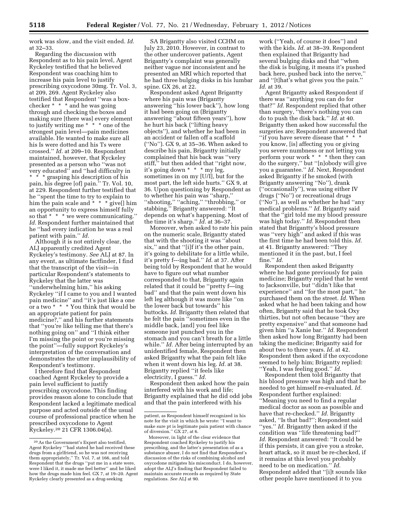work was slow, and the visit ended. *Id.*  at 32–33.

Regarding the discussion with Respondent as to his pain level, Agent Ryckeley testified that he believed Respondent was coaching him to increase his pain level to justify prescribing oxycodone 30mg. Tr. Vol. 3, at 209, 269. Agent Ryckeley also testified that Respondent ''was a boxchecker \* \* \* and he was going through and checking the boxes and making sure [there was] every element to justify writing me  $* * * \circ$  one of the strongest pain level—pain medicines available. He wanted to make sure all his Is were dotted and his Ts were crossed.'' *Id.* at 209–10. Respondent maintained, however, that Ryckeley presented as a person who ''was not very educated'' and ''had difficulty in \* \* \* grasping his description of his

pain, his degree [of] pain.'' Tr. Vol. 10, at 229. Respondent further testified that he ''spent the time to try to explain to him the pain scale and  $* * *$  give[] him him the pain scare and<br>an opportunity to express himself fully so that \* \* \* we were communicating. *Id.* Respondent further maintained that he ''had every indication he was a real patient with pain.'' *Id.* 

Although it is not entirely clear, the ALJ apparently credited Agent Ryckeley's testimony. *See* ALJ at 87. In any event, as ultimate factfinder, I find that the transcript of the visit—in particular Respondent's statements to Ryckeley that the latter was ''underwhelming him,'' his asking Ryckeley ''if I came to you and I wanted pain medicine'' and ''it's just like a one or a two \* \* \* You think that would be an appropriate patient for pain medicine?,'' and his further statements that ''you're like telling me that there's nothing going on'' and ''I think either I'm missing the point or you're missing the point''—fully support Ryckeley's interpretation of the conversation and demonstrates the utter implausibility of Respondent's testimony.

I therefore find that Respondent coached Agent Ryckeley to provide a pain level sufficient to justify prescribing oxycodone. This finding provides reason alone to conclude that Respondent lacked a legitimate medical purpose and acted outside of the usual course of professional practice when he prescribed oxycodone to Agent Ryckeley.20 21 CFR 1306.04(a).

SA Brigantty also visited CCHM on July 23, 2010. However, in contrast to the other undercover patients, Agent Brigantty's complaint was generally neither vague nor inconsistent and he presented an MRI which reported that he had three bulging disks in his lumbar spine. GX 26, at 22.

Respondent asked Agent Brigantty where his pain was (Brigantty answering ''his lower back''), how long it had been going on (Brigantty answering ''about fifteen years''), how he hurt his back (''lifting heavy objects''), and whether he had been in an accident or fallen off a scaffold (''No''). GX 9, at 35–36. When asked to describe his pain, Brigantty initially complained that his back was ''very stiff,'' but then added that ''right now, it's going down \* \* \* my leg, sometimes in on my [U/I], but for the most part, the left side hurts.'' GX 9, at 36. Upon questioning by Respondent as to whether his pain was ''sharp,'' ''shooting,'' ''aching,'' ''throbbing,'' or stabbing,'' Brigantty answered: ''It depends on what's happening. Most of the time it's sharp.'' *Id.* at 36–37.

Moreover, when asked to rate his pain on the numeric scale, Brigantty stated that with the shooting it was ''about six,'' and that ''[i]f it's the other pain, it's going to debilitate for a little while, it's pretty f---ing bad.'' *Id.* at 37. After being told by Respondent that he would have to figure out what number corresponded to that, Brigantty again related that it could be ''pretty f—ing bad'' and that the pain went down his left leg although it was more like ''on the lower back but towards'' his buttocks. *Id.* Brigantty then related that he felt the pain ''sometimes even in the middle back, [and] you feel like someone just punched you in the stomach and you can't breath for a little while.'' *Id.* After being interrupted by an unidentified female, Respondent then asked Brigantty what the pain felt like when it went down his leg. *Id.* at 38. Brigantty replied ''it feels like electricity, I guess.'' *Id.* 

Respondent then asked how the pain interfered with his work and life; Brigantty explained that he did odd jobs and that the pain interfered with his

work (''Yeah, of course it does'') and with the kids. *Id.* at 38–39. Respondent then explained that Brigantty had several bulging disks and that ''when the disk is bulging, it means it's pushed back here, pushed back into the nerve,'' and ''[t]hat's what gives you the pain.'' *Id.* at 39.

Agent Brigantty asked Respondent if there was ''anything you can do for that?'' *Id.* Respondent replied that other than surgery, ''there's nothing you can do to push the disk back.'' *Id.* at 40. Brigantty then asked how successful the surgeries are; Respondent answered that ''if you have severe disease that \* \* \* you know, [is] affecting you or giving you severe numbness or not letting you perform your work \* \* \* then they can do the surgery,'' but ''[n]obody will give you a guarantee.'' *Id.* Next, Respondent asked Brigantty if he smoked (with Brigantty answering ''No''), drank (''occasionally''), was using either IV drugs (''No'') or recreational drugs (''No''), as well as whether he had ''any medical problems.'' *Id.* Brigantty said that the ''girl told me my blood pressure was high today.'' *Id.* Respondent then stated that Brigantty's blood pressure was ''very high'' and asked if this was the first time he had been told this. *Id.*  at 41. Brigantty answered: ''They mentioned it in the past, but, I feel fine.'' *Id.* 

Respondent then asked Brigantty where he had gone previously for pain medicine; Brigantty replied that he went to Jacksonville, but ''didn't like that experience'' and ''for the most part,'' he purchased them on the street. *Id.* When asked what he had been taking and how often, Brigantty said that he took Oxy thirties, but not often because ''they are pretty expensive'' and that someone had given him ''a Xanie bar.'' *Id.* Respondent then asked how long Brigantty had been taking the medicine; Brigantty said for about two to three years. *Id.* at 42. Respondent then asked if the oxycodone seemed to help him; Brigantty replied: ''Yeah, I was feeling good.'' *Id.* 

Respondent then told Brigantty that his blood pressure was high and that he needed to get himself re-evaluated. *Id.*  Respondent further explained: ''Meaning you need to find a regular medical doctor as soon as possible and have that re-checked.'' *Id.* Brigantty asked, ''Is that bad?''; Respondent said ''yes.'' *Id.* Brigantty then asked if the condition was ''life threatening bad?'' *Id.* Respondent answered: ''It could be if this persists, it can give you a stroke, heart attack, so it must be re-checked, if it remains at this level you probably need to be on medication.'' *Id.*  Respondent added that ''[i]t sounds like other people have mentioned it to you

<sup>20</sup>As the Government's Expert also testified, Agent Ryckeley '''had stated he had received these drugs from a girlfriend, so he was not receiving them appropriately,'' Tr. Vol. 7, at 166, and told Respondent that the drugs ''put me in a state were, were I liked it, it made me feel better'' and he liked how the drugs made him feel. GX 7, at 19–20. Agent Ryckeley clearly presented as a drug-seeking

patient, as Respondent himself recognized in his note for the visit in which he wrote: ''I want to make sure pt is legitimate pain patient with chance of diversion.'' GX 27, at 6.

Moreover, in light of the clear evidence that Respondent coached Ryckeley to justify his prescribing, and the latter's presentation of as a substance abuser, I do not find that Respondent's discussion of the risks of combining alcohol and oxycodone mitigates his misconduct. I do, however, adopt the ALJ's finding that Respondent failed to maintain accurate records as required by State regulations. *See* ALJ at 90.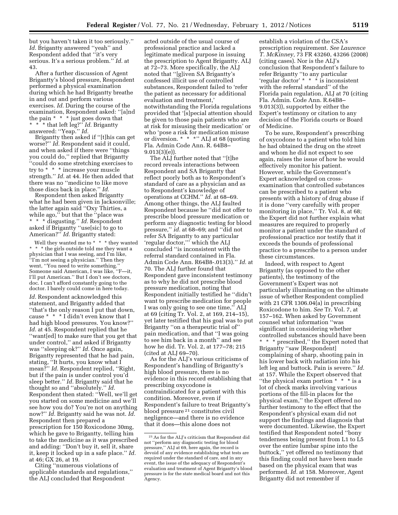but you haven't taken it too seriously.'' *Id.* Brigantty answered ''yeah'' and Respondent added that ''it's very serious. It's a serious problem.'' *Id.* at 43.

After a further discussion of Agent Brigantty's blood pressure, Respondent performed a physical examination during which he had Brigantty breathe in and out and perform various exercises. *Id.* During the course of the examination, Respondent asked: ''[a]nd the pain \* \* \* just goes down that \* \* \* that left leg?'' *Id.* Brigantty answered: ''Yeap.'' *Id.* 

Brigantty then asked if ''[t]his can get worse?'' *Id.* Respondent said it could, and when asked if there were ''things you could do,'' replied that Brigantty ''could do some stretching exercises to try to \* \* \* increase your muscle strength.'' *Id.* at 44. He then added that there was no ''medicine to like move those discs back in place.'' *Id.* 

Respondent then asked Brigantty what he had been given in Jacksonville; the latter again said ''Oxy Thirties, a while ago,'' but that the ''place was \* \* \* disgusting.'' *Id.* Respondent asked if Brigantty ''use[sic] to go to American?'' *Id.* Brigantty stated:

Well they wanted me to \* \* \* they wanted \* \* \* the girls outside told me they want a physician that I was seeing, and I'm like, ''I'm not seeing a physician.'' Then they went, ''You need to write something.'' Someone said American, I was like, ''F—it, I'll put American.'' But I don't see doctors, doc. I can't afford constantly going to the doctor. I barely could come in here today.

*Id.* Respondent acknowledged this statement, and Brigantty added that ''that's the only reason I put that down, cause \* \* \* I didn't even know that I had high blood pressures. You know?'' *Id.* at 45. Respondent replied that he ''want[ed] to make sure that you get that under control,'' and asked if Brigantty was ''sleeping ok?'' *Id.* Once again, Brigantty represented that he had pain, stating, ''It hurts, you know what I mean?'' *Id.* Respondent replied, ''Right, but if the pain is under control you'd sleep better.'' *Id.* Brigantty said that he thought so and ''absolutely.'' *Id.*  Respondent then stated: ''Well, we'll get you started on some medicine and we'll see how you do? You're not on anything now?'' *Id.* Brigantty said he was not. *Id.*  Respondent then prepared a prescription for 150 Roxicodone 30mg, which he gave to Brigantty, telling him to take the medicine as it was prescribed and adding: ''Don't buy it, sell it, share it, keep it locked up in a safe place.'' *Id.*  at 46; GX 26, at 19.

Citing ''numerous violations of applicable standards and regulations,'' the ALJ concluded that Respondent

acted outside of the usual course of professional practice and lacked a legitimate medical purpose in issuing the prescription to Agent Brigantty. ALJ at 72–73. More specifically, the ALJ noted that ''[g]iven SA Brigantty's confessed illicit use of controlled substances, Respondent failed to 'refer the patient as necessary for additional evaluation and treatment,' notwithstanding the Florida regulations provided that '[s]pecial attention should be given to those pain patients who are at risk for misusing their medication' or who 'pose a risk for medication misuse or diversion. \* \* \*'' ALJ at 68 (quoting Fla. Admin Code Ann. R. 64B8– 9.013(3)(e)).

The ALJ further noted that ''[t]he record reveals interactions between Respondent and SA Brigantty that reflect poorly both as to Respondent's standard of care as a physician and as to Respondent's knowledge of operations at CCHM.'' *Id.* at 68–69. Among other things, the ALJ faulted Respondent because he ''did not offer to prescribe blood pressure medication or perform any diagnostic testing for blood pressure,'' *id.* at 68–69; and ''did not refer SA Brigantty to any particular 'regular doctor,''' which the ALJ concluded ''is inconsistent with the referral standard contained in Fla. Admin Code Ann. R64B8-.013(3).'' *Id.* at 70. The ALJ further found that Respondent gave inconsistent testimony as to why he did not prescribe blood pressure medication, noting that Respondent initially testified he ''didn't want to prescribe medication for people I was only going to see one time,'' ALJ at 69 (citing Tr. Vol. 2, at 169, 214–15), yet later testified that his goal was to put Brigantty ''on a therapeutic trial of'' pain medication, and that ''I was going to see him back in a month'' and see how he did. Tr. Vol. 2, at 177–78; 215 (cited at ALJ 69–70).

As for the ALJ's various criticisms of Respondent's handling of Brigantty's high blood pressure, there is no evidence in this record establishing that prescribing oxycodone is contraindicated for a patient with this condition. Moreover, even if Respondent's failure to treat Brigantty's blood pressure 21 constitutes civil negligence—and there is no evidence that it does—this alone does not

establish a violation of the CSA's prescription requirement. *See Laurence T. McKinney,* 73 FR 43260, 43266 (2008) (citing cases). Nor is the ALJ's conclusion that Respondent's failure to refer Brigantty ''to any particular 'regular doctor' \* \* \* is inconsistent with the referral standard'' of the Florida pain regulation, ALJ at 70 (citing Fla. Admin. Code Ann. R.64B8– 9.013(3)), supported by either the Expert's testimony or citation to any decision of the Florida courts or Board of Medicine.

To be sure, Respondent's prescribing of oxycodone to a patient who told him he had obtained the drug on the street and whom he did not expect to see again, raises the issue of how he would effectively monitor his patient. However, while the Government's Expert acknowledged on crossexamination that controlled substances can be prescribed to a patient who presents with a history of drug abuse if it is done ''very carefully with proper monitoring in place," Tr. Vol. 8, at 68; the Expert did not further explain what measures are required to properly monitor a patient under the standard of professional practice nor testify that it exceeds the bounds of professional practice to a prescribe to a person under these circumstances.

Indeed, with respect to Agent Brigantty (as opposed to the other patients), the testimony of the Government's Expert was not particularly illuminating on the ultimate issue of whether Respondent complied with 21 CFR 1306.04(a) in prescribing Roxicodone to him. *See* Tr. Vol. 7, at 157–162. When asked by Government counsel what information ''was significant in considering whether controlled substances should have been \* \* \* prescribed,'' the Expert noted that Brigantty ''saw [Respondent] complaining of sharp, shooting pain in his lower back with radiation into his left leg and buttock. Pain is severe.'' *Id.*  at 157. While the Expert observed that ''the physical exam portion \* \* \* is a lot of check marks involving various portions of the fill-in places for the physical exam,'' the Expert offered no further testimony to the effect that the Respondent's physical exam did not support the findings and diagnosis that were documented. Likewise, the Expert testified that Respondent noted ''bony tenderness being present from L1 to L5 over the entire lumbar spine into the buttock,'' yet offered no testimony that this finding could not have been made based on the physical exam that was performed. *Id.* at 158. Moreover, Agent Brigantty did not remember if

<sup>21</sup>As for the ALJ's criticism that Respondent did not ''perform any diagnostic testing for blood pressure,'' ALJ at 69, here again, the record is devoid of any evidence establishing what tests are required under the standard of care, and in any event, the issue of the adequacy of Respondent's evaluation and treatment of Agent Brigantty's blood pressure is for the state medical board and not this Agency.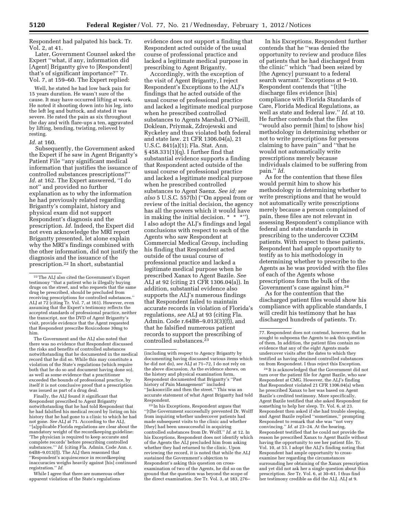Respondent had palpated his back. Tr. Vol. 2, at 41.

Later, Government Counsel asked the Expert ''what, if any, information did [Agent] Brigantty give to [Respondent] that's of significant importance?'' Tr. Vol. 7, at 159–60. The Expert replied:

Well, he stated he had low back pain for 15 years duration. He wasn't sure of the cause. It may have occurred lifting at work. He noted it shooting down into his leg, into the left leg and buttock, and stated it was severe. He rated the pain as six throughout the day and with flare-ups a ten, aggravated by lifting, bending, twisting, relieved by resting.

#### *Id.* at 160.

Subsequently, the Government asked the Expert if he saw in Agent Brigantty's Patient File ''any significant medical information that justifies the issuance of controlled substances prescriptions?'' *Id.* at 162. The Expert answered, ''I do not'' and provided no further explanation as to why the information he had previously related regarding Brigantty's complaint, history and physical exam did not support Respondent's diagnosis and the prescription. *Id.* Indeed, the Expert did not even acknowledge the MRI report Brigantty presented, let alone explain why the MRI's findings combined with the other information, did not justify the diagnosis and the issuance of the prescription.22 In short, substantial

The Government and the ALJ also noted that there was no evidence that Respondent discussed the risks and benefits of controlled substances notwithstanding that he documented in the medical record that he did so. While this may constitute a violation of the State's regulations (which require both that he do so and document having done so), as well as some evidence that a practitioner exceeded the bounds of professional practice, by itself it is not conclusive proof that a prescription was issued as part of a drug deal.

Finally, the ALJ found it significant that Respondent prescribed to Agent Brigantty notwithstanding that he had told Respondent that he had falsified his medical record by listing on his history that he had gone to a clinic to which he had not gone. *See* ALJ at 71. According to the ALJ, ''[a]pplicable Florida regulations are clear about the mandatory weight of the recordkeeping guideline: 'The physician is required to keep accurate and complete records' before prescribing controlled substances.''' *Id.* (citing Fla. Admin. Code Ann. r. 64B8–9.013(f)). The ALJ then reasoned that ''Respondent's acquiescence in recordkeeping inaccuracies weighs heavily against [his] continued registration.'' *Id.* 

While I agree that there are numerous other apparent violation of the State's regulations

evidence does not support a finding that Respondent acted outside of the usual course of professional practice and lacked a legitimate medical purpose in prescribing to Agent Brigantty.

Accordingly, with the exception of the visit of Agent Brigantty, I reject Respondent's Exceptions to the ALJ's findings that he acted outside of the usual course of professional practice and lacked a legitimate medical purpose when he prescribed controlled substances to Agents Marshall, O'Neill, Doklean, Priymak, Zdrojewski and Ryckeley and thus violated both federal and state law. 21 CFR 1306.04(a), 21 U.S.C. 841(a)(1); Fla. Stat. Ann. § 458.331(1)(q). I further find that substantial evidence supports a finding that Respondent acted outside of the usual course of professional practice and lacked a legitimate medical purpose when he prescribed controlled substances to Agent Saenz. *See id; see also* 5 U.S.C. 557(b) (''On appeal from or review of the initial decision, the agency has all the powers which it would have in making the initial decision. \* \* \*''). I also adopt the ALJ's findings and legal conclusions with respect to each of the Agents who saw Respondent at Commercial Medical Group, including his finding that Respondent acted outside of the usual course of professional practice and lacked a legitimate medical purpose when he prescribed Xanax to Agent Bazile. *See*  ALJ at 92 (citing 21 CFR 1306.04(a)). In addition, substantial evidence also supports the ALJ's numerous findings that Respondent failed to maintain accurate records in violation of Florida's regulations, *see* ALJ at 93 (citing Fla. Admin. Code r.64B8–9.013(3)(f)), and that he falsified numerous patient records to support the prescribing of controlled substances.23

23 In his Exceptions, Respondent argues that ''[t]he Government successfully prevented Dr. Wolff from inquiring whether undercover patients had made subsequent visits to the clinic and whether [they] had been unsuccessful in acquiring controlled substances from Dr. Wolff.'' *Id.* at 12. In his Exceptions, Respondent does not identify which of the Agents the ALJ precluded him from asking whether they had returned to the clinic. Upon reviewing the record, it is noted that while the ALJ sustained the Government's objection to Respondent's asking this question on crossexamination of two of the Agents, he did so on the ground that the question was beyond the scope of the direct examination. *See* Tr. Vol. 3, at 183, 276–

In his Exceptions, Respondent further contends that he ''was denied the opportunity to review and produce files of patients that he had discharged from the clinic'' which ''had been seized by [the Agency] pursuant to a federal search warrant.'' Exceptions at 9–10. Respondent contends that ''[t]he discharge files evidence [his] compliance with Florida Standards of Care, Florida Medical Regulations, as well as state and federal law.'' *Id.* at 10. He further contends that the files ''would also permit [him] to [show his] methodology in determining whether or not to write prescriptions for persons claiming to have pain'' and ''that he would not automatically write prescriptions merely because individuals claimed to be suffering from pain.'' *Id.* 

As for the contention that these files would permit him to show his methodology in determining whether to write prescriptions and that he would not automatically write prescriptions merely because a person complained of pain, these files are not relevant in assessing Respondent's compliance with federal and state standards in prescribing to the undercover CCHM patients. With respect to these patients, Respondent had ample opportunity to testify as to his methodology in determining whether to prescribe to the Agents as he was provided with the files of each of the Agents whose prescriptions form the bulk of the Government's case against him.24

As for the contention that the discharged patient files would show his compliance with applicable standards, I will credit his testimony that he has discharged hundreds of patients. Tr.

24 It is acknowledged that the Government did not turn over the patient file for Agent Bazile, who saw Respondent at CMG. However, the ALJ's finding that Respondent violated 21 CFR 1306.04(a) when he prescribed Xanax to her was based on Agent Bazile's credited testimony. More specifically, Agent Bazile testified that she asked Respondent for something to help her sleep. Tr. Vol. 6, at 23. Respondent then asked if she had trouble sleeping, and Agent Bazile replied ''sometimes,'' prompting Respondent to remark that she was ''not very convincing.'' *Id.* at 23–24. At the hearing, Respondent testified that he could not provide the reason he prescribed Xanax to Agent Bazile without having the opportunity to see her patient file. Tr. Vol. 10, at 53. I adopt the ALJ's finding noting that Respondent had ample opportunity to crossexamine her regarding the circumstances surrounding her obtaining of the Xanax prescription and yet did not ask her a single question about this prescription. *See* Tr. Vol. 6, at 30–61. I thus find her testimony credible as did the ALJ. ALJ at 9.

<sup>22</sup>The ALJ also cited the Government's Expert testimony ''that a patient who is illegally buying drugs on the street, and who requests that the same drug be prescribed, should be precluded from receiving prescriptions for controlled substances.'' ALJ at 72 (citing Tr. Vol. 7, at 161). However, even assuming that the Expert's testimony reflects the accepted standards of professional practice, neither the transcript, nor the DVD of Agent Brigantty's visit, provide evidence that the Agent requested that Respondent prescribe Roxicodone 30mg to him.

<sup>(</sup>including with respect to Agency Brigantty by documenting having discussed various items which he did not do), *see* ALJ at 71–72, I do not rely on the above discussion. As the evidence shows, on the history and physical examination form, Respondent documented that Brigantty's ''Past history of Pain Management'' included ''Jacksonville and then the street.'' This was an accurate statement of what Agent Brigantty had told Respondent.

<sup>77.</sup> Respondent does not contend, however, that he sought to subpoena the Agents to ask this question of them. In addition, the patient files contain no evidence that any of the eight Agents made undercover visits after the dates to which they testified as having obtained controlled substances on from Respondent. I thus reject this Exception.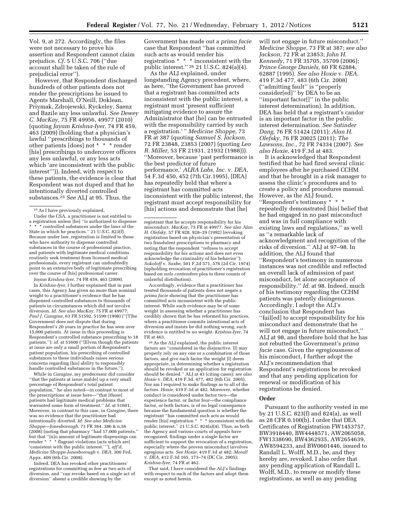Vol. 9, at 272. Accordingly, the files were not necessary to prove his assertion and Respondent cannot claim prejudice. *Cf.* 5 U.S.C. 706 (''due account shall be taken of the rule of prejudicial error'').

However, that Respondent discharged hundreds of other patients does not render the prescriptions he issued to Agents Marshall, O'Neill, Doklean, Priymak, Zdrojewski, Ryckeley, Saenz and Bazile any less unlawful. *See Dewey C. MacKay,* 75 FR 49956, 49977 (2010) (quoting *Jayam Krishna-Iyer,* 74 FR 459, 463 (2009) (holding that a physician's lawful ''prescribings to thousands of other patients [does] not \* \* \* render [his] prescribings to undercover officers any less unlawful, or any less acts which 'are inconsistent with the public interest''')). Indeed, with respect to these patients, the evidence is clear that Respondent was not duped and that he intentionally diverted controlled substances.25 *See* ALJ at 95. Thus, the

Under the CSA, a practitioner is not entitled to a registration unless [he] ''is authorized to dispense \* controlled substances under the laws of the State in which he practices.'' 21 U.S.C. 823(f). Because under law, registration is limited to those who have authority to dispense controlled substances in the course of professional practice, and patients with legitimate medical conditions routinely seek treatment from licensed medical professionals, every registrant can undoubtedly point to an extensive body of legitimate prescribing over the course of [his] professional career.

*Jayam Krishna-Iyer,* 74 FR 459, 463 (2009).

In *Krishna-Iyer,* I further explained that in past cases, this Agency has given no more than nominal weight to a practitioner's evidence that he has dispensed controlled substances to thousands of patients in circumstances which did not involve diversion. *Id. See also MacKay,* 75 FR at 49977; *Paul J. Caragine,* 63 FR 51592, 51599 (1998) (''[T]he Government does not dispute that during Respondent's 20 years in practice he has seen over 15,000 patients. At issue in this proceeding is Respondent's controlled substance prescribing to 18 patients."); *id.* at 51600 ("[E]ven though the patients at issue are only a small portion of Respondent's patient population, his prescribing of controlled substances to these individuals raises serious concerns regarding [his] ability to responsibly handle controlled substances in the future.'').

While in *Caragine,* my predecessor did consider ''that the patients at issue ma[de] up a very small percentage of Respondent's total patient population,'' he also noted—in contrast to most of the prescriptions at issue here—''that [those] patients had legitimate medical problems that warranted some form of treatment.'' *Id.* at 51601. Moreover, in contrast to this case, in *Caragine,* there was no evidence that the practitioner had intentionally diverted. *Id. See also Medicine Shoppe—Jonesborough,* 73 FR 364, 386 & n.56 (2008) (noting that pharmacy ''had 17,000 patients,'' but that ''[n]o amount of legitimate dispensings can render \* \* \* flagrant violations [acts which are] 'consistent with the public interest.' ''), *aff'd, Medicine Shoppe-Jonesborough* v. *DEA,* 300 Fed. Appx. 409 (6th Cir. 2008).

Indeed, DEA has revoked other practitioners' registrations for committing as few as two acts of diversion, and ''can revoke based on a single act of diversion'' absent a credible showing by the

Government has made out a *prima facie*  case that Respondent ''has committed such acts as would render his registration \* \* \* inconsistent with the public interest.'' 26 21 U.S.C. 824(a)(4).

As the ALJ explained, under longstanding Agency precedent, where, as here, ''the Government has proved that a registrant has committed acts inconsistent with the public interest, a registrant must 'present sufficient mitigating evidence to assure the Administrator that [he] can be entrusted with the responsibility carried by such a registration.' '' *Medicine Shoppe,* 73 FR at 387 (quoting *Samuel S. Jackson,*  72 FR 23848, 23853 (2007) (quoting *Leo R. Miller,* 53 FR 21931, 21932 (1988))). ''Moreover, because 'past performance is the best predictor of future performance,' *ALRA Labs, Inc.* v. *DEA,*  54 F.3d 450, 452 (7th Cir.1995), [DEA] has repeatedly held that where a registrant has committed acts inconsistent with the public interest, the registrant must accept responsibility for [his] actions and demonstrate that [he]

Accordingly, evidence that a practitioner has treated thousands of patients does not negate a *prima facie* showing that the practitioner has committed acts inconsistent with the public interest. While such evidence may be of some weight in assessing whether a practitioner has credibly shown that he has reformed his practices, where a practitioner commits intentional acts of diversion and insists he did nothing wrong, such evidence is entitled to no weight. *Krishna-Iyer,* 74 FR at 463.

26As the ALJ explained, the public interest factors are ''considered in the disjunctive. [I] may properly rely on any one or a combination of those factors, and give each factor the weight [I] deem appropriate, in determining whether a registration should be revoked or an application for registration should be denied.'' ALJ at 43 (citing cases); *see also Hoxie* v. *DEA,* 419 F.3d, 477, 482 (6th Cir. 2005). Nor am I required to make findings as to all of the factors. *Hoxie,* 419 F.3d at 482. Moreover, whether conduct is considered under factor two—the experience factor, or factor four—the compliance factor, or both factors, is of no legal consequence because the fundamental question is whether the registrant ''has committed such acts as would render [his] registration \* \* \* inconsistent with the public interest.'' 21 U.S.C. 824(a)(4). Thus, as both the Agency and various courts of appeals have recognized, findings under a single factor are sufficient to support the revocation of a registration, especially where the proven misconduct involves egregious acts. *See Hoxie,* 419 F.3d at 482; *Morall*  v. *DEA,* 412 F.3d 165, 173–74 (DC Cir. 2005); *Krishna-Iyer,* 74 FR at 462.

That said, I have considered the ALJ's findings with respect to each of the factors and adopt them except as noted herein.

will not engage in future misconduct.'' *Medicine Shoppe,* 73 FR at 387; *see also Jackson,* 72 FR at 23853; *John H. Kennedy,* 71 FR 35705, 35709 (2006); *Prince George Daniels,* 60 FR 62884, 62887 (1995). *See also Hoxie* v. *DEA,*  419 F.3d 477, 483 (6th Cir. 2008) (''admitting fault'' is ''properly consider[ed]'' by DEA to be an ''important factor[]'' in the public interest determination). In addition, DEA has held that a registrant's candor is an important factor in the public interest determination. *See Satinder Dang,* 76 FR 51424 (2011); *Alan H. Olefsky,* 76 FR 20025 (2011); *The Lawsons, Inc.,* 72 FR 74334 (2007). *See also Hoxie,* 419 F.3d at 483.

It is acknowledged that Respondent testified that he had fired several clinic employees after he purchased CCHM and that he brought in a risk manager to assess the clinic's procedures and to create a policy and procedures manual. However, as the ALJ found, ''Respondent's testimony \* \* \* repeatedly demonstrated [his] belief that he had engaged in no past misconduct and was in full compliance with existing laws and regulations,'' as well as ''a remarkable lack of acknowledgment and recognition of the risks of diversion.'' ALJ at 97–98. In addition, the ALJ found that ''Respondent's testimony in numerous instances was not credible and reflected an overall lack of admission of past misconduct, let alone acceptance of responsibility.'' *Id.* at 98. Indeed, much of his testimony regarding the CCHM patients was patently disingenuous. Accordingly, I adopt the ALJ's conclusion that Respondent has ''fail[ed] to accept responsibility for his misconduct and demonstrate that he will not engage in future misconduct,'' ALJ at 98, and therefore hold that he has not rebutted the Government's *prima facie* case. Given the egregiousness of his misconduct, I further adopt the ALJ's recommendation that Respondent's registrations be revoked and that any pending application for renewal or modification of his registrations be denied.

#### **Order**

Pursuant to the authority vested in me by 21 U.S.C. 823(f) and 824(a), as well as 28 CFR 0.100(b), I order that DEA Certificates of Registration FW1453757, BW3918440, BW4448571, AW2065058, FW1338690, BW4362935, AW2654639, AW8594233, and BW0601446, issued to Randall L. Wolff, M.D., be, and they hereby are, revoked. I also order that any pending application of Randall L. Wolff, M.D., to renew or modify these registrations, as well as any pending

<sup>25</sup>As I have previously explained,

registrant that he accepts responsibility for his misconduct. *MacKay,* 75 FR at 49977. *See also Alan H. Olefsky,* 57 FR 928, 928–29 (1992) (revoking registration based on physician's presentation of two fraudulent prescriptions to pharmacy and noting that the respondent ''refuses to accept responsibility for his actions and does not even acknowledge the criminality of his behavior''); *Sokoloff* v. *Saxbe,* 501 F.2d 571, 576 (2d Cir. 1974) (upholding revocation of practitioner's registration based on *nolo contendere* plea to three counts of unlawful distribution).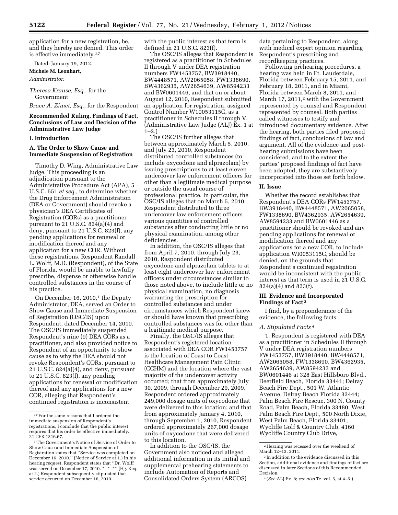application for a new registration, be, and they hereby are denied. This order is effective immediately.27

Dated: January 19, 2012.

**Michele M. Leonhart,** 

*Administrator.* 

# *Theresa Krause, Esq.,* for the Government

*Bruce A. Zimet, Esq.,* for the Respondent

# **Recommended Ruling, Findings of Fact, Conclusions of Law and Decision of the Administrative Law Judge**

# **I. Introduction**

# **A. The Order to Show Cause and Immediate Suspension of Registration**

Timothy D. Wing, Administrative Law Judge. This proceeding is an adjudication pursuant to the Administrative Procedure Act (APA), 5 U.S.C. 551 *et seq.,* to determine whether the Drug Enforcement Administration (DEA or Government) should revoke a physician's DEA Certificates of Registration (CORs) as a practitioner pursuant to 21 U.S.C. 824(a)(4) and deny, pursuant to 21 U.S.C. 823(f), any pending applications for renewal or modification thereof and any application for a new COR. Without these registrations, Respondent Randall L. Wolff, M.D. (Respondent), of the State of Florida, would be unable to lawfully prescribe, dispense or otherwise handle controlled substances in the course of his practice.

On December 16, 2010, $\frac{1}{1}$  the Deputy Administrator, DEA, served an Order to Show Cause and Immediate Suspension of Registration (OSC/IS) upon Respondent, dated December 14, 2010. The OSC/IS immediately suspended Respondent's nine (9) DEA CORs as a practitioner, and also provided notice to Respondent of an opportunity to show cause as to why the DEA should not revoke Respondent's CORs, pursuant to 21 U.S.C. 824(a)(4), and deny, pursuant to 21 U.S.C. 823(f), any pending applications for renewal or modification thereof and any applications for a new COR, alleging that Respondent's continued registration is inconsistent

with the public interest as that term is defined in 21 U.S.C. 823(f).

The OSC/IS alleges that Respondent is registered as a practitioner in Schedules II through V under DEA registration numbers FW1453757, BW3918440, BW4448571, AW2065058, FW1338690, BW4362935, AW2654639, AW8594233 and BW0601446, and that on or about August 12, 2010, Respondent submitted an application for registration, assigned Control Number W10053115C, as a practitioner in Schedules II through V. (Administrative Law Judge (ALJ) Ex. 1 at  $1-2.$ 

The OSC/IS further alleges that between approximately March 5, 2010, and July 23, 2010, Respondent distributed controlled substances (to include oxycodone and alprazolam) by issuing prescriptions to at least eleven undercover law enforcement officers for other than a legitimate medical purpose or outside the usual course of professional practice. In particular, the OSC/IS alleges that on March 5, 2010, Respondent distributed to three undercover law enforcement officers various quantities of controlled substances after conducting little or no physical examination, among other deficiencies.

In addition, the OSC/IS alleges that from April 7, 2010, through July 23, 2010, Respondent distributed oxycodone and alprazolam tablets to at least eight undercover law enforcement officers under circumstances similar to those noted above, to include little or no physical examination, no diagnosis warranting the prescription for controlled substances and under circumstances which Respondent knew or should have known that prescribing controlled substances was for other than a legitimate medical purpose.

Finally, the OSC/IS alleges that Respondent's registered location associated with DEA COR FW1453757 is the location of Coast to Coast Healthcare Management Pain Clinic (CCHM) and the location where the vast majority of the undercover activity occurred; that from approximately July 30, 2009, through December 29, 2009, Respondent ordered approximately 249,000 dosage units of oxycodone that were delivered to this location; and that from approximately January 4, 2010, through September 1, 2010, Respondent ordered approximately 267,000 dosage units of oxycodone that were delivered to this location.

In addition to the OSC/IS, the Government also noticed and alleged additional information in its initial and supplemental prehearing statements to include Automation of Reports and Consolidated Orders System (ARCOS)

data pertaining to Respondent, along with medical expert opinion regarding Respondent's prescribing and recordkeeping practices.

Following prehearing procedures, a hearing was held in Ft. Lauderdale, Florida between February 15, 2011, and February 18, 2011, and in Miami, Florida between March 8, 2011, and March 17, 2011,<sup>2</sup> with the Government represented by counsel and Respondent represented by counsel. Both parties called witnesses to testify and introduced documentary evidence. After the hearing, both parties filed proposed findings of fact, conclusions of law and argument. All of the evidence and posthearing submissions have been considered, and to the extent the parties' proposed findings of fact have been adopted, they are substantively incorporated into those set forth below.

#### **II. Issue**

Whether the record establishes that Respondent's DEA CORs FW1453757, BW3918440, BW4448571, AW2065058, FW1338690, BW4362935, AW2654639, AW8594233 and BW0601446 as a practitioner should be revoked and any pending applications for renewal or modification thereof and any applications for a new COR, to include application WI0053115C, should be denied, on the grounds that Respondent's continued registration would be inconsistent with the public interest as that term is used in 21 U.S.C. 824(a)(4) and 823(f).

## **III. Evidence and Incorporated Findings of Fact 3**

I find, by a preponderance of the evidence, the following facts:

#### *A. Stipulated Facts 4*

1. Respondent is registered with DEA as a practitioner in Schedules II through V under DEA registration numbers FW1453757, BW3918440, BW4448571, AW2065058, FW1338690, BW4362935, AW2654639, AW8594233 and BW0601446 at 328 East Hillsboro Blvd., Deerfield Beach, Florida 33441; Delray Beach Fire Dept., 501 W. Atlantic Avenue, Delray Beach Florida 33444; Palm Beach Fire Rescue, 300 N. County Road, Palm Beach, Florida 33480; West Palm Beach Fire Dept., 500 North Dixie, West Palm Beach, Florida 33401; Wycliffe Golf & Country Club, 4160 Wycliffe Country Club Drive,

<sup>27</sup>For the same reasons that I ordered the immediate suspension of Respondent's registrations, I conclude that the public interest requires that his order be effective immediately. 21 CFR 1316.67.

<sup>1</sup>The Government's Notice of Service of Order to Show Cause and Immediate Suspension of Registration states that ''Service was completed on December 16, 2010.'' (Notice of Service at 1.) In his hearing request, Respondent states that ''Dr. Wolff was served on December 17, 2010. \* \* \*'' (Hg. Req. at 2.) Respondent subsequently stipulated that service occurred on December 16, 2010.

 $\,$  2 Hearing was recessed over the weekend of March 12–13, 2011.

<sup>3</sup> In addition to the evidence discussed in this Section, additional evidence and findings of fact are discussed in later Sections of this Recommended Decision.

<sup>4</sup> (*See* ALJ Ex. 8; *see also* Tr. vol. 5, at 4–5.)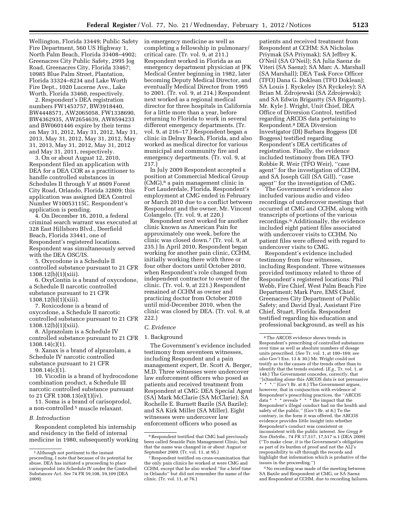Wellington, Florida 33449; Public Safety Fire Department, 560 US Highway 1, North Palm Beach, Florida 33408–4902; Greenacres City Public Safety, 2995 Jog Road, Greenacres City, Florida 33467; 10985 Blue Palm Street, Plantation, Florida 33324–8234 and Lake Worth Fire Dept., 1020 Lucerne Ave., Lake Worth, Florida 33460, respectively.

2. Respondent's DEA registration numbers FW1453757, BW3918440, BW4448571, AW2065058, FW1338690, BW4362935, AW2654639, AW8594233 and BW0601446 expire by their terms on May 31, 2012, May 31, 2012, May 31, 2013, May 31, 2012, May 31, 2012, May 31, 2013, May 31, 2012, May 31, 2012 and May 31, 2011, respectively.

3. On or about August 12, 2010, Respondent filed an application with DEA for a DEA COR as a practitioner to handle controlled substances in Schedules II through V at 8609 Forest City Road, Orlando, Florida 32809; this application was assigned DEA Control Number W10053115C. Respondent's application is pending.

4. On December 16, 2010, a federal criminal search warrant was executed at 328 East Hillsboro Blvd., Deerfield Beach, Florida 33441, one of Respondent's registered locations. Respondent was simultaneously served with the DEA OSC/IS.

5. Oxycodone is a Schedule II controlled substance pursuant to 21 CFR 1308.12(b)(1)(xiii).

6. OxyContin is a brand of oxycodone, a Schedule II narcotic controlled substance pursuant to 21 CFR 1308.12(b)(1)(xiii).

7. Roxicodone is a brand of oxycodone, a Schedule II narcotic controlled substance pursuant to 21 CFR 1308.12(b)(1)(xiii).

8. Alprazolam is a Schedule IV controlled substance pursuant to 21 CFR 1308.14(c)(1).

9. Xanax is a brand of alprazolam, a Schedule IV narcotic controlled substance pursuant to 21 CFR  $1308.14(c)(1)$ .

10. Vicodin is a brand of hydrocodone combination product, a Schedule III narcotic controlled substance pursuant to 21 CFR 1308.13(e)(1)(iv).

11. Soma is a brand of carisoprodol, a non-controlled 5 muscle relaxant.

### *B. Introduction*

Respondent completed his internship and residency in the field of internal medicine in 1980, subsequently working in emergency medicine as well as completing a fellowship in pulmonary/ critical care. (Tr. vol. 9, at 211.) Respondent worked in Florida as an emergency department physician at JFK Medical Center beginning in 1982, later becoming Deputy Medical Director, and eventually Medical Director from 1995 to 2001. (Tr. vol. 9, at 214.) Respondent next worked as a regional medical director for three hospitals in California for a little more than a year, before returning to Florida to work in several different emergency departments. (Tr. vol. 9, at 216–17.) Respondent began a clinic in Delray Beach, Florida, and also worked as medical director for various municipal and community fire and emergency departments. (Tr. vol. 9, at 217.)

In July 2009 Respondent accepted a position at Commercial Medical Group (CMG),6 a pain management clinic in Fort Lauderdale, Florida. Respondent's employment at CMG ended in February or March 2010 due to a conflict between Respondent and the owner, Mr. Vincent Colangelo. (Tr. vol. 9, at 220.)

Respondent next worked for another clinic known as American Pain for approximately one week, before the clinic was closed down.7 (Tr. vol. 9, at 235.) In April 2010, Respondent began working for another pain clinic, CCHM, initially working there with three or four other doctors until October 2010, when Respondent's role changed from independent contractor to owner of the clinic. (Tr. vol. 9, at 221.) Respondent remained at CCHM as owner and practicing doctor from October 2010 until mid-December 2010, when the clinic was closed by DEA. (Tr. vol. 9, at 222.)

#### *C. Evidence*

#### 1. Background

The Government's evidence included testimony from seventeen witnesses, including Respondent and a pain management expert, Dr. Scott A. Berger, M.D. Three witnesses were undercover law enforcement officers who posed as patients and received treatment from Respondent at CMG: DEA Special Agent (SA) Mark McClarie (SA McClarie); SA Rochelle E. Burnett Bazile (SA Bazile); and SA Kirk Miller (SA Miller). Eight witnesses were undercover law enforcement officers who posed as

patients and received treatment from Respondent at CCHM: SA Nicholas Priymak (SA Priymak); SA Jeffrey K. O'Neil (SA O'Neil); SA Julia Saenz de Viteri (SA Saenz); SA Marc A. Marshall (SA Marshall); DEA Task Force Officer (TFO) Dana G. Doklean (TFO Doklean); SA Louis J. Ryckeley (SA Ryckeley); SA Brian M. Zdrojewski (SA Zdrojewski); and SA Edwin Brigantty (SA Brigantty). Mr. Kyle J. Wright, Unit Chief, DEA Office of Diversion Control, testified regarding ARCOS data pertaining to Respondent.8 DEA Diversion Investigator (DI) Barbara Boggess (DI Boggess) testified regarding Respondent's DEA certificates of registration. Finally, the evidence included testimony from DEA TFO Robbie R. Weir (TFO Weir), ''case agent'' for the investigation of CCHM, and SA Joseph Gill (SA Gill), ''case agent'' for the investigation of CMG.

The Government's evidence also included various audio and video recordings of undercover meetings that occurred at CMG and CCHM, along with transcripts of portions of the various recordings.9 Additionally, the evidence included eight patient files associated with undercover visits to CCHM. No patient files were offered with regard to undercover visits to CMG.

Respondent's evidence included testimony from four witnesses, including Respondent. Three witnesses provided testimony related to three of Respondent's registered locations: Phil Webb, Fire Chief, West Palm Beach Fire Department; Mark Pure, EMS Chief, Greenacres City Department of Public Safety; and David Dyal, Assistant Fire Chief, Stuart, Florida. Respondent testified regarding his education and professional background, as well as his

9No recording was made of the meeting between SA Bazile and Respondent at CMG, or SA Saenz and Respondent at CCHM, due to recording failures.

<sup>5</sup>Although not pertinent to the instant proceeding, I note that because of its potential for abuse, DEA has initiated a proceeding to place carisoprodol into Schedule IV under the Controlled Substances Act. *See* 74 FR 59,108, 59,109 (DEA 2009).

 $^6\!$  Respondent testified that CMG had previously been called Seaside Pain Management Clinic, but that the name was changed in or about August or September 2009. (Tr. vol. 11, at 95.)

<sup>7</sup>Respondent testified on cross-examination that the only pain clinics he worked at were CMG and CCHM, except that he also worked ''for a brief time in Orlando'' but did not remember the name of the clinic. (Tr. vol. 11, at 76.)

<sup>8</sup>The ARCOS evidence shows trends in Respondent's prescribing of controlled substances over time as well as absolute numbers of dosage units prescribed. (*See* Tr. vol. 1, at 100–169; *see also* Gov't Exs. 13 & 30.) Mr. Wright could not testify as to the causes of the trends other than to identify that the trends existed. (*E.g.,* Tr. vol. 1, at 148.) The Government concedes, correctly, that ''[s]tanding alone this ARCOS data is not persuasive \* \* \*.'' (Gov't Br. at 8.) The Government argues, however, that in conjunction with evidence of Respondent's prescribing practices, the ''ARCOS data \* \* \* reveals \* \* \* the impact that the Respondent's illegal conduct had on the health and safety of the public.'' (Gov't Br. at 8.) To the contrary, in the form it was offered, the ARCOS evidence provides little insight into whether Respondent's conduct was consistent or inconsistent with the public interest. *See Gregg & Son Distribs.,* 74 FR 17,517, 17,517 n.1 (DEA 2009) (''To make clear, it is the Government's obligation as part of its burden of proof and not the ALJ's responsibility to sift through the records and highlight that information which is probative of the issues in the proceeding.'')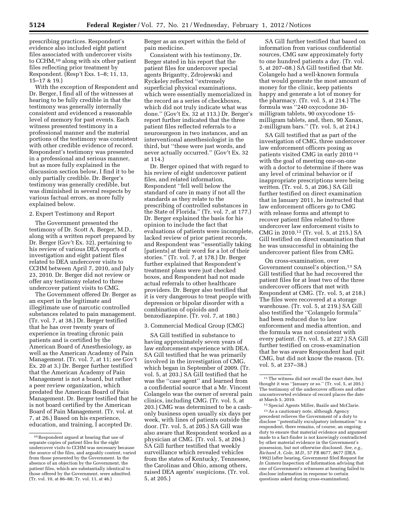prescribing practices. Respondent's evidence also included eight patient files associated with undercover visits to CCHM,<sup>10</sup> along with six other patient files reflecting prior treatment by Respondent. (Resp't Exs. 1–8; 11, 13, 15–17 & 19.)

With the exception of Respondent and Dr. Berger, I find all of the witnesses at hearing to be fully credible in that the testimony was generally internally consistent and evidenced a reasonable level of memory for past events. Each witness presented testimony in a professional manner and the material portions of the testimony was consistent with other credible evidence of record. Respondent's testimony was presented in a professional and serious manner, but as more fully explained in the discussion section below, I find it to be only partially credible. Dr. Berger's testimony was generally credible, but was diminished in several respects by various factual errors, as more fully explained below.

# 2. Expert Testimony and Report

The Government presented the testimony of Dr. Scott A. Berger, M.D., along with a written report prepared by Dr. Berger (Gov't Ex. 32), pertaining to his review of various DEA reports of investigation and eight patient files related to DEA undercover visits to CCHM between April 7, 2010, and July 23, 2010. Dr. Berger did not review or offer any testimony related to three undercover patient visits to CMG.

The Government offered Dr. Berger as an expert in the legitimate and illegitimate use of narcotic controlled substances related to pain management. (Tr. vol. 7, at 38.) Dr. Berger testified that he has over twenty years of experience in treating chronic pain patients and is certified by the American Board of Anesthesiology, as well as the American Academy of Pain Management. (Tr. vol. 7, at 11; *see* Gov't Ex. 20 at 3.) Dr. Berger further testified that the American Academy of Pain Management is not a board, but rather a peer review organization, which predated the American Board of Pain Management. Dr. Berger testified that he is not board certified by the American Board of Pain Management. (Tr. vol. at 7, at 26.) Based on his experience, education, and training, I accepted Dr.

Berger as an expert within the field of pain medicine.

Consistent with his testimony, Dr. Berger stated in his report that the patient files for undercover special agents Brigantty, Zdrojewski and Ryckeley reflected ''extremely superficial physical examinations, which were essentially memorialized in the record as a series of checkboxes, which did not truly indicate what was done.'' (Gov't Ex. 32 at 113.) Dr. Berger's report further indicated that the three patient files reflected referrals to a neurosurgeon in two instances, and an interventional anesthesiologist in the third, but ''these were just words, and never actually occurred.'' (Gov't Ex. 32 at 114.)

Dr. Berger opined that with regard to his review of eight undercover patient files, and related information, Respondent ''fell well below the standard of care in many if not all the standards as they relate to the prescribing of controlled substances in the State of Florida.'' (Tr. vol. 7, at 177.) Dr. Berger explained the basis for his opinion to include the fact that evaluations of patients were incomplete, lacked review of prior patient records, and Respondent was ''essentially taking [patients] at their word for a lot of their stories.'' (Tr. vol. 7, at 178.) Dr. Berger further explained that Respondent's treatment plans were just checked boxes, and Respondent had not made actual referrals to other healthcare providers. Dr. Berger also testified that it is very dangerous to treat people with depression or bipolar disorder with a combination of opioids and benzodiazepine. (Tr. vol. 7, at 180.)

# 3. Commercial Medical Group (CMG)

SA Gill testified in substance to having approximately seven years of law enforcement experience with DEA. SA Gill testified that he was primarily involved in the investigation of CMG, which began in September of 2009. (Tr. vol. 5, at 203.) SA Gill testified that he was the ''case agent'' and learned from a confidential source that a Mr. Vincent Colangelo was the owner of several pain clinics, including CMG. (Tr. vol. 5, at 203.) CMG was determined to be a cashonly business open usually six days per week, with lines of patients outside the door. (Tr. vol. 5, at 205.) SA Gill was also aware that Respondent worked as a physician at CMG. (Tr. vol. 5, at 204.) SA Gill further testified that weekly surveillance which revealed vehicles from the states of Kentucky, Tennessee, the Carolinas and Ohio, among others, raised DEA agents' suspicions. (Tr. vol. 5, at 205.)

SA Gill further testified that based on information from various confidential sources, CMG saw approximately forty to one hundred patients a day. (Tr. vol. 5, at 207–08.) SA Gill testified that Mr. Colangelo had a well-known formula that would generate the most amount of money for the clinic, keep patients happy and generate a lot of money for the pharmacy. (Tr. vol. 5, at 214.) The formula was ''240 oxycodone 30 milligram tablets, 90 oxycodone 15 milligram tablets, and, then, 90 Xanax, 2-milligram bars.'' (Tr. vol. 5, at 214.)

SA Gill testified that as part of the investigation of CMG, three undercover law enforcement officers posing as patients visited CMG in early 2010 11 with the goal of meeting one-on-one with a doctor to determine if there was any level of criminal behavior or if inappropriate prescriptions were being written. (Tr. vol. 5, at 206.) SA Gill further testified on direct examination that in January 2011, he instructed that law enforcement officers go to CMG with release forms and attempt to recover patient files related to three undercover law enforcement visits to CMG in 2010.12 (Tr. vol. 5, at 215.) SA Gill testified on direct examination that he was unsuccessful in obtaining the undercover patient files from CMG.

On cross-examination, over Government counsel's objection,<sup>13</sup> SA Gill testified that he had recovered the patient files for at least two of the three undercover officers that met with Respondent at CMG. (Tr. vol. 5, at 218.) The files were recovered at a storage warehouse. (Tr. vol. 5, at 219.) SA Gill also testified the ''Colangelo formula'' had been reduced due to law enforcement and media attention, and the formula was not consistent with every patient. (Tr. vol. 5, at 227.) SA Gill further testified on cross-examination that he was aware Respondent had quit CMG, but did not know the reason. (Tr. vol. 5, at 237–38.)

12Special Agents Miller, Bazile and McClarie. 13As a cautionary note, although Agency precedent relieves the Government of a duty to disclose ''potentially exculpatory information'' to a respondent, there remains, of course, an ongoing duty to ensure that material evidence and argument made to a fact-finder is not knowingly contradicted by other material evidence in the Government's possession, but not otherwise disclosed. *See, e.g., Richard A. Cole, M.D.,* 57 FR 8677, 8677 (DEA 1992) (after hearing, Government filed Request for *In Camera* Inspection of Information advising that one of Government's witnesses at hearing failed to disclose information in response to certain questions asked during cross-examination).

<sup>10</sup>Respondent argued at hearing that use of separate copies of patient files for the eight undercover visits to CCHM was necessary because the source of the files, and arguably content, varied from those presented by the Government. In the absence of an objection by the Government, the patient files, which are substantially identical to those offered by the Government, were admitted. (Tr. vol. 10, at 86–88; Tr. vol. 11, at 46.)

 $^{\rm 11}\!$  The witness did not recall the exact date, but thought it was ''January or so.'' (Tr. vol. 5, at 205.) The testimony of the undercover officers and other uncontroverted evidence of record places the date at March 5, 2010.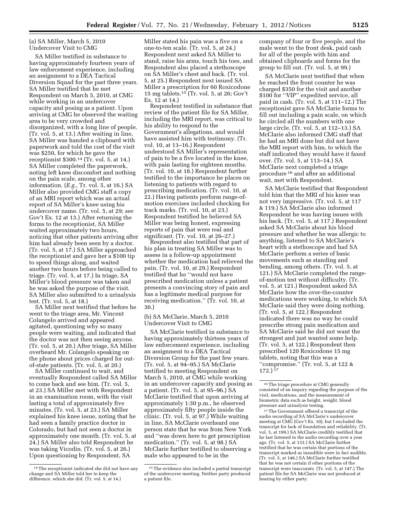### (a) SA Miller, March 5, 2010 Undercover Visit to CMG

SA Miller testified in substance to having approximately fourteen years of law enforcement experience, including an assignment to a DEA Tactical Diversion Squad for the past three years. SA Miller testified that he met Respondent on March 5, 2010, at CMG while working in an undercover capacity and posing as a patient. Upon arriving at CMG he observed the waiting area to be very crowded and disorganized, with a long line of people. (Tr. vol. 5, at 13.) After waiting in line, SA Miller was handed a clipboard with paperwork and told the cost of the visit was \$250, for which he gave the receptionist  $$300.<sup>14</sup>$  (Tr. vol. 5, at 14.) SA Miller completed the paperwork, noting left knee discomfort and nothing on the pain scale, among other information. (*E.g.,* Tr. vol. 5, at 16.) SA Miller also provided CMG staff a copy of an MRI report which was an actual report of SA Miller's knee using his undercover name. (Tr. vol. 5, at 29; *see*  Gov't Ex. 12 at 13.) After returning the forms to the receptionist, SA Miller waited approximately two hours, noticing that other patients arriving after him had already been seen by a doctor. (Tr. vol. 5, at 17.) SA Miller approached the receptionist and gave her a \$100 tip to speed things along, and waited another two hours before being called to triage. (Tr. vol. 5, at 17.) In triage, SA Miller's blood pressure was taken and he was asked the purpose of the visit. SA Miller also submitted to a urinalysis test. (Tr. vol. 5, at 18.)

SA Miller next testified that before he went to the triage area, Mr. Vincent Colangelo arrived and appeared agitated, questioning why so many people were waiting, and indicated that the doctor was not then seeing anyone. (Tr. vol. 5, at 20.) After triage, SA Miller overheard Mr. Colangelo speaking on the phone about prices charged for outof-state patients. (Tr. vol. 5, at 20.)

SA Miller continued to wait, and eventually Respondent called SA Miller to come back and see him. (Tr. vol. 5, at 23.) SA Miller met with Respondent in an examination room, with the visit lasting a total of approximately five minutes. (Tr. vol. 5, at 23.) SA Miller explained his knee issue, noting that he had seen a family practice doctor in Colorado, but had not seen a doctor in approximately one month. (Tr. vol. 5, at 24.) SA Miller also told Respondent he was taking Vicodin. (Tr. vol. 5, at 26.) Upon questioning by Respondent, SA

Miller stated his pain was a five on a one-to-ten scale. (Tr. vol. 5, at 24.) Respondent next asked SA Miller to stand, raise his arms, touch his toes, and Respondent also placed a stethoscope on SA Miller's chest and back. (Tr. vol. 5, at 25.) Respondent next issued SA Miller a prescription for 60 Roxicodone 15 mg tablets.15 (Tr. vol. 5, at 26; Gov't Ex. 12 at 14.)

Respondent testified in substance that review of the patient file for SA Miller, including the MRI report, was critical to his ability to respond to the Government's allegations, and would have assisted him with testimony. (Tr. vol. 10, at 13–16.) Respondent understood SA Miller's representation of pain to be a five located in the knee, with pain lasting for eighteen months. (Tr. vol. 10, at 18.) Respondent further testified to the importance he places on listening to patients with regard to prescribing medication. (Tr. vol. 10, at 22.) Having patients perform range-ofmotion exercises included checking for track marks. (Tr. vol. 10, at 23.) Respondent testified he believed SA Miller was being honest, expressing reports of pain that were real and significant. (Tr. vol. 10, at 26–27.)

Respondent also testified that part of his plan in treating SA Miller was to assess in a follow-up appointment whether the medication had relieved the pain. (Tr. vol. 10, at 29.) Respondent testified that he ''would not have prescribed medication unless a patient presents a convincing story of pain and has a legitimate medical purpose for receiving medication.'' (Tr. vol. 10, at 30.)

# (b) SA McClarie, March 5, 2010 Undercover Visit to CMG

SA McClarie testified in substance to having approximately thirteen years of law enforcement experience, including an assignment to a DEA Tactical Diversion Group for the past few years. (Tr. vol. 5, at 94–95.) SA McClarie testified to meeting Respondent on March 5, 2010, at CMG while working in an undercover capacity and posing as a patient. (Tr. vol. 5, at 95–96.) SA McClarie testified that upon arriving at approximately 1:30 p.m., he observed approximately fifty people inside the clinic. (Tr. vol. 5, at 97.) While waiting in line, SA McClarie overheard one person state that he was from New York and ''was down here to get prescription medication.'' (Tr. vol. 5, at 98.) SA McClarie further testified to observing a male who appeared to be in the

company of four or five people, and the male went to the front desk, paid cash for all of the people with him and obtained clipboards and forms for the group to fill out. (Tr. vol. 5, at 99.)

SA McClarie next testified that when he reached the front counter he was charged \$350 for the visit and another \$100 for ''VIP'' expedited service, all paid in cash. (Tr. vol. 5, at 111–12.) The receptionist gave SA McClarie forms to fill out including a pain scale, on which he circled all the numbers with one large circle. (Tr. vol. 5, at 112–13.) SA McClarie also informed CMG staff that he had an MRI done but did not have the MRI report with him, to which the staff indicated they would have it faxed over. (Tr. vol. 5, at 113–14.) SA McClarie next completed a triage procedure 16 and after an additional wait, met with Respondent.

SA McClarie testified that Respondent told him that the MRI of his knee was not very impressive. (Tr. vol. 5, at 117 & 119.) SA McClarie also informed Respondent he was having issues with his back. (Tr. vol. 5, at 117.) Respondent asked SA McClarie about his blood pressure and whether he was allergic to anything, listened to SA McClarie's heart with a stethoscope and had SA McClarie perform a series of basic movements such as standing and bending, among others. (Tr. vol. 5, at 121.) SA McClarie completed the rangeof-motion test without difficulty. (Tr. vol. 5, at 121.) Respondent asked SA McClarie how the over-the-counter medications were working, to which SA McClarie said they were doing nothing. (Tr. vol. 5, at 122.) Respondent indicated there was no way he could prescribe strong pain medication and SA McClarie said he did not want the strongest and just wanted some help. (Tr. vol. 5, at 122.) Respondent then prescribed 120 Roxicodone 15 mg tablets, noting that this was a ''compromise.'' (Tr. vol. 5, at 122 & 172.) 17

 $^{\rm 17}\mathrm{The}$  Government offered a transcript of the audio recording of SA McClarie's undercover meeting at CMG (Gov't Ex. 10), but I excluded the transcript for lack of foundation and reliability. (Tr. vol. 5, at 199.) SA McClarie credibly testified that he last listened to the audio recording over a year ago. (Tr. vol. 5, at 133.) SA McClarie further testified that he was certain that portions of the transcript marked as inaudible were in fact audible. (Tr. vol. 5, at 146.) SA McClarie further testified that he was not certain if other portions of the transcript were inaccurate. (Tr. vol. 5, at 147.) The patient file for SA McClarie was not produced at hearing by either party.

<sup>14</sup>The receptionist indicated she did not have any change and SA Miller told her to keep the difference, which she did. (Tr. vol. 5, at 14.)

<sup>15</sup>The evidence also included a partial transcript of the undercover meeting. Neither party produced a patient file.

<sup>16</sup>The triage procedure at CMG generally consisted of an inquiry regarding the purpose of the visit, medications, and the measurement of biometric data such as height, weight, blood pressure and urinalysis testing.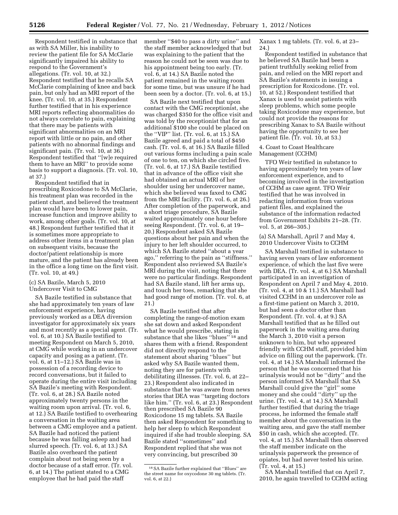Respondent testified in substance that as with SA Miller, his inability to review the patient file for SA McClarie significantly impaired his ability to respond to the Government's allegations. (Tr. vol. 10, at 32.) Respondent testified that he recalls SA McClarie complaining of knee and back pain, but only had an MRI report of the knee. (Tr. vol. 10, at 35.) Respondent further testified that in his experience MRI reports reflecting abnormalities do not always correlate to pain, explaining that there may be patients with significant abnormalities on an MRI report with little or no pain, and other patients with no abnormal findings and significant pain. (Tr. vol. 10, at 36.) Respondent testified that ''[w]e required them to have an MRI'' to provide some basis to support a diagnosis. (Tr. vol. 10, at 37.)

Respondent testified that in prescribing Roxicodone to SA McClarie, his treatment plan was recorded in the patient chart, and believed the treatment plan would have been to lower pain, increase function and improve ability to work, among other goals. (Tr. vol. 10, at 48.) Respondent further testified that it is sometimes more appropriate to address other items in a treatment plan on subsequent visits, because the doctor/patient relationship is more mature, and the patient has already been in the office a long time on the first visit. (Tr. vol. 10, at 49.)

#### (c) SA Bazile, March 5, 2010 Undercover Visit to CMG

SA Bazile testified in substance that she had approximately ten years of law enforcement experience, having previously worked as a DEA diversion investigator for approximately six years and most recently as a special agent. (Tr. vol. 6, at 10.) SA Bazile testified to meeting Respondent on March 5, 2010, at CMG while working in an undercover capacity and posing as a patient. (Tr. vol. 6, at 11–12.) SA Bazile was in possession of a recording device to record conversations, but it failed to operate during the entire visit including SA Bazile's meeting with Respondent. (Tr. vol. 6, at 28.) SA Bazile noted approximately twenty persons in the waiting room upon arrival. (Tr. vol. 6, at 12.) SA Bazile testified to overhearing a conversation in the waiting area between a CMG employee and a patient. SA Bazile had noticed the patient because he was falling asleep and had slurred speech. (Tr. vol. 6, at 13.) SA Bazile also overheard the patient complain about not being seen by a doctor because of a staff error. (Tr. vol. 6, at 14.) The patient stated to a CMG employee that he had paid the staff

member ''\$40 to pass a dirty urine'' and the staff member acknowledged that but was explaining to the patient that the reason he could not be seen was due to his appointment being too early. (Tr. vol. 6, at 14.) SA Bazile noted the patient remained in the waiting room for some time, but was unsure if he had been seen by a doctor. (Tr. vol. 6, at 15.)

SA Bazile next testified that upon contact with the CMG receptionist, she was charged \$350 for the office visit and was told by the receptionist that for an additional \$100 she could be placed on the ''VIP'' list. (Tr. vol. 6, at 15.) SA Bazile agreed and paid a total of \$450 cash. (Tr. vol. 6, at 16.) SA Bazile filled out various forms including a pain scale of one to ten, on which she circled five. (Tr. vol. 6, at 17.) SA Bazile testified that in advance of the office visit she had obtained an actual MRI of her shoulder using her undercover name, which she believed was faxed to CMG from the MRI facility. (Tr. vol. 6, at 26.) After completion of the paperwork, and a short triage procedure, SA Bazile waited approximately one hour before seeing Respondent. (Tr. vol. 6, at 19– 20.) Respondent asked SA Bazile questions about her pain and when the injury to her left shoulder occurred, to which SA Bazile stated ''about a year ago,'' referring to the pain as ''stiffness.'' Respondent also reviewed SA Bazile's MRI during the visit, noting that there were no particular findings. Respondent had SA Bazile stand, lift her arms up, and touch her toes, remarking that she had good range of motion. (Tr. vol. 6, at 21.)

SA Bazile testified that after completing the range-of-motion exam she sat down and asked Respondent what he would prescribe, stating in substance that she likes ''blues'' 18 and shares them with a friend. Respondent did not directly respond to the statement about sharing ''blues'' but asked why SA Bazile wanted them, noting they are for patients with debilitating illnesses. (Tr. vol. 6, at 22– 23.) Respondent also indicated in substance that he was aware from news stories that DEA was ''targeting doctors like him.'' (Tr. vol. 6, at 23.) Respondent then prescribed SA Bazile 90 Roxicodone 15 mg tablets. SA Bazile then asked Respondent for something to help her sleep to which Respondent inquired if she had trouble sleeping. SA Bazile stated ''sometimes'' and Respondent replied that she was not very convincing, but prescribed 30

Xanax 1 mg tablets. (Tr. vol. 6, at 23– 24.)

Respondent testified in substance that he believed SA Bazile had been a patient truthfully seeking relief from pain, and relied on the MRI report and SA Bazile's statements in issuing a prescription for Roxicodone. (Tr. vol. 10, at 52.) Respondent testified that Xanax is used to assist patients with sleep problems, which some people taking Roxicodone may experience, but could not provide the reasons for prescribing Xanax to SA Bazile without having the opportunity to see her patient file. (Tr. vol. 10, at 53.)

4. Coast to Coast Healthcare Management (CCHM)

TFO Weir testified in substance to having approximately ten years of law enforcement experience, and to becoming involved in the investigation of CCHM as case agent. TFO Weir testified that he was involved in redacting information from various patient files, and explained the substance of the information redacted from Government Exhibits 21–28. (Tr. vol. 5, at 266–305.)

(a) SA Marshall, April 7 and May 4, 2010 Undercover Visits to CCHM

SA Marshall testified in substance to having seven years of law enforcement experience, of which the last five were with DEA. (Tr. vol. 4, at 6.) SA Marshall participated in an investigation of Respondent on April 7 and May 4, 2010. (Tr. vol. 4, at 10 & 11.) SA Marshall had visited CCHM in an undercover role as a first-time patient on March 3, 2010, but had seen a doctor other than Respondent. (Tr. vol. 4, at 9.) SA Marshall testified that as he filled out paperwork in the waiting area during the March 3, 2010 visit a person unknown to him, but who appeared friendly with CCHM staff, provided him advice on filling out the paperwork. (Tr. vol. 4, at 14.) SA Marshall informed the person that he was concerned that his urinalysis would not be ''dirty'' and the person informed SA Marshall that SA Marshall could give the ''girl'' some money and she could ''dirty'' up the urine. (Tr. vol. 4, at 14.) SA Marshall further testified that during the triage process, he informed the female staff member about the conversation in the waiting area, and gave the staff member \$50 in cash, which she accepted. (Tr. vol. 4, at 15.) SA Marshall then observed the staff member indicate on the urinalysis paperwork the presence of opiates, but had never tested his urine. (Tr. vol. 4, at 15.)

SA Marshall testified that on April 7, 2010, he again travelled to CCHM acting

<sup>18</sup>SA Bazile further explained that ''Blues'' are the street name for oxycodone 30 mg tablets. (Tr. vol. 6, at 22.)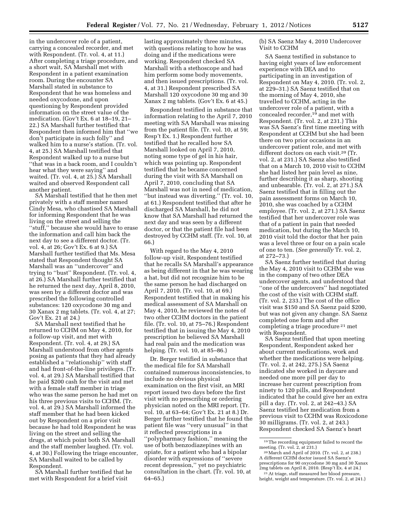in the undercover role of a patient, carrying a concealed recorder, and met with Respondent. (Tr. vol. 4, at 11.) After completing a triage procedure, and a short wait, SA Marshall met with Respondent in a patient examination room. During the encounter SA Marshall stated in substance to Respondent that he was homeless and needed oxycodone, and upon questioning by Respondent provided information on the street value of the medication. (Gov't Ex. 6 at 18–19, 21– 22.) SA Marshall further testified that Respondent then informed him that ''we don't participate in such folly'' and walked him to a nurse's station. (Tr. vol. 4, at 25.) SA Marshall testified that Respondent walked up to a nurse but ''that was in a back room, and I couldn't hear what they were saying'' and waited. (Tr. vol. 4, at 25.) SA Marshall waited and observed Respondent call another patient.

SA Marshall testified that he then met privately with a staff member named Cindy Mesa, who chastised SA Marshall for informing Respondent that he was living on the street and selling the ''stuff,'' because she would have to erase the information and call him back the next day to see a different doctor. (Tr. vol. 4, at 26; Gov't Ex. 6 at 9.) SA Marshall further testified that Ms. Mesa stated that Respondent thought SA Marshall was an ''undercover'' and trying to ''bust'' Respondent. (Tr. vol. 4, at 26.) SA Marshall further testified that he returned the next day, April 8, 2010, was seen by a different doctor and was prescribed the following controlled substances: 120 oxycodone 30 mg and 30 Xanax 2 mg tablets. (Tr. vol. 4, at 27; Gov't Ex. 21 at 24.)

SA Marshall next testified that he returned to CCHM on May 4, 2010, for a follow-up visit, and met with Respondent. (Tr. vol. 4, at 29.) SA Marshall understood from other agents posing as patients that they had already established a ''relationship'' with staff and had front-of-the-line privileges. (Tr. vol. 4, at 29.) SA Marshall testified that he paid \$200 cash for the visit and met with a female staff member in triage who was the same person he had met on his three previous visits to CCHM. (Tr. vol. 4, at 29.) SA Marshall informed the staff member that he had been kicked out by Respondent on a prior visit because he had told Respondent he was living on the street and selling the drugs, at which point both SA Marshall and the staff member laughed. (Tr. vol. 4, at 30.) Following the triage encounter, SA Marshall waited to be called by Respondent.

SA Marshall further testified that he met with Respondent for a brief visit

lasting approximately three minutes, with questions relating to how he was doing and if the medications were working. Respondent checked SA Marshall with a stethoscope and had him perform some body movements, and then issued prescriptions. (Tr. vol. 4, at 31.) Respondent prescribed SA Marshall 120 oxycodone 30 mg and 30 Xanax 2 mg tablets. (Gov't Ex. 6 at 45.)

Respondent testified in substance that information relating to the April 7, 2010 meeting with SA Marshall was missing from the patient file. (Tr. vol. 10, at 59; Resp't Ex. 1.) Respondent further testified that he recalled how SA Marshall looked on April 7, 2010, noting some type of gel in his hair, which was pointing up. Respondent testified that he became concerned during the visit with SA Marshall on April 7, 2010, concluding that SA Marshall was not in need of medication, ''but instead was diverting.'' (Tr. vol. 10, at 61.) Respondent testified that after he discharged SA Marshall, he did not know that SA Marshall had returned the next day and was seen by a different doctor, or that the patient file had been destroyed by CCHM staff. (Tr. vol. 10, at 66.)

With regard to the May 4, 2010 follow-up visit, Respondent testified that he recalls SA Marshall's appearance as being different in that he was wearing a hat, but did not recognize him to be the same person he had discharged on April 7, 2010. (Tr. vol. 10, at 69.) Respondent testified that in making his medical assessment of SA Marshall on May 4, 2010, he reviewed the notes of two other CCHM doctors in the patient file. (Tr. vol. 10, at 75–76.) Respondent testified that in issuing the May 4, 2010 prescription he believed SA Marshall had real pain and the medication was helping. (Tr. vol. 10, at 85–86.)

Dr. Berger testified in substance that the medical file for SA Marshall contained numerous inconsistencies, to include no obvious physical examination on the first visit, an MRI report issued two days before the first visit with no prescribing or ordering physician noted on the MRI report. (Tr. vol. 10, at 63–64; Gov't Ex. 21 at 8.) Dr. Berger further testified that he found the patient file was ''very unusual'' in that it reflected prescriptions in a ''polypharmacy fashion,'' meaning the use of both benzodiazepines with an opiate, for a patient who had a bipolar disorder with expressions of ''severe recent depression,'' yet no psychiatric consultation in the chart. (Tr. vol. 10, at 64–65.)

(b) SA Saenz May 4, 2010 Undercover Visit to CCHM

SA Saenz testified in substance to having eight years of law enforcement experience with DEA and to participating in an investigation of Respondent on May 4, 2010. (Tr. vol. 2, at 229–31.) SA Saenz testified that on the morning of May 4, 2010, she travelled to CCHM, acting in the undercover role of a patient, with a concealed recorder,19 and met with Respondent. (Tr. vol. 2, at 231.) This was SA Saenz's first time meeting with Respondent at CCHM but she had been there on two prior occasions in an undercover patient role, and met with different doctors on each visit.20 (Tr. vol. 2, at 231.) SA Saenz also testified that on a March 10, 2010 visit to CCHM she had listed her pain level as nine, further describing it as sharp, shooting and unbearable. (Tr. vol. 2, at 271.) SA Saenz testified that in filling out the pain assessment forms on March 10, 2010, she was coached by a CCHM employee. (Tr. vol. 2, at 271.) SA Saenz testified that her undercover role was that of a patient in pain that needed medication, but during the March 10, 2010 visit told the doctor that her pain was a level three or four on a pain scale of one to ten. (*See generally* Tr. vol. 2, at 272–73.)

SA Saenz further testified that during the May 4, 2010 visit to CCHM she was in the company of two other DEA undercover agents, and understood that ''one of the undercovers'' had negotiated the cost of the visit with CCHM staff. (Tr. vol. 2, 233.) The cost of the office visit was \$150 and SA Saenz paid \$200, but was not given any change. SA Saenz completed one form and after completing a triage procedure 21 met with Respondent.

SA Saenz testified that upon meeting Respondent, Respondent asked her about current medications, work and whether the medications were helping. (Tr. vol. 2, at 242, 275.) SA Saenz indicated she worked in daycare and needed one more pill per day to increase her current prescription from ninety to 120 pills, and Respondent indicated that he could give her an extra pill a day. (Tr. vol. 2, at 242–43.) SA Saenz testified her medication from a previous visit to CCHM was Roxicodone 30 milligrams. (Tr. vol. 2, at 243.) Respondent checked SA Saenz's heart

 $19$ The recording equipment failed to record the meeting. (Tr. vol. 2, at 231.)

<sup>&</sup>lt;sup>20</sup> March and April of 2010. (Tr. vol. 2, at 238.) A different CCHM doctor issued SA Saenz's prescriptions for 90 oxycodone 30 mg and 30 Xanax

<sup>&</sup>lt;sup>21</sup> At triage, staff measured her blood pressure, height, weight and temperature. (Tr. vol. 2, at 241.)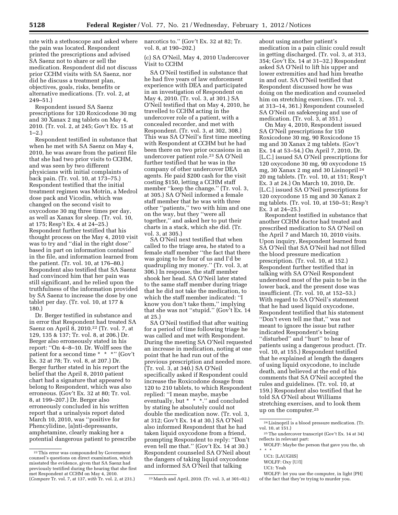rate with a stethoscope and asked where the pain was located. Respondent printed the prescriptions and advised SA Saenz not to share or sell the medication. Respondent did not discuss prior CCHM visits with SA Saenz, nor did he discuss a treatment plan, objectives, goals, risks, benefits or alternative medications. (Tr. vol. 2, at 249–51.)

Respondent issued SA Saenz prescriptions for 120 Roxicodone 30 mg and 30 Xanax 2 mg tablets on May 4, 2010. (Tr. vol. 2, at 245; Gov't Ex. 15 at  $1-2.$ 

Respondent testified in substance that when he met with SA Saenz on May 4, 2010, he was aware from the patient file that she had two prior visits to CCHM, and was seen by two different physicians with initial complaints of back pain. (Tr. vol. 10, at 173–75.) Respondent testified that the initial treatment regimen was Motrin, a Medrol dose pack and Vicodin, which was changed on the second visit to oxycodone 30 mg three times per day, as well as Xanax for sleep. (Tr. vol. 10, at 175; Resp't Ex. 4 at 24–25.) Respondent further testified that his thought process on the May 4, 2010 visit was to try and ''dial in the right dose'' based in part on information contained in the file, and information learned from the patient. (Tr. vol. 10, at 176–80.) Respondent also testified that SA Saenz had convinced him that her pain was still significant, and he relied upon the truthfulness of the information provided by SA Saenz to increase the dose by one tablet per day. (Tr. vol. 10, at 177 & 180.)

Dr. Berger testified in substance and in error that Respondent had treated SA Saenz on April 8, 2010.22 (Tr. vol. 7, at 129, 135 & 137; Tr. vol. 8, at 206.) Dr. Berger also erroneously stated in his report: ''On 4–8–10. Dr. Wolff sees the patient for a second time \* \* \*'' (Gov't Ex. 32 at 78; Tr. vol. 8, at 207.) Dr. Berger further stated in his report the belief that the April 8, 2010 patient chart had a signature that appeared to belong to Respondent, which was also erroneous. (Gov't Ex. 32 at 80; Tr. vol. 8, at 199–207.) Dr. Berger also erroneously concluded in his written report that a urinalysis report dated March 10, 2010, was ''positive for Phencylidine, [a]nti-depressants, amphetamine, clearly making her a potential dangerous patient to prescribe narcotics to.'' (Gov't Ex. 32 at 82; Tr. vol. 8, at 190–202.)

(c) SA O'Neil, May 4, 2010 Undercover Visit to CCHM

SA O'Neil testified in substance that he had five years of law enforcement experience with DEA and participated in an investigation of Respondent on May 4, 2010. (Tr. vol. 3, at 301.) SA O'Neil testified that on May 4, 2010, he travelled to CCHM acting in the undercover role of a patient, with a concealed recorder, and met with Respondent. (Tr. vol. 3, at 302, 308.) This was SA O'Neil's first time meeting with Respondent at CCHM but he had been there on two prior occasions in an undercover patient role.23 SA O'Neil further testified that he was in the company of other undercover DEA agents. He paid \$200 cash for the visit costing \$150, letting a CCHM staff member "keep the change." (Tr. vol. 3, at 305.) SA O'Neil informed a female staff member that he was with three other ''patients,'' two with him and one on the way, but they ''were all together,'' and asked her to put their charts in a stack, which she did. (Tr. vol. 3, at 305.)

SA O'Neil next testified that when called to the triage area, he stated to a female staff member ''the fact that there was going to be four of us and I'd be quadrupling my money.'' (Tr. vol. 3, at 306.) In response, the staff member shook her head. SA O'Neil later stated to the same staff member during triage that he did not take the medication, to which the staff member indicated: ''I know you don't take them,'' implying that she was not ''stupid.'' (Gov't Ex. 14 at 25.)

SA O'Neil testified that after waiting for a period of time following triage he was called and met with Respondent. During the meeting SA O'Neil requested an increase in medication, noting at one point that he had run out of the previous prescription and needed more. (Tr. vol. 3, at 340.) SA O'Neil specifically asked if Respondent could increase the Roxicodone dosage from 120 to 210 tablets, to which Respondent replied: ''I mean maybe, maybe eventually, but \* \* \*." and concluded by stating he absolutely could not double the medication now. (Tr. vol. 3, at 312; Gov't Ex. 14 at 30.) SA O'Neil also informed Respondent that he had taken liquid oxycodone from a friend, prompting Respondent to reply: ''Don't even tell me that.'' (Gov't Ex. 14 at 30.) Respondent counseled SA O'Neil about the dangers of taking liquid oxycodone and informed SA O'Neil that talking

about using another patient's medication in a pain clinic could result in getting discharged. (Tr. vol. 3, at 313, 354; Gov't Ex. 14 at 31–32.) Respondent asked SA O'Neil to lift his upper and lower extremities and had him breathe in and out. SA O'Neil testified that Respondent discussed how he was doing on the medication and counseled him on stretching exercises. (Tr. vol. 3, at 313–14, 361.) Respondent counseled SA O'Neil on safekeeping and use of medication. (Tr. vol. 3, at 351.)

On May 4, 2010, Respondent issued SA O'Neil prescriptions for 150 Roxicodone 30 mg, 90 Roxicodone 15 mg and 30 Xanax 2 mg tablets. (Gov't Ex. 14 at 53–54.) On April 7, 2010, Dr. [L.C.] issued SA O'Neil prescriptions for 120 oxycodone 30 mg, 90 oxycodone 15 mg, 30 Xanax 2 mg and 30 Lisinopril 24 20 mg tablets. (Tr. vol. 10, at 151; Resp't Ex. 3 at 24.) On March 10, 2010, Dr. [L.C.] issued SA O'Neil prescriptions for 120 oxycodone 15 mg and 30 Xanax 2 mg tablets. (Tr. vol. 10, at 150–51; Resp't Ex. 3 at 24–25.)

Respondent testified in substance that another CCHM doctor had treated and prescribed medication to SA O'Neil on the April 7 and March 10, 2010 visits. Upon inquiry, Respondent learned from SA O'Neil that SA O'Neil had not filled the blood pressure medication prescription. (Tr. vol. 10, at 152.) Respondent further testified that in talking with SA O'Neil Respondent understood most of the pain to be in the lower back, and the present dose was insufficient. (Tr. vol. 10, at 152–53.) With regard to SA O'Neil's statement that he had used liquid oxycodone, Respondent testified that his statement ''Don't even tell me that,'' was not meant to ignore the issue but rather indicated Respondent's being ''disturbed'' and ''hurt'' to hear of patients using a dangerous product. (Tr. vol. 10, at 155.) Respondent testified that he explained at length the dangers of using liquid oxycodone, to include death, and believed at the end of his comments that SA O'Neil accepted the rules and guidelines. (Tr. vol. 10, at 159.) Respondent also testified that he told SA O'Neil about Williams stretching exercises, and to look them up on the computer.25

UC1: Yeah

<sup>22</sup>This error was compounded by Government counsel's questions on direct examination, which misstated the evidence, given that SA Saenz had previously testified during the hearing that she first met Respondent at CCHM on May 4, 2010. (*Compare* Tr. vol. 7, at 137, *with* Tr. vol. 2, at 231.) 23March and April, 2010. (Tr. vol. 3, at 301–02.)

<sup>24</sup>Lisinopril is a blood pressure medication. (Tr. vol.  $10.$  at  $151.$ )

<sup>25</sup>The undercover transcript (Gov't Ex. 14 at 34) reflects in relevant part:

WOLFF: Maybe the person that gave you the, uh \* \* \*

UC1: [LAUGHS]

WOLFF: Oxy [U/I]

WOLFF: let you use the computer, in light [PH] of the fact that they're trying to murder you.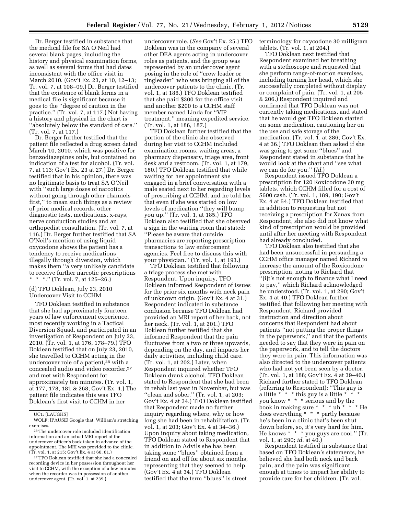Dr. Berger testified in substance that the medical file for SA O'Neil had several blank pages, including the history and physical examination forms, as well as several forms that had dates inconsistent with the office visit in March 2010. (Gov't Ex. 23, at 10, 12–13; Tr. vol. 7, at 108–09.) Dr. Berger testified that the existence of blank forms in a medical file is significant because it goes to the ''degree of caution in the practice.'' (Tr. vol. 7, at 117.) Not having a history and physical in the chart is ''absolutely below the standard of care.'' (Tr. vol. 7, at 117.)

Dr. Berger further testified that the patient file reflected a drug screen dated March 10, 2010, which was positive for benzodiazepines only, but contained no indication of a test for alcohol. (Tr. vol. 7, at 113; Gov't Ex. 23 at 27.) Dr. Berger testified that in his opinion, there was no legitimate basis to treat SA O'Neil with ''such large doses of narcotics without going through other channels first,'' to mean such things as a review of prior medical records, other diagnostic tests, medications, x-rays, nerve conduction studies and an orthopedist consultation. (Tr. vol. 7, at 116.) Dr. Berger further testified that SA O'Neil's mention of using liquid oxycodone shows the patient has a tendency to receive medications illegally through diversion, which makes them ''a very unlikely candidate to receive further narcotic prescriptions \* \* \*.'' (Tr. vol. 7, at 125–26.)

# (d) TFO Doklean, July 23, 2010 Undercover Visit to CCHM

TFO Doklean testified in substance that she had approximately fourteen years of law enforcement experience, most recently working in a Tactical Diversion Squad, and participated in an investigation of Respondent on July 23, 2010. (Tr. vol. 1, at 176, 178–79.) TFO Doklean testified that on July 23, 2010, she travelled to CCHM acting in the undercover role of a patient,<sup>26</sup> with a concealed audio and video recorder,<sup>27</sup> and met with Respondent for approximately ten minutes. (Tr. vol. 1, at 177, 178, 181 & 268; Gov't Ex. 4.) The patient file indicates this was TFO Doklean's first visit to CCHM in her

undercover role. (*See* Gov't Ex. 25.) TFO Doklean was in the company of several other DEA agents acting in undercover roles as patients, and the group was represented by an undercover agent posing in the role of ''crew leader or ringleader'' who was bringing all of the undercover patients to the clinic. (Tr. vol. 1, at 186.) TFO Doklean testified that she paid \$300 for the office visit and another \$200 to a CCHM staff member named Linda for ''VIP treatment,'' meaning expedited service. (Tr. vol. 1, at 186, 187.)

TFO Doklean further testified that the portion of the clinic she observed during her visit to CCHM included examination rooms, waiting areas, a pharmacy dispensary, triage area, front desk and a restroom. (Tr. vol. 1, at 179, 180.) TFO Doklean testified that while waiting for her appointment she engaged in a brief conversation with a male seated next to her regarding levels of prescribing at CCHM, and he told her that even if she was started on low levels of medication ''they will bump you up.'' (Tr. vol. 1, at 185.) TFO Doklean also testified that she observed a sign in the waiting room that stated: ''Please be aware that outside pharmacies are reporting prescription transactions to law enforcement agencies. Feel free to discuss this with your physician.'' (Tr. vol. 1, at 193.)

TFO Doklean testified that following a triage process she met with Respondent. Upon inquiry, TFO Doklean informed Respondent of issues for the prior six months with neck pain of unknown origin. (Gov't Ex. 4 at 31.) Respondent indicated in substance confusion because TFO Doklean had provided an MRI report of her back, not her neck. (Tr. vol. 1, at 201.) TFO Doklean further testified that she informed Respondent that the pain fluctuates from a two or three upwards, depending on the day, and impacts her daily activities, including child care. (Tr. vol. 1, at 202.) Later, when Respondent inquired whether TFO Doklean drank alcohol, TFO Doklean stated to Respondent that she had been in rehab last year in November, but was "clean and sober." (Tr. vol. 1, at 203; Gov't Ex. 4 at 34.) TFO Doklean testified that Respondent made no further inquiry regarding where, why or how long she had been in rehabilitation. (Tr. vol. 1, at 203; Gov't Ex. 4 at 34–36.) Upon inquiry about taking medication, TFO Doklean stated to Respondent that in addition to Advils she has been taking some ''blues'' obtained from a friend on and off for about six months, representing that they seemed to help. (Gov't Ex. 4 at 34.) TFO Doklean testified that the term ''blues'' is street

terminology for oxycodone 30 milligram tablets. (Tr. vol. 1, at 204.)

TFO Doklean next testified that Respondent examined her breathing with a stethoscope and requested that she perform range-of-motion exercises, including turning her head, which she successfully completed without display or complaint of pain. (Tr. vol. 1, at 205 & 206.) Respondent inquired and confirmed that TFO Doklean was not currently taking medications, and stated that he would get TFO Doklean started on some medication, cautioning her on the use and safe storage of the medication. (Tr. vol. 1, at 286; Gov't Ex. 4 at 36.) TFO Doklean then asked if she was going to get some ''blues'' and Respondent stated in substance that he would look at the chart and ''see what we can do for you.'' (*Id.*)

Respondent issued TFO Doklean a prescription for 120 Roxicodone 30 mg tablets, which CCHM filled for a cost of \$600 cash. (Tr. vol. 1, 189, 190; Gov't Ex. 4 at 54.) TFO Doklean testified that in addition to requesting but not receiving a prescription for Xanax from Respondent, she also did not know what kind of prescription would be provided until after her meeting with Respondent had already concluded.

TFO Doklean also testified that she had been unsuccessful in persuading a CCHM office manager named Richard to increase the amount of the Roxicodone prescription, noting to Richard that ''[i]t's not enough to finance what I need to pay,'' which Richard acknowledged he understood. (Tr. vol. 1, at 290; Gov't Ex. 4 at 40.) TFO Doklean further testified that following her meeting with Respondent, Richard provided instruction and direction about concerns that Respondent had about patients ''not putting the proper things in the paperwork,'' and that the patients needed to say that they were in pain on the paperwork, and to tell the doctors they were in pain. This information was also directed to the undercover patients who had not yet been seen by a doctor. (Tr. vol. 1, at 188; Gov't Ex. 4 at 39–40.) Richard further stated to TFO Doklean (referring to Respondent): ''This guy is a little  $* * *$  this guy is a little  $* *$ you know \* \* \* serious and by the book in making sure \* \* \* uh \* \* \* He does everything \* \* \* partly because he's been in a clinic that's been shut down before, so, it's very hard for him. He knows \* \* \* you guys are cool.'' (Tr. vol. 1, at 290; *id.* at 40.)

Respondent testified in substance that based on TFO Doklean's statements, he believed she had both neck and back pain, and the pain was significant enough at times to impact her ability to provide care for her children. (Tr. vol.

UC1: [LAUGHS]

WOLF: [PAUSE] Google that. William's stretching exercises.

<sup>26</sup>The undercover role included identification information and an actual MRI report of the undercover officer's back taken in advance of the appointment. The MRI was provided to the clinic. (Tr. vol. 1, at 215; Gov't Ex. 4 at 60, 61.)

<sup>27</sup>TFO Doklean testified that she had a concealed recording device in her possession throughout her visit to CCHM, with the exception of a few minutes when the recorder was in possession of another undercover agent. (Tr. vol. 1, at 239.)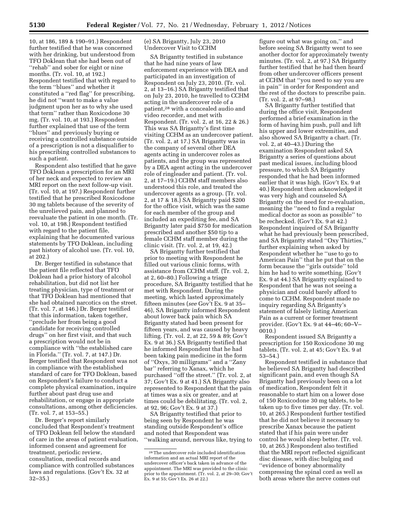10, at 186, 189 & 190–91.) Respondent further testified that he was concerned with her drinking, but understood from TFO Doklean that she had been out of ''rehab'' and sober for eight or nine months. (Tr. vol. 10, at 192.) Respondent testified that with regard to the term ''blues'' and whether it constituted a ''red flag'' for prescribing, he did not ''want to make a value judgment upon her as to why she used that term'' rather than Roxicodone 30 mg. (Tr. vol. 10, at 193.) Respondent further explained that use of the term ''blues'' and previously buying or receiving a controlled substance outside of a prescription is not a disqualifier to his prescribing controlled substances to such a patient.

Respondent also testified that he gave TFO Doklean a prescription for an MRI of her neck and expected to review an MRI report on the next follow-up visit. (Tr. vol. 10, at 197.) Respondent further testified that he prescribed Roxicodone 30 mg tablets because of the severity of the unrelieved pain, and planned to reevaluate the patient in one month. (Tr. vol. 10, at 198.) Respondent testified with regard to the patient file, explaining that he documented various statements by TFO Doklean, including past history of alcohol use. (Tr. vol. 10, at 202.)

Dr. Berger testified in substance that the patient file reflected that TFO Doklean had a prior history of alcohol rehabilitation, but did not list her treating physician, type of treatment or that TFO Doklean had mentioned that she had obtained narcotics on the street. (Tr. vol. 7, at 146.) Dr. Berger testified that this information, taken together, ''preclude her from being a good candidate for receiving controlled drugs'' on her first visit, and that such a prescription would not be in compliance with ''the established care in Florida.'' (Tr. vol. 7, at 147.) Dr. Berger testified that Respondent was not in compliance with the established standard of care for TFO Doklean, based on Respondent's failure to conduct a complete physical examination, inquire further about past drug use and rehabilitation, or engage in appropriate consultations, among other deficiencies. (Tr. vol. 7, at 153–55.)

Dr. Berger's report similarly concluded that Respondent's treatment of TFO Doklean fell below the standard of care in the areas of patient evaluation, informed consent and agreement for treatment, periodic review, consultation, medical records and compliance with controlled substances laws and regulations. (Gov't Ex. 32 at 32–35.)

(e) SA Brigantty, July 23, 2010 Undercover Visit to CCHM

SA Brigantty testified in substance that he had nine years of law enforcement experience with DEA and participated in an investigation of Respondent on July 23, 2010. (Tr. vol. 2, at 13–16.) SA Brigantty testified that on July 23, 2010, he travelled to CCHM acting in the undercover role of a patient,28 with a concealed audio and video recorder, and met with Respondent. (Tr. vol. 2, at 16, 22 & 26.) This was SA Brigantty's first time visiting CCHM as an undercover patient. (Tr. vol. 2, at 17.) SA Brigantty was in the company of several other DEA agents acting in undercover roles as patients, and the group was represented by a DEA agent acting in the undercover role of ringleader and patient. (Tr. vol. 2, at 17–19.) CCHM staff members also understood this role, and treated the undercover agents as a group. (Tr. vol. 2, at 17 & 18.) SA Brigantty paid \$200 for the office visit, which was the same for each member of the group and included an expediting fee, and SA Brigantty later paid \$750 for medication prescribed and another \$50 tip to a female CCHM staff member during the clinic visit. (Tr. vol. 2, at 19, 42.)

SA Brigantty further testified that prior to meeting with Respondent he filled out various clinic forms, with assistance from CCHM staff. (Tr. vol. 2, at 2, 60–80.) Following a triage procedure, SA Brigantty testified that he met with Respondent. During the meeting, which lasted approximately fifteen minutes (*see* Gov't Ex. 9 at 35– 46), SA Brigantty informed Respondent about lower back pain which SA Brigantty stated had been present for fifteen years, and was caused by heavy lifting. (Tr. vol. 2, at 22, 59 & 89; Gov't Ex. 9 at 36.) SA Brigantty testified that he informed Respondent that he had been taking pain medicine in the form of ''Oxys, 30 milligrams'' and a ''Zany bar'' referring to Xanax, which he purchased ''off the street.'' (Tr. vol. 2, at 37; Gov't Ex. 9 at 41.) SA Brigantty also represented to Respondent that the pain at times was a six or greater, and at times could be debilitating. (Tr. vol. 2, at 92, 96; Gov't Ex. 9 at 37.)

SA Brigantty testified that prior to being seen by Respondent he was standing outside Respondent's office and noted that Respondent was ''walking around, nervous like, trying to

figure out what was going on,'' and before seeing SA Brigantty went to see another doctor for approximately twenty minutes. (Tr. vol. 2, at 97.) SA Brigantty further testified that he had then heard from other undercover officers present at CCHM that ''you need to say you are in pain'' in order for Respondent and the rest of the doctors to prescribe pain. (Tr. vol. 2, at 97–98.)

SA Brigantty further testified that during the office visit, Respondent performed a brief examination in the form of having him push, pull and lift his upper and lower extremities, and also showed SA Brigantty a chart. (Tr. vol. 2, at 40–43.) During the examination Respondent asked SA Brigantty a series of questions about past medical issues, including blood pressure, to which SA Brigantty responded that he had been informed earlier that it was high. (Gov't Ex. 9 at 40.) Respondent then acknowledged it was very high and counseled SA Brigantty on the need for re-evaluation, meaning the ''need to find a regular medical doctor as soon as possible'' to be rechecked. (Gov't Ex. 9 at 42.) Respondent inquired of SA Brigantty what he had previously been prescribed, and SA Brigantty stated ''Oxy Thirties,'' further explaining when asked by Respondent whether he ''use to go to American Pain'' that he put that on the form because the ''girls outside'' told him he had to write something. (Gov't Ex. 9 at 44.) SA Brigantty explained to Respondent that he was not seeing a physician and could barely afford to come to CCHM. Respondent made no inquiry regarding SA Brigantty's statement of falsely listing American Pain as a current or former treatment provider. (Gov't Ex. 9 at 44–46; 60–V– 0010.)

Respondent issued SA Brigantty a prescription for 150 Roxicodone 30 mg tablets. (Tr. vol. 2, at 45; Gov't Ex. 9 at 53–54.)

Respondent testified in substance that he believed SA Brigantty had described significant pain, and even though SA Brigantty had previously been on a lot of medication, Respondent felt it reasonable to start him on a lower dose of 150 Roxicodone 30 mg tablets, to be taken up to five times per day. (Tr. vol. 10, at 265.) Respondent further testified that he did not believe it necessary to prescribe Xanax because the patient stated that if his pain were under control he would sleep better. (Tr. vol. 10, at 265.) Respondent also testified that the MRI report reflected significant disc disease, with disc bulging and ''evidence of boney abnormality compressing the spinal cord as well as both areas where the nerve comes out

<sup>28</sup>The undercover role included identification information and an actual MRI report of the undercover officer's back taken in advance of the appointment. The MRI was provided to the clinic prior to the appointment. (Tr. vol. 2, at 29–30; Gov't Ex. 9 at 55;  $\overrightarrow{Gov}$ 't Ex. 26 at 22.)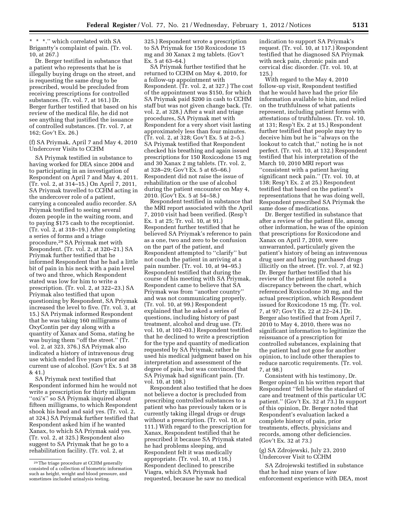\* \* \*.'' which correlated with SA Brigantty's complaint of pain. (Tr. vol. 10, at 267.)

Dr. Berger testified in substance that a patient who represents that he is illegally buying drugs on the street, and is requesting the same drug to be prescribed, would be precluded from receiving prescriptions for controlled substances. (Tr. vol. 7, at 161.) Dr. Berger further testified that based on his review of the medical file, he did not see anything that justified the issuance of controlled substances. (Tr. vol. 7, at 162; Gov't Ex. 26.)

(f) SA Priymak, April 7 and May 4, 2010 Undercover Visits to CCHM

SA Priymak testified in substance to having worked for DEA since 2004 and to participating in an investigation of Respondent on April 7 and May 4, 2011. (Tr. vol. 2, at 314–15.) On April 7, 2011, SA Priymak travelled to CCHM acting in the undercover role of a patient, carrying a concealed audio recorder. SA Priymak testified to seeing several dozen people in the waiting room, and to paying \$175 cash to the receptionist. (Tr. vol. 2, at 318–19.) After completing a series of forms and a triage procedure,29 SA Priymak met with Respondent. (Tr. vol. 2, at 320–21.) SA Priymak further testified that he informed Respondent that he had a little bit of pain in his neck with a pain level of two and three, which Respondent stated was low for him to write a prescription. (Tr. vol. 2, at 322–23.) SA Priymak also testified that upon questioning by Respondent, SA Priymak increased the level to five. (Tr. vol. 3, at 15.) SA Priymak informed Respondent that he was taking 160 milligrams of OxyContin per day along with a quantity of Xanax and Soma, stating he was buying them ''off the street.'' (Tr. vol. 2, at 323, 376.) SA Priymak also indicated a history of intravenous drug use which ended five years prior and current use of alcohol. (Gov't Ex. 5 at 38 & 41.)

SA Priymak next testified that Respondent informed him he would not write a prescription for thirty milligram ''oxi's'' so SA Priymak inquired about fifteen milligrams, to which Respondent shook his head and said yes. (Tr. vol. 2, at 324.) SA Priymak further testified that Respondent asked him if he wanted Xanax, to which SA Priymak said yes. (Tr. vol. 2, at 325.) Respondent also suggest to SA Priymak that he go to a rehabilitation facility. (Tr. vol. 2, at

325.) Respondent wrote a prescription to SA Priymak for 150 Roxicodone 15 mg and 30 Xanax 2 mg tablets. (Gov't Ex. 5 at 63–64.)

SA Priymak further testified that he returned to CCHM on May 4, 2010, for a follow-up appointment with Respondent. (Tr. vol. 2, at 327.) The cost of the appointment was \$150, for which SA Priymak paid \$200 in cash to CCHM staff but was not given change back. (Tr. vol. 2, at 328.) After a wait and triage procedures, SA Priymak met with Respondent for a very short visit lasting approximately less than four minutes. (Tr. vol. 2, at 328; Gov't Ex. 5 at 2–5.) SA Priymak testified that Respondent checked his breathing and again issued prescriptions for 150 Roxicodone 15 mg and 30 Xanax 2 mg tablets. (Tr. vol. 2, at 328–29; Gov't Ex. 5 at 65–66.) Respondent did not raise the issue of rehabilitation or the use of alcohol during the patient encounter on May 4, 2010. (Gov't Ex. 5 at 54–58.)

Respondent testified in substance that the MRI report associated with the April 7, 2010 visit had been verified. (Resp't Ex. 1 at 25; Tr. vol. 10, at 91.) Respondent further testified that he believed SA Priymak's reference to pain as a one, two and zero to be confusion on the part of the patient, and Respondent attempted to ''clarify'' but not coach the patient in arriving at a pain number. (Tr. vol. 10, at 94–95.) Respondent testified that during the course of his meeting with SA Priymak, Respondent came to believe that SA Priymak was from ''another country'' and was not communicating properly. (Tr. vol. 10, at 99.) Respondent explained that he asked a series of questions, including history of past treatment, alcohol and drug use. (Tr. vol. 10, at 102–03.) Respondent testified that he declined to write a prescription for the type and quantity of medication requested by SA Priymak; rather he used his medical judgment based on his interpretation and assessment of the degree of pain, but was convinced that SA Priymak had significant pain. (Tr. vol. 10, at 108.)

Respondent also testified that he does not believe a doctor is precluded from prescribing controlled substances to a patient who has previously taken or is currently taking illegal drugs or drugs without a prescription. (Tr. vol. 10, at 111.) With regard to the prescription for Xanax, Respondent testified that he prescribed it because SA Priymak stated he had problems sleeping, and Respondent felt it was medically appropriate. (Tr. vol. 10, at 116.) Respondent declined to prescribe Viagra, which SA Priymak had requested, because he saw no medical

indication to support SA Priymak's request. (Tr. vol. 10, at 117.) Respondent testified that he diagnosed SA Priymak with neck pain, chronic pain and cervical disc disorder. (Tr. vol. 10, at 125.)

With regard to the May 4, 2010 follow-up visit, Respondent testified that he would have had the prior file information available to him, and relied on the truthfulness of what patients represent, including patient forms with attestations of truthfulness. (Tr. vol. 10, at 131; Resp't Ex. 2 at 15.) Respondent further testified that people may try to deceive him but he is ''always on the lookout to catch that,'' noting he is not perfect. (Tr. vol. 10, at 132.) Respondent testified that his interpretation of the March 10, 2010 MRI report was ''consistent with a patient having significant neck pain.'' (Tr. vol. 10, at 138; Resp't Ex. 2 at 25.) Respondent testified that based on the patient's representations that he was doing well, Respondent prescribed SA Priymak the same dose of medications.

Dr. Berger testified in substance that after a review of the patient file, among other information, he was of the opinion that prescriptions for Roxicodone and Xanax on April 7, 2010, were unwarranted, particularly given the patient's history of being an intravenous drug user and having purchased drugs illicitly on the street. (Tr. vol. 7, at 92.) Dr. Berger further testified that his review of the patient file noted a discrepancy between the chart, which referenced Roxicodone 30 mg, and the actual prescription, which Respondent issued for Roxicodone 15 mg. (Tr. vol. 7, at 97; Gov't Ex. 22 at 22–24.) Dr. Berger also testified that from April 7, 2010 to May 4, 2010, there was no significant information to legitimize the reissuance of a prescription for controlled substances, explaining that the patient had not gone for another opinion, to include other therapies to reduce narcotic requirements. (Tr. vol. 7, at 98.)

Consistent with his testimony, Dr. Berger opined in his written report that Respondent ''fell below the standard of care and treatment of this particular UC patient.'' (Gov't Ex. 32 at 73.) In support of this opinion, Dr. Berger noted that Respondent's evaluation lacked a complete history of pain, prior treatments, effects, physicians and records, among other deficiencies. (Gov't Ex. 32 at 73.)

#### (g) SA Zdrojewski, July 23, 2010 Undercover Visit to CCHM

SA Zdrojewski testified in substance that he had nine years of law enforcement experience with DEA, most

<sup>29</sup>The triage procedure at CCHM generally consisted of a collection of biometric information such as height, weight and blood pressure, and sometimes included urinalysis testing.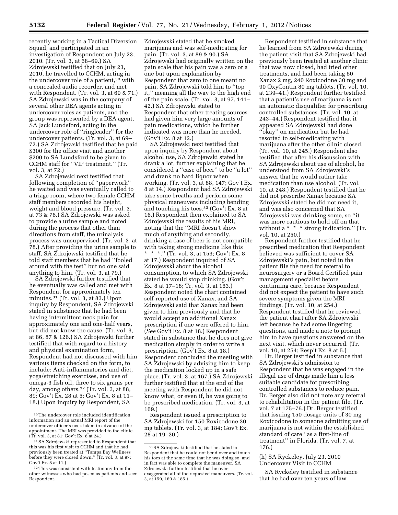recently working in a Tactical Diversion Squad, and participated in an investigation of Respondent on July 23, 2010. (Tr. vol. 3, at 68–69.) SA Zdrojewski testified that on July 23, 2010, he travelled to CCHM, acting in the undercover role of a patient,<sup>30</sup> with a concealed audio recorder, and met with Respondent. (Tr. vol. 3, at 69 & 71.) SA Zdrojewski was in the company of several other DEA agents acting in undercover roles as patients, and the group was represented by a DEA agent, SA Jack Lundsford, acting in the undercover role of ''ringleader'' for the undercover patients. (Tr. vol. 3, at 69– 72.) SA Zdrojewski testified that he paid \$300 for the office visit and another \$200 to SA Lundsford to be given to CCHM staff for ''VIP treatment.'' (Tr. vol. 3, at 72.)

SA Zdrojewski next testified that following completion of ''paperwork'' he waited and was eventually called to a triage room, where two female CCHM staff members recorded his height, weight and blood pressure. (Tr. vol. 3, at 73 & 76.) SA Zdrojewski was asked to provide a urine sample and noted during the process that other than directions from staff, the urinalysis process was unsupervised. (Tr. vol. 3, at 78.) After providing the urine sample to staff, SA Zdrojewski testified that he told staff members that he had ''fooled around with the test'' but no one said anything to him. (Tr. vol. 3, at 79.)

SA Zdrojewski further testified that he eventually was called and met with Respondent for approximately ten minutes.31 (Tr. vol. 3, at 83.) Upon inquiry by Respondent, SA Zdrojewski stated in substance that he had been having intermittent neck pain for approximately one and one-half years, but did not know the cause. (Tr. vol. 3, at 86, 87 & 126.) SA Zdrojewski further testified that with regard to a history and physical examination form, Respondent had not discussed with him various items checked on the form, to include: Anti-inflammatories and diet, yoga/stretching exercises, and use of omega-3 fish oil, three to six grams per day, among others.32 (Tr. vol. 3, at 88, 89; Gov't Ex. 28 at 5; Gov't Ex. 8 at 11– 18.) Upon inquiry by Respondent, SA

Zdrojewski stated that he smoked marijuana and was self-medicating for pain. (Tr. vol. 3, at 89 & 90.) SA Zdrojewski had originally written on the pain scale that his pain was a zero or a one but upon explanation by Respondent that zero to one meant no pain, SA Zdrojewski told him to ''top it,'' meaning all the way to the high end of the pain scale. (Tr. vol. 3, at 97, 141– 42.) SA Zdrojewski stated to Respondent that other treating sources had given him very large amounts of pain medications, which he further indicated was more than he needed. (Gov't Ex. 8 at 12.)

SA Zdrojewski next testified that upon inquiry by Respondent about alcohol use, SA Zdrojewski stated he drank a lot, further explaining that he considered a ''case of beer'' to be ''a lot'' and drank no hard liquor when working. (Tr. vol. 3, at 88, 147; Gov't Ex. 8 at 14.) Respondent had SA Zdrojewski take some breaths and perform some physical maneuvers including bending and touching his toes.33 (Gov't Ex. 8 at 16.) Respondent then explained to SA Zdrojewski the results of his MRI, noting that the ''MRI doesn't show much of anything and secondly, drinking a case of beer is not compatible with taking strong medicine like this \* \* \*.'' (Tr. vol. 3, at 153; Gov't Ex. 8 at 17.) Respondent inquired of SA Zdrojewski about the alcohol consumption, to which SA Zdrojewski stated he would stop drinking. (Gov't Ex. 8 at 17–18; Tr. vol. 3, at 163.) Respondent noted the chart contained self-reported use of Xanax, and SA Zdrojewski said that Xanax had been given to him previously and that he would accept an additional Xanax prescription if one were offered to him. (*See* Gov't Ex. 8 at 18.) Respondent stated in substance that he does not give medication simply in order to write a prescription. (Gov't Ex. 8 at 18.) Respondent concluded the meeting with SA Zdrojewski by advising him to keep the medication locked up in a safe place. (Tr. vol. 3, at 167.) SA Zdrojewski further testified that at the end of the meeting with Respondent he did not know what, or even if, he was going to be prescribed medication. (Tr. vol. 3, at 169.)

Respondent issued a prescription to SA Zdrojewski for 150 Roxicodone 30 mg tablets. (Tr. vol. 3, at 184; Gov't Ex. 28 at 19–20.)

Respondent testified in substance that he learned from SA Zdrojewski during the patient visit that SA Zdrojewski had previously been treated at another clinic that was now closed, had tried other treatments, and had been taking 60 Xanax 2 mg, 240 Roxicodone 30 mg and 90 OxyContin 80 mg tablets. (Tr. vol. 10, at 239–41.) Respondent further testified that a patient's use of marijuana is not an automatic disqualifier for prescribing controlled substances. (Tr. vol. 10, at 243–44.) Respondent testified that it appeared SA Zdrojewski had done ''okay'' on medication but he had resorted to self-medicating with marijuana after the other clinic closed. (Tr. vol. 10, at 245.) Respondent also testified that after his discussion with SA Zdrojewski about use of alcohol, he understood from SA Zdrojewski's answer that he would rather take medication than use alcohol. (Tr. vol. 10, at 248.) Respondent testified that he did not prescribe Xanax because SA Zdrojewski stated he did not need it, and was also concerned that SA Zdrojewski was drinking some, so ''it was more cautious to hold off on that without a \* \* \* strong indication.'' (Tr. vol. 10, at 250.)

Respondent further testified that he prescribed medication that Respondent believed was sufficient to cover SA Zdrojewski's pain, but noted in the patient file the need for referral to neurosurgery or a Board Certified pain management specialist before continuing care, because Respondent did not expect the patient to have such severe symptoms given the MRI findings. (Tr. vol. 10, at 254.) Respondent testified that he reviewed the patient chart after SA Zdrojewski left because he had some lingering questions, and made a note to prompt him to have questions answered on the next visit, which never occurred. (Tr. vol. 10, at 254; Resp't Ex. 8 at 5.)

Dr. Berger testified in substance that SA Zdrojewski's admission to Respondent that he was engaged in the illegal use of drugs made him a less suitable candidate for prescribing controlled substances to reduce pain. Dr. Berger also did not note any referral to rehabilitation in the patient file. (Tr. vol. 7 at 175–76.) Dr. Berger testified that issuing 150 dosage units of 30 mg Roxicodone to someone admitting use of marijuana is not within the established standard of care ''as a first-line of treatment'' in Florida. (Tr. vol. 7, at 176.)

# (h) SA Ryckeley, July 23, 2010 Undercover Visit to CCHM

SA Ryckeley testified in substance that he had over ten years of law

<sup>30</sup>The undercover role included identification information and an actual MRI report of the undercover officer's neck taken in advance of the appointment. The MRI was provided to the clinic. (Tr. vol. 3, at 81; Gov't Ex. 8 at 24.)

<sup>31</sup>SA Zdrojewski represented to Respondent that this was his first visit to CCHM and that he had previously been treated at ''Tampa Bay Wellness before they were closed down.'' (Tr. vol. 3, at 97; Gov't Ex. 8 at 11.)

<sup>&</sup>lt;sup>32</sup>This was consistent with testimony from the other witnesses who had posed as patients and seen Respondent.

<sup>33</sup>SA Zdrojewski testified that he stated to Respondent that he could not bend over and touch his toes at the same time that he was doing so, and in fact was able to complete the maneuver. SA Zdrojewski further testified that he overexaggerated all of the requested maneuvers. (Tr. vol. 3, at 159, 160 & 185.)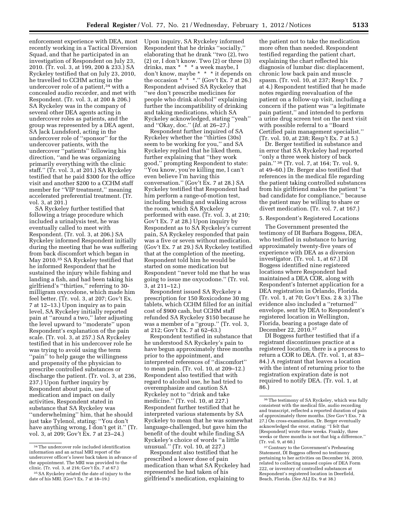enforcement experience with DEA, most recently working in a Tactical Diversion Squad, and that he participated in an investigation of Respondent on July 23, 2010. (Tr. vol. 3, at 199, 200 & 233.) SA Ryckeley testified that on July 23, 2010, he travelled to CCHM acting in the undercover role of a patient,<sup>34</sup> with a concealed audio recorder, and met with Respondent. (Tr. vol. 3, at 200 & 206.) SA Ryckeley was in the company of several other DEA agents acting in undercover roles as patients, and the group was represented by a DEA agent, SA Jack Lundsford, acting in the undercover role of ''sponsor'' for the undercover patients, with the undercover ''patients'' following his direction, ''and he was organizing primarily everything with the clinic staff.'' (Tr. vol. 3, at 201.) SA Ryckeley testified that he paid \$300 for the office visit and another \$200 to a CCHM staff member for ''VIP treatment,'' meaning accelerated preferential treatment. (Tr. vol. 3, at 201.)

SA Ryckeley further testified that following a triage procedure which included a urinalysis test, he was eventually called to meet with Respondent. (Tr. vol. 3, at 206.) SA Ryckeley informed Respondent initially during the meeting that he was suffering from back discomfort which began in May 2010.35 SA Ryckeley testified that he informed Respondent that he sustained the injury while fishing and landing a fish, and had been taking his girlfriend's ''thirties,'' referring to 30 milligram oxycodone, which made him feel better. (Tr. vol. 3, at 207; Gov't Ex. 7 at 12–13.) Upon inquiry as to pain level, SA Ryckeley initially reported pain at ''around a two,'' later adjusting the level upward to ''moderate'' upon Respondent's explanation of the pain scale. (Tr. vol. 3, at 257.) SA Ryckeley testified that in his undercover role he was trying to avoid using the term "pain" to help gauge the willingness and propensity of the physician to prescribe controlled substances or discharge the patient. (Tr. vol. 3, at 236, 237.) Upon further inquiry by Respondent about pain, use of medication and impact on daily activities, Respondent stated in substance that SA Ryckeley was ''underwhelming'' him, that he should just take Tylenol, stating: ''You don't have anything wrong, I don't get it.'' (Tr. vol. 3, at 209; Gov't Ex. 7 at 23–24.)

Upon inquiry, SA Ryckeley informed Respondent that he drinks ''socially,'' elaborating that he drank ''two (2), two (2) or, I don't know. Two (2) or three (3) drinks, max \* \* \* a week maybe, I don't know, maybe \* \* \* it depends on the occasion  $* * *$ ." (Gov't Ex. 7 at 26.) Respondent advised SA Ryckeley that ''we don't prescribe medicines for people who drink alcohol'' explaining further the incompatibility of drinking and taking medications, which SA Ryckeley acknowledged, stating ''yeah'' and ''Okay, doc.'' (*Id.* at 26–27.)

Respondent further inquired of SA Ryckeley whether the ''thirties (30s) seem to be working for you,'' and SA Ryckeley replied that he liked them, further explaining that ''they work good,'' prompting Respondent to state: ''You know, you're killing me, I can't even believe I'm having this conversation.'' (Gov't Ex. 7 at 28.) SA Ryckeley testified that Respondent had him perform a range-of-motion test, including bending and walking across the room, which SA Ryckeley performed with ease. (Tr. vol. 3, at 210; Gov't Ex. 7 at 28.) Upon inquiry by Respondent as to SA Ryckeley's current pain, SA Ryckeley responded that pain was a five or seven without medication. (Gov't Ex. 7 at 29.) SA Ryckeley testified that at the completion of the meeting, Respondent told him he would be started on some medication but Respondent ''never told me that he was going to issue me oxycodone.'' (Tr. vol. 3, at 211–12.)

Respondent issued SA Ryckeley a prescription for 150 Roxicodone 30 mg tablets, which CCHM filled for an initial cost of \$900 cash, but CCHM staff refunded SA Ryckeley \$150 because he was a member of a ''group.'' (Tr. vol. 3, at 212; Gov't Ex. 7 at 62–63.)

Respondent testified in substance that he understood SA Ryckeley's pain to have begun approximately three months prior to the appointment, and interpreted references of ''discomfort'' to mean pain. (Tr. vol. 10, at 209–12.) Respondent also testified that with regard to alcohol use, he had tried to overemphasize and caution SA Ryckeley not to ''drink and take medicine.'' (Tr. vol. 10, at 227.) Respondent further testified that he interpreted various statements by SA Ryckeley to mean that he was somewhat language-challenged, but gave him the benefit of the doubt while finding SA Ryckeley's choice of words ''a little unusual.'' (Tr. vol. 10, at 227.)

Respondent also testified that he prescribed a lower dose of pain medication than what SA Ryckeley had represented he had taken of his girlfriend's medication, explaining to

the patient not to take the medication more often than needed. Respondent testified regarding the patient chart, explaining the chart reflected his diagnosis of lumbar disc displacement, chronic low back pain and muscle spasm. (Tr. vol. 10, at 237; Resp't Ex. 7 at 4.) Respondent testified that he made notes regarding reevaluation of the patient on a follow-up visit, including a concern if the patient was ''a legitimate pain patient,'' and intended to perform a urine drug screen test on the next visit with possible referral to a ''Board Certified pain management specialist.'' (Tr. vol. 10, at 238; Resp't Ex. 7 at 5.)

Dr. Berger testified in substance and in error that SA Ryckeley had reported ''only a three week history of back pain.'' 36 (Tr. vol. 7, at 164; Tr. vol. 9, at 49–60.) Dr. Berger also testified that references in the medical file regarding the patient taking controlled substances from his girlfriend makes the patient ''a bad candidate for compliance,'' because the patient may be willing to share or divert medication. (Tr. vol. 7, at 167.)

# 5. Respondent's Registered Locations

The Government presented the testimony of DI Barbara Boggess, DEA, who testified in substance to having approximately twenty-five years of experience with DEA as a diversion investigator. (Tr. vol. 1, at 67.) DI Boggess identified nine registered locations where Respondent had maintained a DEA COR, along with Respondent's Internet application for a DEA registration in Orlando, Florida. (Tr. vol. 1, at 70; Gov't Exs. 2 & 3.) The evidence also included a ''returned'' envelope, sent by DEA to Respondent's registered location in Wellington, Florida, bearing a postage date of December 22, 2010.37

DI Boggess further testified that if a registrant discontinues practice at a registered location, there is a process to return a COR to DEA. (Tr. vol. 1, at 83– 84.) A registrant that leaves a location with the intent of returning prior to the registration expiration date is not required to notify DEA. (Tr. vol. 1, at 86.)

<sup>34</sup>The undercover role included identification information and an actual MRI report of the undercover officer's lower back taken in advance of the appointment. The MRI was provided to the clinic. (Tr. vol. 3, at 216; Gov't Ex. 7 at 67.)

<sup>35</sup>SA Ryckeley related the date of injury to the date of his MRI. (Gov't Ex. 7 at 18–19.)

<sup>36</sup>The testimony of SA Ryckeley, which was fully consistent with the medical file, audio recording and transcript, reflected a reported duration of pain of approximately three months. (*See* Gov't Exs. 7 & 27.) On cross-examination, Dr. Berger eventually acknowledged the error, stating: ''I felt that [Respondent] wrote three weeks. Frankly, three weeks or three months is not that big a difference.'' (Tr. vol. 9, at 60.)

<sup>37</sup>Contrary to the Government's Prehearing Statement, DI Boggess offered no testimony pertaining to her activities on December 16, 2010, related to collecting unused copies of DEA Form 222, or inventory of controlled substances at Respondent's registered location in Deerfield, Beach, Florida. (*See* ALJ Ex. 9 at 38.)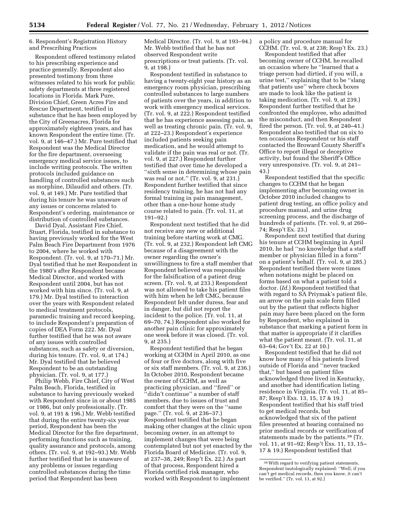6. Respondent's Registration History and Prescribing Practices

Respondent offered testimony related to his prescribing experience and practice generally. Respondent also presented testimony from three witnesses related to his work for public safety departments at three registered locations in Florida. Mark Pure, Division Chief, Green Acres Fire and Rescue Department, testified in substance that he has been employed by the City of Greenacres, Florida for approximately eighteen years, and has known Respondent the entire time. (Tr. vol. 9, at 146–47.) Mr. Pure testified that Respondent was the Medical Director for the fire department, overseeing emergency medical service issues, to include writing protocols. The written protocols included guidance on handling of controlled substances such as morphine, Dilaudid and others. (Tr. vol. 9, at 149.) Mr. Pure testified that during his tenure he was unaware of any issues or concerns related to Respondent's ordering, maintenance or distribution of controlled substances.

David Dyal, Assistant Fire Chief, Stuart, Florida, testified in substance to having previously worked for the West Palm Beach Fire Department from 1976 to 2004, where he worked with Respondent. (Tr. vol. 9, at 170–71.) Mr. Dyal testified that he met Respondent in the 1980's after Respondent became Medical Director, and worked with Respondent until 2004, but has not worked with him since. (Tr. vol. 9, at 179.) Mr. Dyal testified to interaction over the years with Respondent related to medical treatment protocols, paramedic training and record keeping, to include Respondent's preparation of copies of DEA Form 222. Mr. Dyal further testified that he was not aware of any issues with controlled substances, such as safety or diversion, during his tenure. (Tr. vol. 9, at 174.) Mr. Dyal testified that he believed Respondent to be an outstanding physician. (Tr. vol. 9, at 177.)

Philip Webb, Fire Chief, City of West Palm Beach, Florida, testified in substance to having previously worked with Respondent since in or about 1985 or 1986, but only professionally. (Tr. vol. 9, at 191 & 196.) Mr. Webb testified that during the entire twenty-six year period, Respondent has been the Medical Director for the fire department, performing functions such as training, quality assurance and protocols, among others. (Tr. vol. 9, at 192–93.) Mr. Webb further testified that he is unaware of any problems or issues regarding controlled substances during the time period that Respondent has been

Medical Director. (Tr. vol. 9, at 193–94.) Mr. Webb testified that he has not observed Respondent write prescriptions or treat patients. (Tr. vol. 9, at 198.)

Respondent testified in substance to having a twenty-eight year history as an emergency room physician, prescribing controlled substances to large numbers of patients over the years, in addition to work with emergency medical services. (Tr. vol. 9, at 222.) Respondent testified that he has experience assessing pain, as well as treating chronic pain. (Tr. vol. 9, at 222–23.) Respondent's experience included patients seeking pain medication, and he would attempt to validate if the pain was real or not. (Tr. vol. 9, at 227.) Respondent further testified that over time he developed a ''sixth sense in determining whose pain was real or not.'' (Tr. vol. 9, at 231.) Respondent further testified that since residency training, he has not had any formal training in pain management, other than a one-hour home study course related to pain. (Tr. vol. 11, at 191–92.)

Respondent next testified that he did not receive any new or additional training before starting work at CMG. (Tr. vol. 9, at 232.) Respondent left CMG because of a disagreement with the owner regarding the owner's unwillingness to fire a staff member that Respondent believed was responsible for the falsification of a patient drug screen. (Tr. vol. 9, at 233.) Respondent was not allowed to take his patient files with him when he left CMG, because Respondent felt under duress, fear and in danger, but did not report the incident to the police. (Tr. vol. 11, at 69–70, 74.) Respondent also worked for another pain clinic for approximately one week before it was closed. (Tr. vol. 9, at 235.)

Respondent testified that he began working at CCHM in April 2010, as one of four or five doctors, along with five or six staff members. (Tr. vol. 9, at 236.) In October 2010, Respondent became the owner of CCHM, as well as practicing physician, and ''fired'' or ''didn't continue'' a number of staff members, due to issues of trust and comfort that they were on the ''same page.'' (Tr. vol. 9, at 236–37.) Respondent testified that he began making other changes at the clinic upon becoming owner, in an attempt to implement changes that were being contemplated but not yet enacted by the Florida Board of Medicine. (Tr. vol. 9, at 237–38, 249; Resp't Ex. 22.) As part of that process, Respondent hired a Florida certified risk manager, who worked with Respondent to implement

a policy and procedure manual for CCHM. (Tr. vol. 9, at 238; Resp't Ex. 23.)

Respondent testified that after becoming owner of CCHM, he recalled an occasion where he ''learned that a triage person had dirtied, if you will, a urine test,'' explaining that to be ''slang that patients use'' where check boxes are made to look like the patient is taking medication. (Tr. vol. 9, at 239.) Respondent further testified that he confronted the employee, who admitted the misconduct, and then Respondent fired the person. (Tr. vol. 9, at 240–41.) Respondent also testified that on six to ten occasions Respondent or his staff contacted the Broward County Sheriff's Office to report illegal or deceptive activity, but found the Sheriff's Office very unresponsive. (Tr. vol. 9, at 241– 43.)

Respondent testified that the specific changes to CCHM that he began implementing after becoming owner in October 2010 included changes to patient drug testing, an office policy and procedure manual, and urine drug screening process, and the discharge of hundreds of patients. (Tr. vol. 9, at 260– 74; Resp't Ex. 23.)

Respondent next testified that during his tenure at CCHM beginning in April 2010, he had ''no knowledge that a staff member or physician filled in a form'' on a patient's behalf. (Tr. vol. 9, at 285.) Respondent testified there were times when notations might be placed on forms based on what a patient told a doctor. (*Id.*) Respondent testified that with regard to SA Priymak's patient file, an arrow on the pain scale form filled out by the patient that reflects higher pain may have been placed on the form by Respondent, who explained in substance that marking a patient form in that matter is appropriate if it clarifies what the patient meant. (Tr. vol. 11, at 63–64; Gov't Ex. 22 at 10.)

Respondent testified that he did not know how many of his patients lived outside of Florida and ''never tracked that,'' but based on patient files acknowledged three lived in Kentucky, and another had identification listing residence in Virginia. (Tr. vol. 11, at 85– 87; Resp't Exs. 13, 15, 17 & 19.) Respondent testified that his staff tried to get medical records, but acknowledged that six of the patient files presented at hearing contained no prior medical records or verification of statements made by the patients.38 (Tr. vol. 11, at 91–92; Resp't Exs. 11, 13, 15– 17 & 19.) Respondent testified that

<sup>38</sup>With regard to verifying patient statements, Respondent tautologically explained: ''Well, if you can't get medical records, then you know, it can't be verified.'' (Tr. vol. 11, at 92.)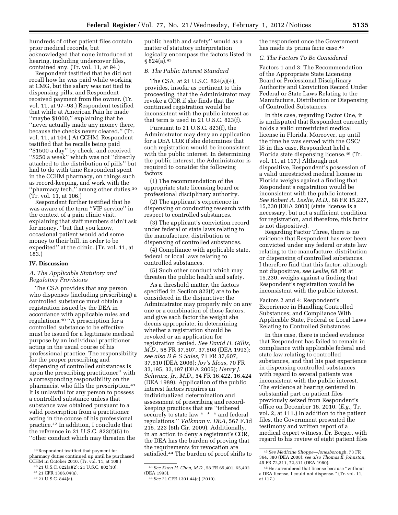hundreds of other patient files contain prior medical records, but acknowledged that none introduced at hearing, including undercover files,

contained any. (Tr. vol. 11, at 94.) Respondent testified that he did not recall how he was paid while working at CMG, but the salary was not tied to dispensing pills, and Respondent received payment from the owner. (Tr. vol. 11, at 97–98.) Respondent testified that while at American Pain he made ''maybe \$1000,'' explaining that he ''never actually made any money there, because the checks never cleared.'' (Tr. vol. 11, at 104.) At CCHM, Respondent testified that he recalls being paid ''\$1500 a day'' by check, and received ''\$250 a week'' which was not ''directly attached to the distribution of pills'' but had to do with time Respondent spent in the CCHM pharmacy, on things such as record-keeping, and work with the "pharmacy tech," among other duties.<sup>39</sup> (Tr. vol. 11, at 106.)

Respondent further testified that he was aware of the term ''VIP service'' in the context of a pain clinic visit, explaining that staff members didn't ask for money, ''but that you know, occasional patient would add some money to their bill, in order to be expedited'' at the clinic. (Tr. vol. 11, at 183.)

#### **IV. Discussion**

# *A. The Applicable Statutory and Regulatory Provisions*

The CSA provides that any person who dispenses (including prescribing) a controlled substance must obtain a registration issued by the DEA in accordance with applicable rules and regulations.40 ''A prescription for a controlled substance to be effective must be issued for a legitimate medical purpose by an individual practitioner acting in the usual course of his professional practice. The responsibility for the proper prescribing and dispensing of controlled substances is upon the prescribing practitioner'' with a corresponding responsibility on the pharmacist who fills the prescription.41 It is unlawful for any person to possess a controlled substance unless that substance was obtained pursuant to a valid prescription from a practitioner acting in the course of his professional practice.42 In addition, I conclude that the reference in 21 U.S.C. 823(f)(5) to ''other conduct which may threaten the

public health and safety'' would as a matter of statutory interpretation logically encompass the factors listed in  $§ 824(a).43$ 

# *B. The Public Interest Standard*

The CSA, at 21 U.S.C. 824(a)(4), provides, insofar as pertinent to this proceeding, that the Administrator may revoke a COR if she finds that the continued registration would be inconsistent with the public interest as that term is used in 21 U.S.C. 823(f).

Pursuant to 21 U.S.C. 823(f), the Administrator may deny an application for a DEA COR if she determines that such registration would be inconsistent with the public interest. In determining the public interest, the Administrator is required to consider the following factors:

(1) The recommendation of the appropriate state licensing board or professional disciplinary authority.

(2) The applicant's experience in dispensing or conducting research with respect to controlled substances.

(3) The applicant's conviction record under federal or state laws relating to the manufacture, distribution or dispensing of controlled substances.

(4) Compliance with applicable state, federal or local laws relating to controlled substances.

(5) Such other conduct which may threaten the public health and safety.

As a threshold matter, the factors specified in Section 823(f) are to be considered in the disjunctive: the Administrator may properly rely on any one or a combination of those factors, and give each factor the weight she deems appropriate, in determining whether a registration should be revoked or an application for registration denied. *See David H. Gillis, M.D.,* 58 FR 37,507, 37,508 (DEA 1993); *see also D & S Sales,* 71 FR 37,607, 37,610 (DEA 2006); *Joy's Ideas,* 70 FR 33,195, 33,197 (DEA 2005); *Henry J. Schwarz, Jr., M.D.,* 54 FR 16,422, 16,424 (DEA 1989). Application of the public interest factors requires an individualized determination and assessment of prescribing and recordkeeping practices that are ''tethered securely to state law \* \* \* and federal regulations.'' *Volkman* v. *DEA,* 567 F.3d 215, 223 (6th Cir. 2009). Additionally, in an action to deny a registrant's COR, the DEA has the burden of proving that the requirements for revocation are satisfied.44 The burden of proof shifts to

the respondent once the Government has made its prima facie case.<sup>45</sup>

#### *C. The Factors To Be Considered*

Factors 1 and 3: The Recommendation of the Appropriate State Licensing Board or Professional Disciplinary Authority and Conviction Record Under Federal or State Laws Relating to the Manufacture, Distribution or Dispensing of Controlled Substances.

In this case, regarding Factor One, it is undisputed that Respondent currently holds a valid unrestricted medical license in Florida. Moreover, up until the time he was served with the OSC/ IS in this case, Respondent held a Florida state dispensing license.46 (Tr. vol. 11, at 117.) Although not dispositive, Respondent's possession of a valid unrestricted medical license in Florida weighs against a finding that Respondent's registration would be inconsistent with the public interest. *See Robert A. Leslie, M.D.,* 68 FR 15,227, 15,230 (DEA 2003) (state license is a necessary, but not a sufficient condition for registration, and therefore, this factor is not dispositive).

Regarding Factor Three, there is no evidence that Respondent has ever been convicted under any federal or state law relating to the manufacture, distribution or dispensing of controlled substances. I therefore find that this factor, although not dispositive, *see Leslie,* 68 FR at 15,230, weighs against a finding that Respondent's registration would be inconsistent with the public interest.

Factors 2 and 4: Respondent's Experience in Handling Controlled Substances; and Compliance With Applicable State, Federal or Local Laws Relating to Controlled Substances

In this case, there is indeed evidence that Respondent has failed to remain in compliance with applicable federal and state law relating to controlled substances, and that his past experience in dispensing controlled substances with regard to several patients was inconsistent with the public interest. The evidence at hearing centered in substantial part on patient files previously seized from Respondent's office on December 16, 2010. (*E.g.,* Tr. vol. 2, at 111.) In addition to the patient files, the Government presented the testimony and written report of a medical expert witness, Dr. Berger, with regard to his review of eight patient files

<sup>39</sup>Respondent testified that payment for pharmacy duties continued up until he purchased CCHM in October 2010. (Tr. vol. 11, at 108.)

<sup>40</sup> 21 U.S.C. 822(a)(2); 21 U.S.C. 802(10).

<sup>41</sup> 21 CFR 1306.04(a).

<sup>42</sup> 21 U.S.C. 844(a).

<sup>43</sup>*See Kuen H. Chen, M.D.,* 58 FR 65,401, 65,402 (DEA 1993).

<sup>44</sup>*See* 21 CFR 1301.44(e) (2010).

<sup>45</sup>*See Medicine Shoppe—Jonesborough,* 73 FR 364, 380 (DEA 2008); *see also Thomas E. Johnston,*  45 FR 72,311, 72,311 (DEA 1980).

<sup>46</sup>He surrendered that license because ''without a DEA license, I could not dispense.'' (Tr. vol. 11, at 117.)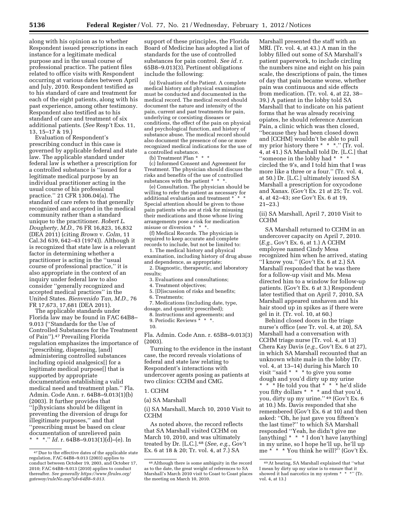along with his opinion as to whether Respondent issued prescriptions in each instance for a legitimate medical purpose and in the usual course of professional practice. The patient files related to office visits with Respondent occurring at various dates between April and July, 2010. Respondent testified as to his standard of care and treatment for each of the eight patients, along with his past experience, among other testimony. Respondent also testified as to his standard of care and treatment of six additional patients. (*See* Resp't Exs. 11, 13, 15–17 & 19.)

Evaluation of Respondent's prescribing conduct in this case is governed by applicable federal and state law. The applicable standard under federal law is whether a prescription for a controlled substance is ''issued for a legitimate medical purpose by an individual practitioner acting in the usual course of his professional practice.'' 21 CFR 1306.04(a). The standard of care refers to that generally recognized and accepted in the medical community rather than a standard unique to the practitioner. *Robert L. Dougherty, M.D.,* 76 FR 16,823, 16,832 (DEA 2011) (citing *Brown* v. *Colm,* 11 Cal.3d 639, 642–43 (1974)). Although it is recognized that state law is a relevant factor in determining whether a practitioner is acting in the ''usual course of professional practice,'' it is also appropriate in the context of an inquiry under federal law to also consider ''generally recognized and accepted medical practices'' in the United States. *Bienvenido Tan, M.D.,* 76 FR 17,673, 17,681 (DEA 2011).

The applicable standards under Florida law may be found in FAC 64B8– 9.013 (''Standards for the Use of Controlled Substances for the Treatment of Pain'').47 Prevailing Florida regulation emphasizes the importance of ''prescribing, dispensing, [and] administering controlled substances including opioid analgesics[] for a legitimate medical purpose[] that is supported by appropriate documentation establishing a valid medical need and treatment plan.'' Fla. Admin. Code Ann. r. 64B8–9.013(1)(b) (2003). It further provides that ''[p]hysicians should be diligent in preventing the diversion of drugs for illegitimate purposes,'' and that ''prescribing must be based on clear documentation of unrelieved pain \* \*.'' *Id.* r. 64B8–9.013(1)(d)–(e). In

support of these principles, the Florida Board of Medicine has adopted a list of standards for the use of controlled substances for pain control. *See id.* r. 65B8–9.013(3). Pertinent obligations include the following:

(a) Evaluation of the Patient. A complete medical history and physical examination must be conducted and documented in the medical record. The medical record should document the nature and intensity of the pain, current and past treatments for pain, underlying or coexisting diseases or conditions, the effect of the pain on physical and psychological function, and history of substance abuse. The medical record should also document the presence of one or more recognized medical indications for the use of a controlled substance.

(b) Treatment Plan \* \* \*

(c) Informed Consent and Agreement for Treatment. The physician should discuss the risks and benefits of the use of controlled substances with the patient \* \* \*.

(e) Consultation. The physician should be willing to refer the patient as necessary for additional evaluation and treatment \* \* \* Special attention should be given to those pain patients who are at risk for misusing their medications and those whose living arrangements pose a risk for medication misuse or diversion \* \* \*.

(f) Medical Records. The physician is required to keep accurate and complete records to include, but not be limited to:

1. The medical history and physical examination, including history of drug abuse and dependence, as appropriate;

2. Diagnostic, therapeutic, and laboratory results;

- 3. Evaluations and consultations;
- 4. Treatment objectives;
- 5. [D]iscussion of risks and benefits;

6. Treatments;

7. Medications (including date, type, dosage, and quantity prescribed);

8. Instructions and agreements; and

10.

Fla. Admin. Code Ann. r. 65B8–9.013(3) (2003).

Turning to the evidence in the instant case, the record reveals violations of federal and state law relating to Respondent's interactions with undercover agents posing as patients at two clinics: CCHM and CMG.

# 1. CCHM

(a) SA Marshall

(i) SA Marshall, March 10, 2010 Visit to CCHM

As noted above, the record reflects that SA Marshall visited CCHM on March 10, 2010, and was ultimately treated by Dr. [L.C.].48 (*See, e.g.,* Gov't Ex. 6 at 18 & 20; Tr. vol. 4, at 7.) SA

Marshall presented the staff with an MRI. (Tr. vol. 4, at 43.) A man in the lobby filled out some of SA Marshall's patient paperwork, to include circling the numbers nine and eight on his pain scale, the descriptions of pain, the times of day that pain became worse, whether pain was continuous and side effects from medication. (Tr. vol. 4, at 22, 38– 39.) A patient in the lobby told SA Marshall that to indicate on his patient forms that he was already receiving opiates, he should reference American Pain, a clinic which was then closed, ''because they had been closed down and [CCHM] wouldn't be able to pull my prior history there \* \* \*.'' (Tr. vol. 4, at 41.) SA Marshall told Dr. [L.C.] that ''someone in the lobby had \* \* \* circled the 9's, and I told him that I was more like a three or a four.'' (Tr. vol. 4, at 50.) Dr. [L.C.] ultimately issued SA Marshall a prescription for oxycodone and Xanax. (Gov't Ex. 21 at 25; Tr. vol. 4, at 42–43; *see* Gov't Ex. 6 at 19, 21–23.)

(ii) SA Marshall, April 7, 2010 Visit to CCHM

SA Marshall returned to CCHM in an undercover capacity on April 7, 2010. (*E.g.,* Gov't Ex. 6, at 1.) A CCHM employee named Cindy Mesa recognized him when he arrived, stating ''I know you.'' (Gov't Ex. 6 at 2.) SA Marshall responded that he was there for a follow-up visit and Ms. Mesa directed him to a window for follow-up patients. (Gov't Ex. 6 at 3.) Respondent later testified that on April 7, 2010, SA Marshall appeared unshaven and his hair stood up in spikes as if there were gel in it. (Tr. vol. 10, at 60.)

Behind closed doors in the triage nurse's office (*see* Tr. vol. 4, at 20), SA Marshall had a conversation with CCHM triage nurse (Tr. vol. 4, at 13) Chera Kay Davis (*e.g.,* Gov't Ex. 6 at 27), in which SA Marshall recounted that an unknown white male in the lobby (Tr. vol. 4, at 13–14) during his March 10 visit ''said \* \* \* to give you some dough and you'd dirty up my urine \* \* \* He told you that \* \* \* he'd slide you fifty dollars \* \* \* and that you'd, you, dirty up my urine.'' 49 (Gov't Ex. 6 at 10.) Ms. Davis responded that she remembered (Gov't Ex. 6 at 10) and then asked: ''Oh, he just gave you fifteen's the last time?'' to which SA Marshall responded ''Yeah, he didn't give me  $[$ anything]  $* * I$  don't have  $[$ anything] in my urine, so I hope he'll up, he'll up me \* \* \* You think he will?'' (Gov't Ex.

<sup>47</sup> Due to the effective dates of the applicable state regulation, FAC 64B8–9.013 (2003) applies to conduct between October 19, 2003, and October 17, 2010; FAC 64B8–9.013 (2010) applies to conduct thereafter. *See generally [https://www.flrules.org/](https://www.flrules.org/gateway/ruleNo.asp?id=64B8-9.013)  [gateway/ruleNo.asp?id=64B8–9.013.](https://www.flrules.org/gateway/ruleNo.asp?id=64B8-9.013)* 

<sup>9.</sup> Periodic Reviews \* \* \*.

<sup>48</sup>Although there is some ambiguity in the record as to the date, the great weight of references to SA Marshall's March 2010 visit to Coast to Coast places the meeting on March 10, 2010.

<sup>49</sup>At hearing, SA Marshall explained that ''what I mean by dirty up my urine is to ensure that it showed it had narcotics in my system \* \* \*'' (Tr. vol. 4, at 13.)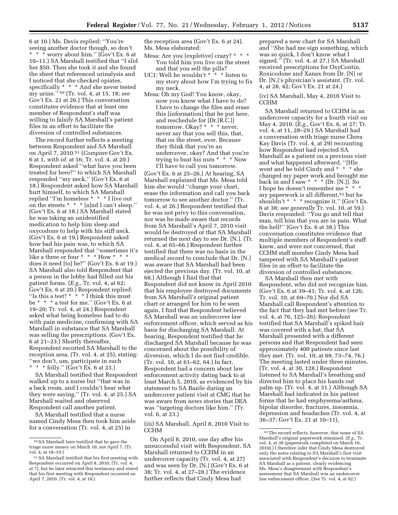6 at 10.) Ms. Davis replied: ''You're seeing another doctor though, so don't \* \* \* worry about him.'' (Gov't Ex. 6 at 10–11.) SA Marshall testified that ''I slid her \$50. Then she took it and she found the sheet that referenced urinalysis and I noticed that she checked opiates, specifically \* \* \* And she never tested my urine.'' 50 (Tr. vol. 4, at 15, 18; *see*  Gov't Ex. 21 at 26.) This conversation constitutes evidence that at least one member of Respondent's staff was willing to falsify SA Marshall's patient files in an effort to facilitate the diversion of controlled substances.

The record further reflects a meeting between Respondent and SA Marshall on April 7, 2010.51 (*Compare* Gov't Ex. 6 at 1, *with id.* at 16; Tr. vol. 4, at 20.) Respondent asked ''what have you been treated for here?'' to which SA Marshall responded ''my neck.'' (Gov't Ex. 6 at 18.) Respondent asked how SA Marshall hurt himself, to which SA Marshall replied ''I'm homeless \* \* \* I live out on the streets \* \* \* [a]nd I can't sleep.'' (Gov't Ex. 6 at 18.) SA Marshall stated he was taking an unidentified medication to help him sleep and oxycodone to help with his stiff neck. (Gov't Ex. 6 at 19.) Respondent asked how bad his pain was, to which SA Marshall responded that ''sometimes it's like a three or four  $* * *$  How  $* * *$ does it need [to] be?'' (Gov't Ex. 6 at 19.) SA Marshall also told Respondent that a person in the lobby had filled out his patient forms. (*E.g.,* Tr. vol. 4, at 62; Gov't Ex. 6 at 20.) Respondent replied: "Is this a test?  $* * \cdot \text{I think this must}$ be \* \* \* a test for me.'' (Gov't Ex. 6 at 19–20; Tr. vol. 4, at 24.) Respondent asked what being homeless had to do with pain medicine, confirming with SA Marshall in substance that SA Marshall was selling the prescriptions. (Gov't Ex. 6 at 21–23.) Shortly thereafter, Respondent escorted SA Marshall to the reception area, (Tr. vol. 4, at 25), stating: "we don't, um, participate in such<br>\* \* \* folly "  $(Gov't Ex 6 at 23)$  $*$  folly." (Gov't Ex. 6 at 23.)

SA Marshall testified that Respondent walked up to a nurse but ''that was in a back room, and I couldn't hear what they were saying.'' (Tr. vol. 4, at 25.) SA Marshall waited and observed Respondent call another patient.

SA Marshall testified that a nurse named Cindy Mesa then took him aside for a conversation (Tr. vol. 4, at 25) in

the reception area (Gov't Ex. 6 at 24). Ms. Mesa elaborated:

- Mesa: Are you [expletive] crazy? \* \* \* You told him you live on the street and that you sell the pills?
- UC1: Well he wouldn't \* \* \* listen to my story about how I'm trying to fix my neck.
- Mesa: Oh my God! You know, okay, now you know what I have to do? I have to change the files and erase this [information] that he put here, and reschedule for [Dr.[R.C.]] tomorrow. Okay? \* \* \* never, never say that you sell this, that, that on the street, ever. Because they think that you're an undercover, okay? And that you're trying to bust his nuts \* \* \* Now I'll have to call you tomorrow.

(Gov't Ex. 6 at 25–26.) At hearing, SA Marshall explained that Ms. Mesa told him she would ''change your chart, erase the information and call you back tomorrow to see another doctor.'' (Tr. vol. 4, at 26.) Respondent testified that he was not privy to this conversation, nor was he made aware that records from SA Marshall's April 7, 2010 visit would be destroyed or that SA Marshall returned the next day to see Dr. [N.]. (Tr. vol. 4, at 65–66.) Respondent further testified that there was no basis in the medical record to conclude that Dr. [N.] was aware that SA Marshall had been ejected the previous day. (Tr. vol. 10, at 68.) Although I find that that Respondent did not know in April 2010 that his employee destroyed documents from SA Marshall's original patient chart or arranged for him to be seen again, I find that Respondent believed SA Marshall was an undercover law enforcement officer, which served as his basis for discharging SA Marshall. At hearing, Respondent testified that he discharged SA Marshall because he was concerned about the possibility of diversion, which I do not find credible. (Tr. vol. 10, at 61–62, 64.) In fact, Respondent had a concern about law enforcement activity dating back to at least March 5, 2010, as evidenced by his statement to SA Bazile during an undercover patient visit at CMG that he was aware from news stories that DEA was ''targeting doctors like him.'' (Tr. vol. 6, at 23.)

(iii) SA Marshall, April 8, 2010 Visit to CCHM

On April 8, 2010, one day after his unsuccessful visit with Respondent, SA Marshall returned to CCHM in an undercover capacity (Tr. vol. 4, at 27) and was seen by Dr. [N.] (Gov't Ex. 6 at 38; Tr. vol. 4, at 27–28.) The evidence further reflects that Cindy Mesa had

prepared a new chart for SA Marshall and ''She had me sign something, which was so quick, I don't know what I signed.'' (Tr. vol. 4, at 27.) SA Marshall received prescriptions for OxyContin, Roxicodone and Xanax from Dr. [N] or Dr. [N.]'s physician's assistant. (Tr. vol. 4, at 28, 42; Gov't Ex. 21 at 24.)

(iv) SA Marshall, May 4, 2010 Visit to CCHM

SA Marshall returned to CCHM in an undercover capacity for a fourth visit on May 4, 2010. (*E.g.,* Gov't Ex. 6, at 27; Tr. vol. 4, at 11, 28–29.) SA Marshall had a conversation with triage nurse Chera Kay Davis (Tr. vol. 4, at 29) recounting how Respondent had rejected SA Marshall as a patient on a previous visit and what happened afterward. ''[H]e went and he told Cindy and  $*$   $*$   $*$  she changed my paper work and brought me back in and  $\overline{I}$  saw \* \* \* [Dr. [N.]]. So I hope he doesn't remember me \* \* \* my paperwork is all different,52 but he shouldn't \* \* \* recognize it.'' (Gov't Ex. 6 at 38; *see generally* Tr. vol. 10, at 59.) Davis responded: ''You go and tell that man, tell him that you are in pain. What the hell!'' (Gov't Ex. 6 at 38.) This conversation constitutes evidence that multiple members of Respondent's staff knew, and were not concerned, that CCHM staff member Cindy Mesa had tampered with SA Marshall's patient files in an effort to facilitate the diversion of controlled substances.

SA Marshall then met with Respondent, who did not recognize him. (Gov't Ex. 6 at 39–41; Tr. vol. 4, at 126; Tr. vol. 10, at 69–70.) Nor did SA Marshall call Respondent's attention to the fact that they had met before (*see* Tr. vol. 4, at 76, 125–26); Respondent testified that SA Marshall's spiked hair was covered with a hat, that SA Marshall presented with a different persona and that Respondent had seen approximately 400 patients since last they met. (Tr. vol. 10, at 69, 73–74, 76.) The meeting lasted under three minutes. (Tr. vol. 4, at 30, 128.) Respondent listened to SA Marshall's breathing and directed him to place his hands out palm up. (Tr. vol. 4, at 31.) Although SA Marshall had indicated in his patient forms that he had emphysema/asthma, bipolar disorder, fractures, insomnia, depression and headaches (Tr. vol. 4, at 36–37; Gov't Ex. 21 at 10–11),

<sup>50</sup>SA Marshall later testified that he gave the triage nurse money on March 10, not April 7. (Tr. vol. 4, at 18–19.)

<sup>51</sup>SA Marshall testified that his first meeting with Respondent occurred on April 8, 2010, (Tr. vol. 4, at 7), but he later retracted this testimony and stated that his first meeting with Respondent occurred on April 7, 2010. (Tr. vol. 4, at 10.)

<sup>52</sup>The record reflects, however, that some of SA Marshall's original paperwork remained. (*E.g.,* Tr. vol. 4, at 38 (paperwork completed on March 10, 2010).) I therefore infer that Cindy Mesa destroyed only the notes relating to SA Marshall's first visit associated with Respondent's decision to terminate SA Marshall as a patient, clearly evidencing Ms. Mesa's disagreement with Respondent's assessment that SA Marshall was an undercover law enforcement officer. (*See* Tr. vol. 4, at 92.)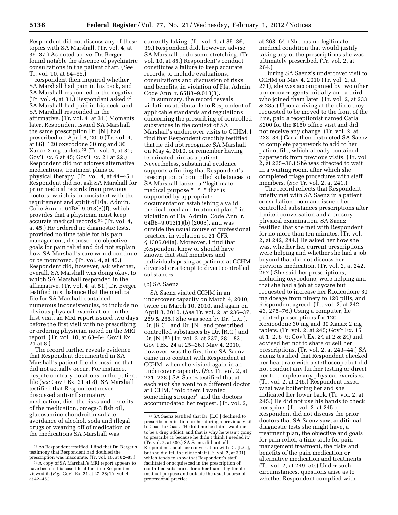Respondent did not discuss any of these topics with SA Marshall. (Tr. vol. 4, at 36–37.) As noted above, Dr. Berger found notable the absence of psychiatric consultations in the patient chart. (*See*  Tr. vol. 10, at 64–65.)

Respondent then inquired whether SA Marshall had pain in his back, and SA Marshall responded in the negative. (Tr. vol. 4, at 31.) Respondent asked if SA Marshall had pain in his neck, and SA Marshall responded in the affirmative. (Tr. vol. 4, at 31.) Moments later, Respondent issued SA Marshall the same prescription Dr. [N.] had prescribed on April 8, 2010 (Tr. vol. 4, at 86): 120 oxycodone 30 mg and 30 Xanax 3 mg tablets.53 (Tr. vol. 4, at 31; Gov't Ex. 6 at 45; Gov't Ex. 21 at 22.) Respondent did not address alternative medications, treatment plans or physical therapy. (Tr. vol. 4, at 44–45.) Respondent did not ask SA Marshall for prior medical records from previous doctors, which is inconsistent with the requirement and spirit of Fla. Admin. Code Ann. r. 64B8–9.013(3)(f), which provides that a physician must keep accurate medical records.54 (Tr. vol. 4, at 45.) He ordered no diagnostic tests, provided no time table for his pain management, discussed no objective goals for pain relief and did not explain how SA Marshall's care would continue or be monitored. (Tr. vol. 4, at 45.) Respondent did, however, ask whether, overall, SA Marshall was doing okay, to which SA Marshall responded in the affirmative. (Tr. vol. 4, at 81.) Dr. Berger testified in substance that the medical file for SA Marshall contained numerous inconsistencies, to include no obvious physical examination on the first visit, an MRI report issued two days before the first visit with no prescribing or ordering physician noted on the MRI report. (Tr. vol. 10, at 63–64; Gov't Ex. 21 at 8.)

The record further reveals evidence that Respondent documented in SA Marshall's patient file discussions that did not actually occur. For instance, despite contrary notations in the patient file (*see* Gov't Ex. 21 at 8), SA Marshall testified that Respondent never discussed anti-inflammatory medication, diet, the risks and benefits of the medication, omega-3 fish oil, glucosamine chondroitin sulfate, avoidance of alcohol, soda and illegal drugs or weaning off of medication or the medications SA Marshall was

currently taking. (Tr. vol. 4, at 35–36, 39.) Respondent did, however, advise SA Marshall to do some stretching. (Tr. vol. 10, at 85.) Respondent's conduct constitutes a failure to keep accurate records, to include evaluations, consultations and discussion of risks and benefits, in violation of Fla. Admin. Code Ann. r. 65B8–9.013(3).

In summary, the record reveals violations attributable to Respondent of applicable standards and regulations concerning the prescribing of controlled substances in the context of SA Marshall's undercover visits to CCHM. I find that Respondent credibly testified that he did not recognize SA Marshall on May 4, 2010, or remember having terminated him as a patient. Nevertheless, substantial evidence supports a finding that Respondent's prescription of controlled substances to SA Marshall lacked a ''legitimate medical purpose \* \* \* that is supported by appropriate documentation establishing a valid medical need and treatment plan,'' in violation of Fla. Admin. Code Ann. r. 64B8–9.013(1)(b) (2003), and was outside the usual course of professional practice, in violation of 21 CFR § 1306.04(a). Moreover, I find that Respondent knew or should have known that staff members and individuals posing as patients at CCHM diverted or attempt to divert controlled substances.

#### (b) SA Saenz

SA Saenz visited CCHM in an undercover capacity on March 4, 2010, twice on March 10, 2010, and again on April 8, 2010. (*See* Tr. vol. 2, at 236–37, 259 & 265.) She was seen by Dr. [L.C.], Dr. [R.C.] and Dr. [N.] and prescribed controlled substances by Dr. [R.C.] and Dr. [N.] 55 (Tr. vol. 2, at 237, 281–83; Gov't Ex. 24 at 25–26.) May 4, 2010, however, was the first time SA Saenz came into contact with Respondent at CCHM, when she visited again in an undercover capacity. (*See* Tr. vol. 2, at 231, 238.) SA Saenz testified that at each visit she went to a different doctor at CCHM, ''told them I wanted something stronger'' and the doctors accommodated her request. (Tr. vol. 2,

at 263–64.) She has no legitimate medical condition that would justify taking any of the prescriptions she was ultimately prescribed. (Tr. vol. 2, at 264.)

During SA Saenz's undercover visit to CCHM on May 4, 2010 (Tr. vol. 2, at 231), she was accompanied by two other undercover agents initially and a third who joined them later. (Tr. vol. 2, at 233 & 285.) Upon arriving at the clinic they requested to be moved to the front of the line, paid a receptionist named Carla \$200 for the \$150 office visit and did not receive any change. (Tr. vol. 2, at 233–34.) Carla then instructed SA Saenz to complete paperwork to add to her patient file, which already contained paperwork from previous visits. (Tr. vol. 2, at 235–36.) She was directed to wait in a waiting room, after which she completed triage procedures with staff members. (*See* Tr. vol. 2, at 241.)

The record reflects that Respondent briefly met with SA Saenz in a patient consultation room and issued her controlled substances prescriptions after limited conversation and a cursory physical examination. SA Saenz testified that she met with Respondent for no more than ten minutes. (Tr. vol. 2, at 242, 244.) He asked her how she was, whether her current prescriptions were helping and whether she had a job; beyond that did not discuss her previous medication. (Tr. vol. 2, at 242, 257.) She said her prescriptions, including oxycodone, were helping and that she had a job at daycare but requested to increase her Roxicodone 30 mg dosage from ninety to 120 pills, and Respondent agreed. (Tr. vol. 2, at 242– 43, 275–76.) Using a computer, he printed prescriptions for 120 Roxicodone 30 mg and 30 Xanax 2 mg tablets. (Tr. vol. 2, at 245; Gov't Ex. 15 at 1–2, 5–6; Gov't Ex. 24 at 2 & 24) and advised her not to share or sell her prescriptions. (Tr. vol. 2, at 243–44.) SA Saenz testified that Respondent checked her heart rate with a stethoscope but did not conduct any further testing or direct her to complete any physical exercises. (Tr. vol. 2, at 245.) Respondent asked what was bothering her and she indicated her lower back. (Tr. vol. 2, at 245.) He did not use his hands to check her spine. (Tr. vol. 2, at 245.) Respondent did not discuss the prior doctors that SA Saenz saw, additional diagnostic tests she might have, a treatment plan, the objective and goals for pain relief, a time table for pain management treatment, the risks and benefits of the pain medication or alternative medication and treatments. (Tr. vol. 2, at 249–50.) Under such circumstances, questions arise as to whether Respondent complied with

<sup>53</sup>As Respondent testified, I find that Dr. Berger's testimony that Respondent had doubled the prescription was inaccurate. (Tr. vol. 10, at 82–83.)

<sup>54</sup>A copy of SA Marshall's MRI report appears to have been in his case file at the time Respondent viewed it. (*E.g.,* Gov't Ex. 21 at 27–28; Tr. vol. 4, at 42–45.)

<sup>55</sup>SA Saenz testified that Dr. [L.C.] declined to prescribe medication for her during a previous visit to Coast to Coast. ''He told me he didn't want me to be a drug addict, and that is why he wasn't going to prescribe it, because he didn't think I needed it.'' (Tr. vol. 2, at 300.) SA Saenz did not tell Respondent about her conversation with Dr. [L.C.], but she did tell the clinic staff (Tr. vol. 2, at 301), which tends to show that Respondent's staff facilitated or acquiesced in the prescription of controlled substances for other than a legitimate medical purpose and outside the usual course of professional practice.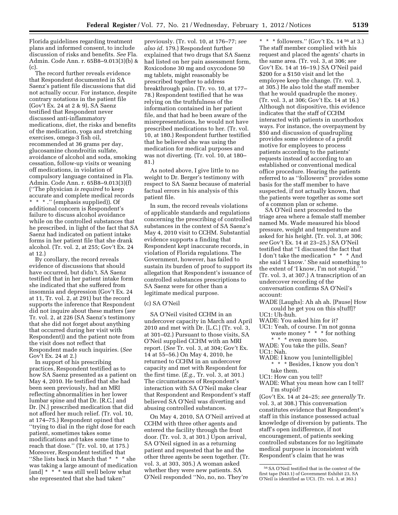Florida guidelines regarding treatment plans and informed consent, to include discussion of risks and benefits. *See* Fla. Admin. Code Ann. r. 65B8–9.013(3)(b) & (c).

The record further reveals evidence that Respondent documented in SA Saenz's patient file discussions that did not actually occur. For instance, despite contrary notations in the patient file (Gov't Ex. 24 at 2 & 9), SA Saenz testified that Respondent never discussed anti-inflammatory medications, diet, the risks and benefits of the medication, yoga and stretching exercises, omega-3 fish oil, recommended at 36 grams per day, glucosamine chondroitin sulfate, avoidance of alcohol and soda, smoking cessation, follow-up visits or weaning off medications, in violation of compulsory language contained in Fla. Admin. Code Ann. r. 65B8–9.013(3)(f) (''The physician *is required* to keep accurate and complete medical records \* \* \* .'' (emphasis supplied)). Of additional concern is Respondent's failure to discuss alcohol avoidance while on the controlled substances that he prescribed, in light of the fact that SA Saenz had indicated on patient intake forms in her patient file that she drank alcohol. (Tr. vol. 2, at 255; Gov't Ex. 24 at 12.)

By corollary, the record reveals evidence of discussions that should have occurred, but didn't. SA Saenz testified that in her patient intake form she indicated that she suffered from insomnia and depression (Gov't Ex. 24 at 11, Tr. vol. 2, at 291) but the record supports the inference that Respondent did not inquire about these matters (*see*  Tr. vol. 2, at 226 (SA Saenz's testimony that she did not forget about anything that occurred during her visit with Respondent)) and the patient note from the visit does not reflect that Respondent made such inquiries. (*See*  Gov't Ex. 24 at 2.)

In support of his prescribing practices, Respondent testified as to how SA Saenz presented as a patient on May 4, 2010. He testified that she had been seen previously, had an MRI reflecting abnormalities in her lower lumbar spine and that Dr. [R.C.] and Dr. [N.] prescribed medication that did not afford her much relief. (Tr. vol. 10, at 174–75.) Respondent opined that ''trying to dial in the right dose for each patient, sometimes takes some modifications and takes some time to reach that dose.'' (Tr. vol. 10, at 175.) Moreover, Respondent testified that ''She lists back in March that \* \* \* she was taking a large amount of medication [and] \* \* \* was still well below what she represented that she had taken''

previously. (Tr. vol. 10, at 176–77; *see also id.* 179.) Respondent further explained that two drugs that SA Saenz had listed on her pain assessment form, Roxicodone 30 mg and oxycodone 50 mg tablets, might reasonably be prescribed together to address breakthrough pain. (Tr. vo. 10, at 177– 78.) Respondent testified that he was relying on the truthfulness of the information contained in her patient file, and that had he been aware of the misrepresentations, he would not have prescribed medications to her. (Tr. vol. 10, at 180.) Respondent further testified that he believed she was using the medication for medical purposes and was not diverting. (Tr. vol. 10, at 180– 81.)

As noted above, I give little to no weight to Dr. Berger's testimony with respect to SA Saenz because of material factual errors in his analysis of this patient file.

In sum, the record reveals violations of applicable standards and regulations concerning the prescribing of controlled substances in the context of SA Saenz's May 4, 2010 visit to CCHM. Substantial evidence supports a finding that Respondent kept inaccurate records, in violation of Florida regulations. The Government, however, has failed to sustain its burden of proof to support its allegation that Respondent's issuance of controlled substances prescriptions to SA Saenz were for other than a legitimate medical purpose.

#### (c) SA O'Neil

SA O'Neil visited CCHM in an undercover capacity in March and April 2010 and met with Dr. [L.C.] (Tr. vol. 3, at 301–02.) Pursuant to those visits, SA O'Neil supplied CCHM with an MRI report. (*See* Tr. vol. 3, at 304; Gov't Ex. 14 at 55–56.) On May 4, 2010, he returned to CCHM in an undercover capacity and met with Respondent for the first time. (*E.g.,* Tr. vol. 3, at 301.) The circumstances of Respondent's interaction with SA O'Neil make clear that Respondent and Respondent's staff believed SA O'Neil was diverting and abusing controlled substances.

On May 4, 2010, SA O'Neil arrived at CCHM with three other agents and entered the facility through the front door. (Tr. vol. 3, at 301.) Upon arrival, SA O'Neil signed in as a returning patient and requested that he and the other three agents be seen together. (Tr. vol. 3, at 303, 305.) A woman asked whether they were new patients. SA O'Neil responded ''No, no, no. They're

\* \* \* followers." (Gov't Ex.  $14^{56}$  at 3.) The staff member complied with his request and placed the agents' charts in the same area. (Tr. vol. 3, at 306; *see*  Gov't Ex. 14 at 16–19.) SA O'Neil paid \$200 for a \$150 visit and let the employee keep the change. (Tr. vol. 3, at 305.) He also told the staff member that he would quadruple the money. (Tr. vol. 3, at 306; Gov't Ex. 14 at 16.) Although not dispositive, this evidence indicates that the staff of CCHM interacted with patients in unorthodox ways. For instance, the overpayment by \$50 and discussion of quadrupling provides some evidence of a profit motive for employees to process patients according to the patients' requests instead of according to an established or conventional medical office procedure. Hearing the patients referred to as ''followers'' provides some basis for the staff member to have suspected, if not actually known, that the patients were together as some sort of a common plan or scheme.

SA O'Neil next proceeded to the triage area where a female staff member named Ms. Wade measured his blood pressure, weight and temperature and asked for his height. (Tr. vol. 3, at 306; *see* Gov't Ex. 14 at 23–25.) SA O'Neil testified that ''I discussed the fact that I don't take the medication \* \* \* And she said 'I know.' She said something to the extent of 'I know, I'm not stupid.' (Tr. vol. 3, at 307.) A transcription of an undercover recording of the conversation confirms SA O'Neil's account:

- WADE [Laughs]: Ah ah ah. [Pause] How could he get you on this s[tuff]? UC1: Uh-huh.
- WADE: You asked him for it?
- UC1: Yeah, of course. I'm not gonna
	- waste money \* \* \* for nothing \* \* \* even more too.
- WADE: You take the pills, Sean? UC1: Nah.
- WADE: I know you [unintelligible] \* \* \* Besides, I know you don't
- take them.
- UC1: How can you tell?
- WADE: What you mean how can I tell? I'm stupid?

(Gov't Ex. 14 at 24–25; *see generally* Tr. vol. 3, at 308.) This conversation constitutes evidence that Respondent's staff in this instance possessed actual knowledge of diversion by patients. The staff's open indifference, if not encouragement, of patients seeking controlled substances for no legitimate medical purpose is inconsistent with Respondent's claim that he was

<sup>56</sup>SA O'Neil testified that in the context of the first tape (N43.1) of Government Exhibit 23, SA O'Neil is identified as UC1. (Tr. vol. 3, at 363.)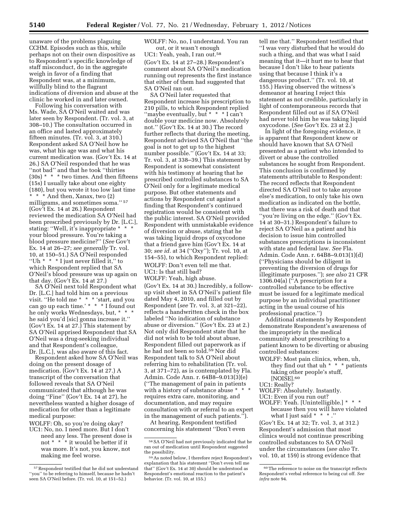unaware of the problems plaguing CCHM. Episodes such as this, while perhaps not on their own dispositive as to Respondent's specific knowledge of staff misconduct, do in the aggregate weigh in favor of a finding that Respondent was, at a minimum, willfully blind to the flagrant indications of diversion and abuse at the clinic he worked in and later owned.

Following his conversation with Ms. Wade, SA O'Neil waited and was later seen by Respondent. (Tr. vol. 3, at 308–10.) The consultation occurred in an office and lasted approximately fifteen minutes. (Tr. vol. 3, at 310.) Respondent asked SA O'Neil how he was, what his age was and what his current medication was. (Gov't Ex. 14 at 26.) SA O'Neil responded that he was ''not bad'' and that he took ''thirties  $(30s) * * *$  two times. And then fifteens (15s) I usually take about one eighty (180), but you wrote it too low last time \* \* \* And then, Xanax, two (2) milligrams, and sometimes soma.'' 57 (Gov't Ex. 14 at 26.) Respondent reviewed the medication SA O'Neil had been prescribed previously by Dr. [L.C.], stating: ''Well, it's inappropriate \* \* \* your blood pressure. You're taking a blood pressure medicine?'' (*See* Gov't Ex. 14 at 26–27; *see generally* Tr. vol. 10, at 150–51.) SA O'Neil responded ''Uh \* \* \* I just never filled it,'' to which Respondent replied that SA O'Neil's blood pressure was up again on that day. (Gov't Ex. 14 at 27.)

SA O'Neil next told Respondent what Dr. [L.C.] had told him on a previous visit. ''He told me \* \* \* 'start, and you can go up each time.' \* \* \* I found out he only works Wednesdays, but, \* \* \* he said you'd [sic] gonna increase it.'' (Gov't Ex. 14 at 27.) This statement by SA O'Neil apprised Respondent that SA O'Neil was a drug-seeking individual and that Respondent's colleague, Dr. [L.C.], was also aware of this fact.

Respondent asked how SA O'Neil was doing on the present dosage of medication. (Gov't Ex. 14 at 27.) A transcript of the conversation that followed reveals that SA O'Neil communicated that although he was doing ''Fine'' (Gov't Ex. 14 at 27), he nevertheless wanted a higher dosage of medication for other than a legitimate medical purpose:

WOLFF: Oh, so you're doing okay?

UC1: No, no. I need more. But I don't need any less. The present dose is not \* \* \* it would be better if it was more. It's not, you know, not making me feel worse.

WOLFF: No, no, I understand. You ran out, or it wasn't enough UC1: Yeah, yeah, I ran out.58 (Gov't Ex. 14 at 27–28.) Respondent's comment about SA O'Neil's medication running out represents the first instance that either of them had suggested that SA O'Neil ran out.

SA O'Neil later requested that Respondent increase his prescription to 210 pills, to which Respondent replied "maybe eventually, but \* \* \* I can't double your medicine now. Absolutely not.'' (Gov't Ex. 14 at 30.) The record further reflects that during the meeting, Respondent advised SA O'Neil that ''the goal is not to get up to the highest number possible.'' (Gov't Ex. 14 at 33; Tr. vol. 3, at 338–39.) This statement by Respondent is somewhat consistent with his testimony at hearing that he prescribed controlled substances to SA O'Neil only for a legitimate medical purpose. But other statements and actions by Respondent cut against a finding that Respondent's continued registration would be consistent with the public interest. SA O'Neil provided Respondent with unmistakable evidence of diversion or abuse, stating that he was taking liquid drops of oxycodone that a friend gave him (Gov't Ex. 14 at 30; *see id.* at 34 (''Oxy''); Tr. vol. 10, at 154–55), to which Respondent replied: WOLFF: Don't even tell me that. UC1: Is that still bad? WOLFF: Yeah, high abuse.

(Gov't Ex. 14 at 30.) Incredibly, a followup visit sheet in SA O'Neil's patient file dated May 4, 2010, and filled out by Respondent (*see* Tr. vol. 3, at 321–22), reflects a handwritten check in the box labeled ''No indication of substance abuse or diversion.'' (Gov't Ex. 23 at 2.) Not only did Respondent state that he did not wish to be told about abuse, Respondent filled out paperwork as if he had not been so told.59 Nor did Respondent talk to SA O'Neil about referring him to rehabilitation (Tr. vol.

3, at 371–72), as is contemplated by Fla. Admin. Code Ann. r. 64B8–9.013(3)(e) (''The management of pain in patients with a history of substance abuse \* \* \* requires extra care, monitoring, and documentation, and may require consultation with or referral to an expert in the management of such patients.'').

At hearing, Respondent testified concerning his statement ''Don't even

tell me that.'' Respondent testified that ''I was very disturbed that he would do such a thing, and that was what I said meaning that it—it hurt me to hear that because I don't like to hear patients using that because I think it's a dangerous product.'' (Tr. vol. 10, at 155.) Having observed the witness's demeanor at hearing I reject this statement as not credible, particularly in light of contemporaneous records that Respondent filled out as if SA O'Neil had never told him he was taking liquid oxycodone. (*See* Gov't Ex. 23 at 2.)

In light of the foregoing evidence, it is apparent that Respondent knew or should have known that SA O'Neil presented as a patient who intended to divert or abuse the controlled substances he sought from Respondent. This conclusion is confirmed by statements attributable to Respondent: The record reflects that Respondent directed SA O'Neil not to take anyone else's medication, to only take his own medication as indicated on the bottle, that there was a risk of death and that ''you're living on the edge.'' (Gov't Ex. 14 at 30–31.) Respondent's failure to reject SA O'Neil as a patient and his decision to issue him controlled substances prescriptions is inconsistent with state and federal law. *See* Fla. Admin. Code Ann. r. 64B8–9.013(1)(d) (''Physicians should be diligent in preventing the diversion of drugs for illegitimate purposes.''); *see also* 21 CFR 1306.04(a) (''A prescription for a controlled substance to be effective must be issued for a legitimate medical purpose by an individual practitioner acting in the usual course of his professional practice.'')

Additional statements by Respondent demonstrate Respondent's awareness of the impropriety in the medical community about prescribing to a patient known to be diverting or abusing controlled substances:

- WOLFF: Most pain clinics, when, uh, they find out that uh \* \* \* patients taking other people's stuff, [NOISE].60
- UC1: Really?
- WOLFF: Absolutely. Instantly.
- UC1: Even if you run out?
- WOLFF: Yeah. [Unintelligible.] \* \* \* because then you will have violated what I just said \* \* \* ."

(Gov't Ex. 14 at 32; Tr. vol. 3, at 312.) Respondent's admission that most clinics would not continue prescribing controlled substances to SA O'Neil under the circumstances (*see also* Tr. vol. 10, at 159) is strong evidence that

<sup>57</sup>Respondent testified that he did not understand ''you'' to be referring to himself, because he hadn't seen SA O'Neil before. (Tr. vol. 10, at 151–52.)

<sup>58</sup>SA O'Neil had not previously indicated that he ran out of medication until Respondent suggested the possibility.

<sup>59</sup>As noted below, I therefore reject Respondent's explanation that his statement ''Don't even tell me that'' (Gov't Ex. 14 at 30) should be understood as Respondent's emotional reaction to the patient's behavior. (Tr. vol. 10, at 155.)

<sup>60</sup>The reference to noise on the transcript reflects Respondent's verbal reference to being cut off. *See infra* note 94.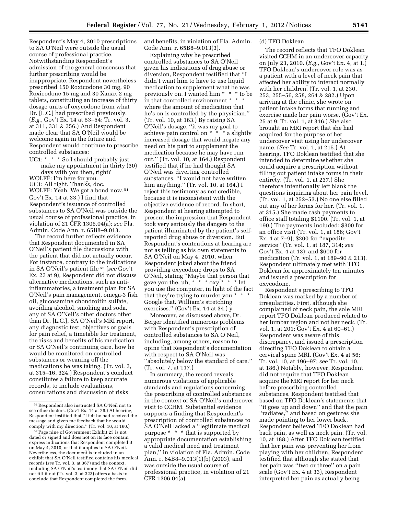Respondent's May 4, 2010 prescriptions to SA O'Neil were outside the usual course of professional practice. Notwithstanding Respondent's admission of the general consensus that further prescribing would be inappropriate, Respondent nevertheless prescribed 150 Roxicodone 30 mg, 90 Roxicodone 15 mg and 30 Xanax 2 mg tablets, constituting an increase of thirty dosage units of oxycodone from what Dr. [L.C.] had prescribed previously. (*E.g.,* Gov't Ex. 14 at 53–54; Tr. vol. 3, at 311, 331 & 356.) And Respondent made clear that SA O'Neil would be welcome again in the future and Respondent would continue to prescribe controlled substances:

UC1: \* \* \* So I should probably just make my appointment in thirty (30) days with you then, right? WOLFF: I'm here for you. UC1: All right. Thanks, doc. WOLFF: Yeah. We got a bond now.<sup>61</sup> Gov't Ex. 14 at 33.) I find that Respondent's issuance of controlled substances to SA O'Neil was outside the usual course of professional practice, in violation of 21 CFR 1306.04(a); *see* Fla. Admin. Code Ann. r. 65B8–9.013.

The record further reflects evidence that Respondent documented in SA O'Neil's patient file discussions with the patient that did not actually occur. For instance, contrary to the indications in SA O'Neil's patient file 62 (*see* Gov't Ex. 23 at 9), Respondent did not discuss alternative medications, such as antiinflammatories, a treatment plan for SA O'Neil's pain management, omega-3 fish oil, glucosamine chondroitin sulfate, avoiding alcohol, smoking and soda, any of SA O'Neil's other doctors other than Dr. [L.C.], SA O'Neil's MRI report, any diagnostic test, objectives or goals for pain relief, a timetable for treatment, the risks and benefits of his medication or SA O'Neil's continuing care, how he would be monitored on controlled substances or weaning off the medications he was taking. (Tr. vol. 3, at 315–16, 324.) Respondent's conduct constitutes a failure to keep accurate records, to include evaluations, consultations and discussion of risks

and benefits, in violation of Fla. Admin. Code Ann. r. 65B8–9.013(3).

Explaining why he prescribed controlled substances to SA O'Neil given his indications of drug abuse or diversion, Respondent testified that ''I didn't want him to have to use liquid medication to supplement what he was previously on. I wanted him \* \* \* to be in that controlled environment \* \* \* where the amount of medication that he's on is controlled by the physician.'' (Tr. vol. 10, at 163.) By raising SA O'Neil's dosage, ''it was my goal to achieve pain control on \* \* \* a slightly increased dosage that would negate any need on his part to supplement the medication because he may have run out.'' (Tr. vol. 10, at 164.) Respondent testified that if he had thought SA O'Neil was diverting controlled substances, ''I would not have written him anything.'' (Tr. vol. 10, at 164.) I reject this testimony as not credible, because it is inconsistent with the objective evidence of record. In short, Respondent at hearing attempted to present the impression that Respondent took very seriously the dangers to the patient illuminated by the patient's selfreported drug abuse or diversion. But Respondent's contentions at hearing are not as telling as his own statements to SA O'Neil on May 4, 2010, when Respondent joked about the friend providing oxycodone drops to SA O'Neil, stating ''Maybe that person that gave you the, uh, \* \* \*  $\alpha$  oxy \* \* \* let you use the computer, in light of the fact that they're trying to murder you \* \* \* Google that. William's stretching exercises.'' (Gov't Ex. 14 at 34.) y

Moreover, as discussed above, Dr. Berger identified numerous problems with Respondent's prescription of controlled substances to SA O'Neil, including, among others, reason to opine that Respondent's documentation with respect to SA O'Neil was ''absolutely below the standard of care.'' (Tr. vol. 7, at 117.)

In summary, the record reveals numerous violations of applicable standards and regulations concerning the prescribing of controlled substances in the context of SA O'Neil's undercover visit to CCHM. Substantial evidence supports a finding that Respondent's prescription of controlled substances to SA O'Neil lacked a ''legitimate medical purpose \* \* \* that is supported by appropriate documentation establishing a valid medical need and treatment plan,'' in violation of Fla. Admin. Code Ann. r. 64B8–9.013(1)(b) (2003), and was outside the usual course of professional practice, in violation of 21 CFR 1306.04(a).

#### (d) TFO Doklean

The record reflects that TFO Doklean visited CCHM in an undercover capacity on July 23, 2010. (*E.g.,* Gov't Ex. 4, at 1.) TFO Doklean's undercover role was as a patient with a level of neck pain that affected her ability to interact normally with her children. (Tr. vol. 1, at 230, 253, 255–56, 258, 264 & 282.) Upon arriving at the clinic, she wrote on patient intake forms that running and exercise made her pain worse. (Gov't Ex. 25 at 9; Tr. vol. 1, at 316.) She also brought an MRI report that she had acquired for the purpose of her undercover visit using her undercover name. (*See* Tr. vol. 1, at 215.) At hearing, TFO Doklean testified that she intended to determine whether she could acquire a prescription without filling out patient intake forms in their entirety. (Tr. vol. 1, at 237.) She therefore intentionally left blank the questions inquiring about her pain level. (Tr. vol. 1, at 252–53.) No one else filled out any of her forms for her. (Tr. vol. 1, at 315.) She made cash payments to office staff totaling \$1100. (Tr. vol. 1, at 190.) The payments included: \$300 for an office visit (Tr. vol. 1, at 186; Gov't Ex. 4 at 7–9); \$200 for ''expedite service'' (Tr. vol. 1, at 187, 314; *see*  Gov't Ex. 4 at 13); and \$600 for medication (Tr. vol. 1, at 189–90 & 213). Respondent ultimately met with TFO Doklean for approximately ten minutes and issued a prescription for oxycodone.

Respondent's prescribing to TFO Doklean was marked by a number of irregularities. First, although she complained of neck pain, the sole MRI report TFO Doklean produced related to her lumbar region and not her neck. (Tr. vol. 1, at 201; Gov't Ex. 4 at 60–61.) Respondent was aware of this discrepancy, and issued a prescription directing TFO Doklean to obtain a cervical spine MRI. (Gov't Ex. 4 at 56; Tr. vol. 10, at 196–97; *see* Tr. vol. 10, at 186.) Notably, however, Respondent did not require that TFO Doklean acquire the MRI report for her neck before prescribing controlled substances. Respondent testified that based on TFO Doklean's statements that ''it goes up and down'' and that the pain ''radiates,'' and based on gestures she made pointing to her lower back, Respondent believed TFO Doklean had back pain, as well as neck pain. (Tr. vol. 10, at 188.) After TFO Doklean testified that her pain was preventing her from playing with her children, Respondent testified that although she stated that her pain was ''two or three'' on a pain scale (Gov't Ex. 4 at 33), Respondent interpreted her pain as actually being

<sup>61</sup>Respondent also instructed SA O'Neil not to see other doctors. (Gov't Ex. 14 at 29.) At hearing, Respondent testified that ''I felt he had received the message and given me feedback that he would comply with my direction.'' (Tr. vol. 10, at 160.)

<sup>62</sup>Page nine of Government Exhibit 23 is not dated or signed and does not on its face contain express indications that Respondent completed it on May 4, 2010, or that it applies to SA O'Neil. Nevertheless, the document is included in an exhibit that SA O'Neil testified contains his medical records (*see* Tr. vol. 3, at 367) and the context, including SA O'Neil's testimony that SA O'Neil did not fill it out (Tr. vol. 3, at 323) offers a basis to conclude that Respondent completed the form.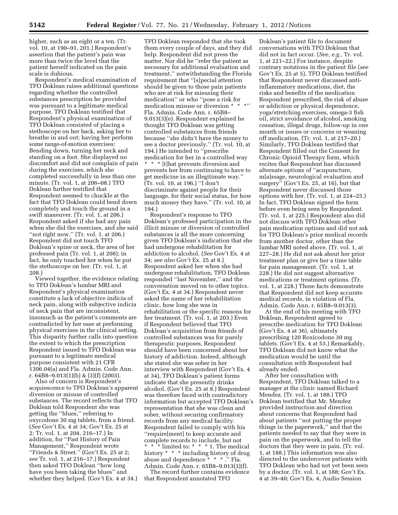higher, such as an eight or a ten. (Tr. vol. 10, at 190–91, 201.) Respondent's assertion that the patient's pain was more than twice the level that the patient herself indicated on the pain scale is dubious.

Respondent's medical examination of TFO Doklean raises additional questions regarding whether the controlled substances prescription he provided was pursuant to a legitimate medical purpose. TFO Doklean testified that Respondent's physical examination of TFO Doklean consisted of placing a stethoscope on her back, asking her to breathe in and out; having her perform some range-of-motion exercises: Bending down, turning her neck and standing on a foot. She displayed no discomfort and did not complain of pain during the exercises, which she completed successfully in less than one minute. (Tr. vol. 1, at 206–08.) TFO Doklean further testified that Respondent seemed to chuckle at the fact that TFO Doklean could bend down completely and touch the ground in a swift maneuver. (Tr. vol. 1, at 206.) Respondent asked if she had any pain when she did the exercises, and she said "not right now." (Tr. vol. 1, at 206.) Respondent did not touch TFO Doklean's spine or neck, the area of her professed pain (Tr. vol. 1, at 208); in fact, he only touched her when he put the stethoscope on her. (Tr. vol. 1, at 208.)

Viewed together, the evidence relating to TFO Doklean's lumbar MRI and Respondent's physical examination constitute a lack of objective indicia of neck pain, along with subjective indicia of neck pain that are inconsistent, insomuch as the patient's comments are contradicted by her ease at performing physical exercises in the clinical setting. This disparity further calls into question the extent to which the prescription Respondent issued to TFO Doklean was pursuant to a legitimate medical purpose consistent with 21 CFR 1306.04(a) and Fla. Admin. Code Ann. r. 64B8–9.013(1)(b) & (3)(f) (2003).

Also of concern is Respondent's acquiescence to TFO Doklean's apparent diversion or misuse of controlled substances. The record reflects that TFO Doklean told Respondent she was getting the ''blues,'' referring to oxycodone 30 mg tablets, from a friend. (*See* Gov't Ex. 4 at 34; Gov't Ex. 25 at 2; Tr. vol. 1, at 204, 216–17.) In addition, for ''Past History of Pain Management,'' Respondent wrote "Friends & Street." (Gov't Ex. 25 at 2; *see* Tr. vol. 1, at 216–17.) Respondent then asked TFO Doklean ''how long have you been taking the blues'' and whether they helped. (Gov't Ex. 4 at 34.)

TFO Doklean responded that she took them every couple of days, and they did help. Respondent did not press the matter. Nor did he ''refer the patient as necessary for additional evaluation and treatment,'' notwithstanding the Florida requirement that ''[s]pecial attention should be given to those pain patients who are at risk for misusing their medication'' or who ''pose a risk for medication misuse or diversion \* Fla. Admin. Code Ann. r. 65B8– 9.013(3)(e). Respondent explained he thought TFO Doklean was getting controlled substances from friends because ''she didn't have the money to see a doctor previously.'' (Tr. vol. 10, at 194.) He intended to ''prescribe medication for her in a controlled way \* \* \* [t]hat prevents diversion and prevents her from continuing to have to get medicine in an illegitimate way.'' (Tr. vol. 10, at 196.) ''I don't discriminate against people for their language, for their social status, for how much money they have.'' (Tr. vol. 10, at 194.)

Respondent's response to TFO Doklean's professed participation in the illicit misuse or diversion of controlled substances is all the more concerning given TFO Doklean's indication that she had undergone rehabilitation for addiction to alcohol. (*See* Gov't Ex. 4 at 34; *see also* Gov't Ex. 25 at 8.) Respondent asked her when she had undergone rehabilitation, TFO Doklean responded ''last November,'' and the conversation moved on to other topics. (Gov't Ex. 4 at 34.) Respondent never asked the name of her rehabilitation clinic, how long she was in rehabilitation or the specific reasons for her treatment. (Tr. vol. 1, at 203.) Even if Respondent believed that TFO Doklean's acquisition from friends of controlled substances was for purely therapeutic purposes, Respondent should have been concerned about her history of addiction. Indeed, although she stated she was sober in her interview with Respondent (Gov't Ex. 4 at 34), TFO Doklean's patient forms indicate that she presently drinks alcohol. (Gov't Ex. 25 at 8.) Respondent was therefore faced with contradictory information but accepted TFO Doklean's representation that she was clean and sober, without securing confirmatory records from any medical facility. Respondent failed to comply with his ''require[ment] to keep accurate and complete records to include, but not \* \* \* limited to: \* \* \* 1. The medical history \* \* \* including history of drug abuse and dependence \* \* \* .'' Fla. Admin. Code Ann. r. 65B8–9.013(3)(f).

The record further contains evidence that Respondent annotated TFO

Doklean's patient file to document conversations with TFO Doklean that did not in fact occur. (*See, e.g.,* Tr. vol. 1, at 221–22.) For instance, despite contrary notations in the patient file (*see*  Gov't Ex. 25 at 5), TFO Doklean testified that Respondent never discussed antiinflammatory medications, diet, the risks and benefits of the medication Respondent prescribed, the risk of abuse or addiction or physical dependence, yoga/stretching exercises, omega-3 fish oil, strict avoidance of alcohol, smoking cessation, illegal drugs, follow-up in one month or issues or concerns or weaning off medication. (Tr. vol. 1, at 217–20.) Similarly, TFO Doklean testified that Respondent filled out the Consent for Chronic Opioid Therapy form, which recites that Respondent has discussed alternate options of ''acupuncture, m[a]ssage, neurological evaluation and surgery'' (Gov't Ex. 25, at 16), but that Respondent never discussed those options with her. (Tr. vol. 1, at 224–25.) In fact, TFO Doklean signed the form before even being seen by Respondent. (Tr. vol. 1, at 225.) Respondent also did not discuss with TFO Doklean other pain medication options and did not ask for TFO Doklean's prior medical records from another doctor, other than the lumbar MRI noted above. (Tr. vol. 1, at 227–28.) He did not ask about her prior treatment plan or give her a time table for pain management. (Tr. vol. 1, at 228.) He did not suggest alternative medications or treatment options. (Tr. vol. 1, at 228.) These facts demonstrate that Respondent did not keep accurate medical records, in violation of Fla. Admin. Code Ann. r. 65B8–9.013(3).

At the end of his meeting with TFO Doklean, Respondent agreed to prescribe medication for TFO Doklean (Gov't Ex. 4 at 36), ultimately prescribing 120 Roxicodone 30 mg tablets. (Gov't Ex. 4 at 53.) Remarkably, TFO Doklean did not know what the medication would be until the consultation with Respondent had already ended.

After her consultation with Respondent, TFO Doklean talked to a manager at the clinic named Richard Mendez. (Tr. vol. 1, at 188.) TFO Doklean testified that Mr. Mendez provided instruction and direction about concerns that Respondent had about patients ''not putting the proper things in the paperwork,'' and that the patients needed to say that they were in pain on the paperwork, and to tell the doctors that they were in pain. (Tr. vol. 1, at 188.) This information was also directed to the undercover patients with TFO Doklean who had not yet been seen by a doctor. (Tr. vol. 1, at 188; Gov't Ex. 4 at 39–40; Gov't Ex. 4, Audio Session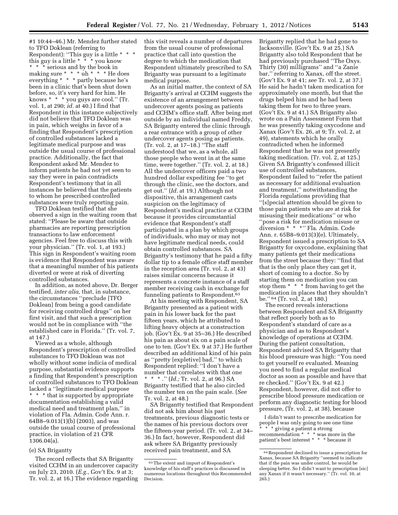#1 10:44–46.) Mr. Mendez further stated to TFO Doklean (referring to Respondent): ''This guy is a little \* \* \* this guy is a little \* \* \* you know \* \* \* serious and by the book in making sure \* \* \* uh \* \* \* He does everything \* \* \* partly because he's been in a clinic that's been shut down before, so, it's very hard for him. He knows \* \* \* you guys are cool.'' (Tr. vol. 1, at 290; *id.* at 40.) I find that Respondent in this instance subjectively did not believe that TFO Doklean was in pain, which weighs in favor of a finding that Respondent's prescription of controlled substances lacked a legitimate medical purpose and was outside the usual course of professional practice. Additionally, the fact that Respondent asked Mr. Mendez to inform patients he had not yet seen to say they were in pain contradicts Respondent's testimony that in all instances he believed that the patients to whom he prescribed controlled substances were truly reporting pain.

TFO Doklean testified that she observed a sign in the waiting room that stated: ''Please be aware that outside pharmacies are reporting prescription transactions to law enforcement agencies. Feel free to discuss this with your physician.'' (Tr. vol. 1, at 193.) This sign in Respondent's waiting room is evidence that Respondent was aware that a meaningful number of his patients diverted or were at risk of diverting controlled substances.

In addition, as noted above, Dr. Berger testified, *inter alia,* that, in substance, the circumstances ''preclude [TFO Doklean] from being a good candidate for receiving controlled drugs'' on her first visit, and that such a prescription would not be in compliance with ''the established care in Florida.'' (Tr. vol. 7, at 147.)

Viewed as a whole, although Respondent's prescription of controlled substances to TFO Doklean was not wholly without some indicia of medical purpose, substantial evidence supports a finding that Respondent's prescription of controlled substances to TFO Doklean lacked a ''legitimate medical purpose \* \* \* that is supported by appropriate documentation establishing a valid medical need and treatment plan,'' in violation of Fla. Admin. Code Ann. r. 64B8–9.013(1)(b) (2003), and was outside the usual course of professional practice, in violation of 21 CFR 1306.04(a).

#### (e) SA Brigantty

The record reflects that SA Brigantty visited CCHM in an undercover capacity on July 23, 2010. (*E.g.,* Gov't Ex. 9 at 3; Tr. vol. 2, at 16.) The evidence regarding this visit reveals a number of departures from the usual course of professional practice that call into question the degree to which the medication that Respondent ultimately prescribed to SA Brigantty was pursuant to a legitimate medical purpose.

As an initial matter, the context of SA Brigantty's arrival at CCHM suggests the existence of an arrangement between undercover agents posing as patients and CCHM's office staff. After being met outside by an individual named Freddy, SA Brigantty entered the clinic through a rear entrance with a group of other undercover agents posing as patients. (Tr. vol. 2, at 17–18.) ''The staff understood that we, as a whole, all those people who went in at the same time, were together.'' (Tr. vol. 2, at 18.) All the undercover officers paid a two hundred dollar expediting fee ''to get through the clinic, see the doctors, and get out.'' (*Id.* at 19.) Although not dispositive, this arrangement casts suspicion on the legitimacy of Respondent's medical practice at CCHM because it provides circumstantial evidence that Respondent's staff participated in a plan by which groups of individuals, who may or may not have legitimate medical needs, could obtain controlled substances. SA Brigantty's testimony that he paid a fifty dollar tip to a female office staff member in the reception area (Tr. vol. 2, at 43) raises similar concerns because it represents a concrete instance of a staff member receiving cash in exchange for funneling patients to Respondent.63

At his meeting with Respondent, SA Brigantty presented as a patient with pain in his lower back for the past fifteen years, which he attributed to lifting heavy objects at a construction job. (Gov't Ex. 9 at 35–36.) He described his pain as about six on a pain scale of one to ten. (Gov't Ex. 9 at 37.) He further described an additional kind of his pain as ''pretty [expletive] bad,'' to which Respondent replied: ''I don't have a number that correlates with that one \* \* \* .'' (*Id.;* Tr. vol. 2, at 96.) SA Brigantty testified that he also circled the number ten on the pain scale. (*See*  Tr. vol. 2, at 48.)

SA Brigantty testified that Respondent did not ask him about his past treatments, previous diagnostic tests or the names of his previous doctors over the fifteen-year period. (Tr. vol. 2, at 34– 36.) In fact, however, Respondent did ask where SA Brigantty previously received pain treatment, and SA

Brigantty replied that he had gone to Jacksonville. (Gov't Ex. 9 at 25.) SA Brigantty also told Respondent that he had previously purchased ''The Oxys. Thirty (30) milligrams'' and ''a Zanie bar,'' referring to Xanax, off the street. (Gov't Ex. 9 at 41; *see* Tr. vol. 2, at 37.) He said he hadn't taken medication for approximately one month, but that the drugs helped him and he had been taking them for two to three years. (Gov't Ex. 9 at 41.) SA Brigantty also wrote on a Pain Assessment Form that he was presently taking oxycodone and Xanax (Gov't Ex. 26, at 9; Tr. vol. 2, at 49), statements which he orally contradicted when he informed Respondent that he was not presently taking medication. (Tr. vol. 2, at 125.) Given SA Brigantty's confessed illicit use of controlled substances, Respondent failed to ''refer the patient as necessary for additional evaluation and treatment,'' notwithstanding the Florida regulations providing that ''[s]pecial attention should be given to those pain patients who are at risk for misusing their medications'' or who ''pose a risk for medication misuse or diversion \* \* \*'' Fla. Admin. Code Ann. r. 65B8–9.013(3)(e). Ultimately, Respondent issued a prescription to SA Brigantty for oxycodone, explaining that many patients get their medications from the street because they: ''find that that is the only place they can get it, short of coming to a doctor. So by starting them on medication you can stop them \* \* \* from having to get the medication in places that they shouldn't be.'' 64 (Tr. vol. 2, at 180.)

The record reveals interactions between Respondent and SA Brigantty that reflect poorly both as to Respondent's standard of care as a physician and as to Respondent's knowledge of operations at CCHM. During the patient consultation, Respondent advised SA Brigantty that his blood pressure was high: ''You need to get yourself re evaluated. Meaning you need to find a regular medical doctor as soon as possible and have that re checked.'' (Gov't Ex. 9 at 42.) Respondent, however, did not offer to prescribe blood pressure medication or perform any diagnostic testing for blood pressure, (Tr. vol. 2, at 38), because

I didn't want to prescribe medication for people I was only going to see one time \* giving a patient a strong recommendation \* \* \* was more in the patient's best interest \* \* \* because it

<sup>63</sup>The extent and import of Respondent's knowledge of his staff's practices is discussed in numerous locations throughout this Recommended Decision.

<sup>64</sup>Respondent declined to issue a prescription for Xanax, because SA Brigantty ''seemed to indicate that if the pain was under control, he would be sleeping better. So I didn't want to prescription [sic] any Xanax if it wasn't necessary.'' (Tr. vol. 10, at 265.)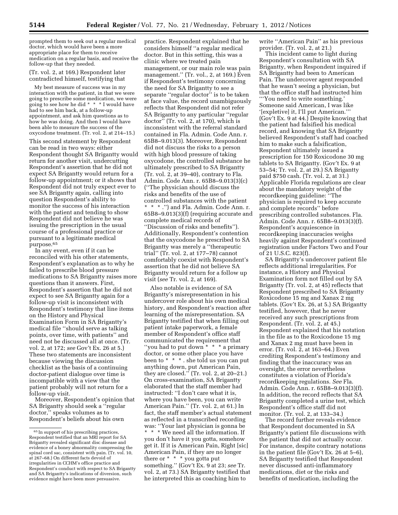prompted them to seek out a regular medical doctor, which would have been a more appropriate place for them to receive medication on a regular basis, and receive the follow-up that they needed.

(Tr. vol. 2, at 169.) Respondent later contradicted himself, testifying that

My best measure of success was in my interaction with the patient, in that we were going to prescribe some medication, we were going to see how he did \* \* \* I would have had to see him back, at a follow-up appointment, and ask him questions as to how he was doing. And then I would have been able to measure the success of the oxycodone treatment. (Tr. vol. 2, at 214–15.) This second statement by Respondent can be read in two ways: either Respondent thought SA Brigantty would return for another visit, undercutting Respondent's assertion that he did not expect SA Brigantty would return for a follow-up appointment; or it shows that Respondent did not truly expect ever to see SA Brigantty again, calling into question Respondent's ability to monitor the success of his interaction with the patient and tending to show Respondent did not believe he was issuing the prescription in the usual course of a professional practice or pursuant to a legitimate medical purpose.65

In any event, even if it can be reconciled with his other statements, Respondent's explanation as to why he failed to prescribe blood pressure medications to SA Brigantty raises more questions than it answers. First, Respondent's assertion that he did not expect to see SA Brigantty again for a follow-up visit is inconsistent with Respondent's testimony that line items on the History and Physical Examination Form in SA Brigantty's medical file ''should serve as talking points, over time, with patients'' and need not be discussed all at once. (Tr. vol. 2, at 172; *see* Gov't Ex. 26 at 5.) These two statements are inconsistent because viewing the discussion checklist as the basis of a continuing doctor-patient dialogue over time is incompatible with a view that the patient probably will not return for a follow-up visit.

Moreover, Respondent's opinion that SA Brigantty should seek a ''regular doctor,'' speaks volumes as to Respondent's beliefs about his own

practice. Respondent explained that he considers himself ''a regular medical doctor. But in this setting, this was a clinic where we treated pain management, or our main role was pain management.'' (Tr. vol., 2, at 169.) Even if Respondent's testimony concerning the need for SA Brigantty to see a separate ''regular doctor'' is to be taken at face value, the record unambiguously reflects that Respondent did not refer SA Brigantty to any particular ''regular doctor'' (Tr. vol. 2, at 170), which is inconsistent with the referral standard contained in Fla. Admin. Code Ann. r. 65B8–9.013(3). Moreover, Respondent did not discuss the risks to a person with high blood pressure of taking oxycodone, the controlled substance he ultimately prescribed to SA Brigantty (Tr. vol. 2, at 39–40), contrary to Fla. Admin. Code Ann. r. 65B8–9.013(3)(c) (''The physician should discuss the risks and benefits of the use of controlled substances with the patient \* \* \* .'') and Fla. Admin. Code Ann. r. 65B8–9.013(3)(f) (requiring accurate and complete medical records of ''Discussion of risks and benefits''). Additionally, Respondent's contention that the oxycodone he prescribed to SA Brigantty was merely a ''therapeutic trial'' (Tr. vol. 2, at 177–78) cannot comfortably coexist with Respondent's assertion that he did not believe SA Brigantty would return for a follow up visit (*see* Tr. vol. 2, at 169).

Also notable is evidence of SA Brigantty's misrepresentation in his undercover role about his own medical history, and Respondent's reaction after learning of the misrepresentation. SA Brigantty testified that when filling out patient intake paperwork, a female member of Respondent's office staff communicated the requirement that ''you had to put down \* \* \* a primary doctor, or some other place you have been to \* \* \* . she told us you can put anything down, put American Pain, they are closed.'' (Tr. vol. 2, at 20–21.) On cross-examination, SA Brigantty elaborated that the staff member had instructed: ''I don't care what it is, where you have been, you can write American Pain.'' (Tr. vol. 2, at 61.) In fact, the staff member's actual statement as reflected in a transcribed recording was: ''Your last physician is gonna be \* \* \* We need all the information. If you don't have it you gotta, somehow get it. If it is American Pain, Right [sic] American Pain, if they are no longer there or \* \* \* you gotta put something.'' (Gov't Ex. 9 at 23; *see* Tr. vol. 2, at 73.) SA Brigantty testified that he interpreted this as coaching him to

write ''American Pain'' as his previous provider. (Tr. vol. 2, at 21.)

This incident came to light during Respondent's consultation with SA Brigantty, when Respondent inquired if SA Brigantty had been to American Pain. The undercover agent responded that he wasn't seeing a physician, but that the office staff had instructed him '''You need to write something.' Someone said American, I was like '[expletive] it, I'll put American.''' (Gov't Ex. 9 at 44.) Despite knowing that the patient had falsified his medical record, and knowing that SA Brigantty believed Respondent's staff had coached him to make such a falsification, Respondent ultimately issued a prescription for 150 Roxicodone 30 mg tablets to SA Brigantty. (Gov't Ex. 9 at 53–54; Tr. vol. 2, at 29.) SA Brigantty paid \$750 cash. (Tr. vol. 2, at 31.) Applicable Florida regulations are clear about the mandatory weight of the recordkeeping guideline: ''The physician is required to keep accurate and complete records'' before prescribing controlled substances. Fla. Admin. Code Ann. r. 65B8–9.013(3)(f). Respondent's acquiescence in recordkeeping inaccuracies weighs heavily against Respondent's continued registration under Factors Two and Four of 21 U.S.C. 823(f).

SA Brigantty's undercover patient file reflects additional irregularities. For instance, a History and Physical Examination form not filled out by SA Brigantty (Tr. vol. 2, at 45) reflects that Respondent prescribed to SA Brigantty Roxicodone 15 mg and Xanax 2 mg tablets. (Gov't Ex. 26, at 5.) SA Brigantty testified, however, that he never received any such prescriptions from Respondent. (Tr. vol. 2, at 45.) Respondent explained that his notation in the file as to the Roxicodone 15 mg and Xanax 2 mg must have been in error. (Tr. vol. 2, at 163–64.) Even crediting Respondent's testimony and finding that the inaccuracy was an oversight, the error nevertheless constitutes a violation of Florida's recordkeeping regulations. *See* Fla. Admin. Code Ann. r. 65B8–9.013(3)(f). In addition, the record reflects that SA Brigantty completed a urine test, which Respondent's office staff did not monitor. (Tr. vol. 2, at 133–34.)

The record further reveals evidence that Respondent documented in SA Brigantty's patient file discussions with the patient that did not actually occur. For instance, despite contrary notations in the patient file (Gov't Ex. 26 at 5–6), SA Brigantty testified that Respondent never discussed anti-inflammatory medications, diet or the risks and benefits of medication, including the

<sup>65</sup> In support of his prescribing practices, Respondent testified that an MRI report for SA Brigantty revealed significant disc disease and evidence of a boney abnormality compressing the spinal cord sac, consistent with pain. (Tr. vol. 10, at 267–68.) On different facts devoid of irregularities in CCHM's office practice and Respondent's conduct with respect to SA Brigantty and SA Brigantty's indications of diversion, such evidence might have been more persuasive.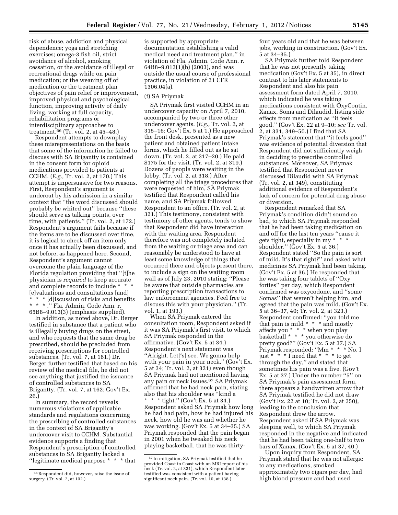risk of abuse, addiction and physical dependence; yoga and stretching exercises; omega-3 fish oil, strict avoidance of alcohol, smoking cessation, or the avoidance of illegal or recreational drugs while on pain medication; or the weaning off of medication or the treatment plan objectives of pain relief or improvement, improved physical and psychological function, improving activity of daily living, working at full capacity, rehabilitation programs or interdisciplinary approaches to treatment.66 (Tr. vol. 2, at 45–48.)

Respondent attempts to downplay these misrepresentations on the basis that some of the information he failed to discuss with SA Brigantty is contained in the consent form for opioid medications provided to patients at CCHM. (*E.g.,* Tr. vol. 2, at 170.) This attempt is unpersuasive for two reasons. First, Respondent's argument is undercut by his admission in a similar context that ''the word discussed should probably be whited out'' because ''these should serve as talking points, over time, with patients." (Tr. vol. 2, at 172.) Respondent's argument fails because if the items are to be discussed over time, it is logical to check off an item only once it has actually been discussed, and not before, as happened here. Second, Respondent's argument cannot overcome the plain language of the Florida regulation providing that ''[t]he physician is *required* to keep accurate and complete records to include \* \* \* [e]valuations and consultations [and] \* \* [d] iscussion of risks and benefits \* \* \* .'' Fla. Admin. Code Ann. r.

65B8–9.013(3) (emphasis supplied). In addition, as noted above, Dr. Berger testified in substance that a patient who is illegally buying drugs on the street, and who requests that the same drug be prescribed, should be precluded from receiving prescriptions for controlled substances. (Tr. vol. 7, at 161.) Dr. Berger further testified that based on his review of the medical file, he did not see anything that justified the issuance of controlled substances to SA Brigantty. (Tr. vol. 7, at 162; Gov't Ex. 26.)

In summary, the record reveals numerous violations of applicable standards and regulations concerning the prescribing of controlled substances in the context of SA Brigantty's undercover visit to CCHM. Substantial evidence supports a finding that Respondent's prescription of controlled substances to SA Brigantty lacked a ''legitimate medical purpose \* \* \* that

is supported by appropriate documentation establishing a valid medical need and treatment plan,'' in violation of Fla. Admin. Code Ann. r. 64B8–9.013(1)(b) (2003), and was outside the usual course of professional practice, in violation of 21 CFR 1306.04(a).

# (f) SA Priymak

SA Priymak first visited CCHM in an undercover capacity on April 7, 2010, accompanied by two or three other undercover agents. (*E.g.,* Tr. vol. 2, at 315–16; Gov't Ex. 5 at 1.) He approached the front desk, presented as a new patient and obtained patient intake forms, which he filled out as he sat down. (Tr. vol. 2, at 317–20.) He paid \$175 for the visit. (Tr. vol. 2, at 319.) Dozens of people were waiting in the lobby. (Tr. vol. 2, at 318.) After completing all the triage procedures that were requested of him, SA Priymak testified that Respondent called his name, and SA Priymak followed Respondent to an office. (Tr. vol. 2, at 321.) This testimony, consistent with testimony of other agents, tends to show that Respondent did have interaction with the waiting area. Respondent therefore was not completely isolated from the waiting or triage area and can reasonably be understood to have at least some knowledge of things that occurred there and objects present there, to include a sign on the waiting room wall as of July 23, 2010 stating: ''Please be aware that outside pharmacies are reporting prescription transactions to law enforcement agencies. Feel free to discuss this with your physician.'' (Tr. vol. 1, at 193.)

When SA Priymak entered the consultation room, Respondent asked if it was SA Priymak's first visit, to which SA Priymak responded in the affirmative. (Gov't Ex. 5 at 34.) Respondent's next statement was ''Alright. Let['s] see. We gonna help with your pain in your neck," (Gov't Ex. 5 at 34; Tr. vol. 2, at 321) even though SA Priymak had not mentioned having any pain or neck issues.67 SA Priymak affirmed that he had neck pain, stating also that his shoulder was ''kind a \* \* \* tight.'' (Gov't Ex. 5 at 34.) Respondent asked SA Priymak how long he had had pain, how he had injured his neck, how old he was and whether he was working. (Gov't Ex. 5 at 34–35.) SA Priymak responded that the pain began in 2001 when he tweaked his neck playing basketball, that he was thirtyfour years old and that he was between jobs, working in construction. (Gov't Ex. 5 at 34–35.)

SA Priymak further told Respondent that he was not presently taking medication (Gov't Ex. 5 at 35), in direct contrast to his later statements to Respondent and also his pain assessment form dated April 7, 2010, which indicated he was taking medications consistent with OxyContin, Xanax, Soma and Dilaudid, listing side effects from medication as ''it feels good.'' (Gov't Ex. 22 at 9–10; *see* Tr. vol. 2, at 331, 349–50.) I find that SA Priymak's statement that ''it feels good'' was evidence of potential diversion that Respondent did not sufficiently weigh in deciding to prescribe controlled substances. Moreover, SA Priymak testified that Respondent never discussed Dilaudid with SA Priymak (Tr. vol. 2, at 349), constituting additional evidence of Respondent's lack of concern for potential drug abuse or diversion.

Respondent remarked that SA Priymak's condition didn't sound so bad, to which SA Priymak responded that he had been taking medication on and off for the last ten years ''cause it gets tight, especially in my \* \* \* shoulder.'' (Gov't Ex. 5 at 36.) Respondent stated ''So the pain is sort of mild. It's that right?'' and asked what medicines SA Priymak had been taking. (Gov't Ex. 5 at 36.) He responded that he was taking four tablets of ''Oxy forties'' per day, which Respondent confirmed was oxycodone, and ''some Somas'' that weren't helping him, and agreed that the pain was mild. (Gov't Ex. 5 at 36–37, 40; Tr. vol. 2, at 323.) Respondent confirmed: ''you told me that pain is mild  $* * *$  and mostly affects you \* \* \* when you play basketball  $* * *$  you otherwise do pretty good?'' (Gov't Ex. 5 at 37.) SA Priymak responded: ''Mm \* \* \* No. I just  $* * * I$  need that  $* * *$  to get through the day,'' and stated that sometimes his pain was a five. (Gov't Ex. 5 at 37.) Under the number ''5'' on SA Priymak's pain assessment form, there appears a handwritten arrow that SA Priymak testified he did not draw (Gov't Ex. 22 at 10; Tr. vol. 2, at 350), leading to the conclusion that Respondent drew the arrow. Respondent asked if SA Priymak was sleeping well, to which SA Priymak responded in the negative and indicated that he had been taking one-half to two bars of Xanax. (Gov't Ex. 5 at 37, 40.)

Upon inquiry from Respondent, SA Priymak stated that he was not allergic to any medications, smoked approximately two cigars per day, had high blood pressure and had used

<sup>66</sup>Respondent did, however, raise the issue of surgery. (Tr. vol. 2, at 102.)

<sup>67</sup> In mitigation, SA Priymak testified that he provided Coast to Coast with an MRI report of his neck (Tr. vol. 2, at 331), which Respondent later testified was consistent with a patient having significant neck pain. (Tr. vol. 10, at 138.)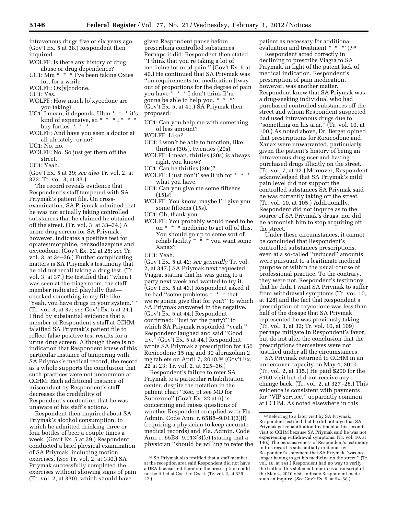intravenous drugs five or six years ago. (Gov't Ex. 5 at 38.) Respondent then inquired:

- WOLFF: Is there any history of drug abuse or drug dependence?
- UC1: Mm  $*$   $*$   $*$   $\bar{I}'$  ve been taking Oxies for, for a while.
- WOLFF: Ox[y]codone.

UC1: Yes.

- WOLFF: How much [o]xycodone are you taking?
- UC1: I mean, it depends. Uhm \* \* \* it's kind of expensive, so \* \* \* I \* \* buy forties. \* \* \*
- WOLFF: And have you seen a doctor at all uh lately, or no?

UC1: No, no.

WOLFF: No. So just get them off the street.

UC1: Yeah.

(Gov't Ex. 5 at 39; *see also* Tr. vol. 2, at 323; Tr. vol. 3, at 33.)

The record reveals evidence that Respondent's staff tampered with SA Priymak's patient file. On crossexamination, SA Priymak admitted that he was not actually taking controlled substances that he claimed he obtained off the street. (Tr. vol. 3, at 33–34.) A urine drug screen for SA Priymak, however, indicates a positive test for opiates/morphine, benzodiazepine and oxycodone. (Gov't Ex. 22 at 25; *see* Tr. vol. 3, at 34–36.) Further complicating matters is SA Priymak's testimony that he did not recall taking a drug test. (Tr. vol. 3, at 37.) He testified that ''when I was seen at the triage room, the staff member indicated playfully that checked something in my file like 'Yeah, you have drugs in your system.' '' (Tr. vol. 3, at 37; *see* Gov't Ex. 5 at 24.) I find by substantial evidence that a member of Respondent's staff at CCHM falsified SA Priymak's patient file to reflect false positive test results for a urine drug screen. Although there is no indication that Respondent knew of this particular instance of tampering with SA Priymak's medical record, the record as a whole supports the conclusion that such practices were not uncommon at CCHM. Each additional instance of misconduct by Respondent's staff decreases the credibility of Respondent's contention that he was unaware of his staff's actions.

Respondent then inquired about SA Priymak's alcohol consumption, to which he admitted drinking three or four bottles of beer a couple times a week. (Gov't Ex. 5 at 39.) Respondent conducted a brief physical examination of SA Priymak, including motion exercises. (*See* Tr. vol. 2, at 330.) SA Priymak successfully completed the exercises without showing signs of pain (Tr. vol. 2, at 330), which should have

given Respondent pause before prescribing controlled substances. Perhaps it did: Respondent then stated ''I think that you're taking a lot of medicine for mild pain.'' (Gov't Ex. 5 at 40.) He continued that SA Priymak was ''on requirements for medication []way out of proportions for the degree of pain you have \* \* \* I don't think I['m] gonna be able to help you. \* \* \*' (Gov't Ex. 5, at 41.) SA Priymak then proposed:

- UC1: Can you help me with something of less amount?
- WOLFF: Like?
- UC1: I won't be able to function, like thirties (30s), twenties (20s).
- WOLFF: I mean, thirties (30s) is always right, you know?
- UC1: Can be thirties (30s)?
- WOLFF: I just don't' see it uh for \* \* \* what you have.
- UC1: Can you give me some fifteens (15)s?
- WOLFF: You know, maybe I'll give you some fifteens (15s).
- UC1: Oh, thank you.
- WOLFF: You probably would need to be on \* \* \* medicine to get off of this. You should go up to some sort of rehab facility  $* \cdot * *$  you want some Xanax?
- UC1: Yeah.

(Gov't Ex. 5 at 42; *see generally* Tr. vol. 2, at 347.) SA Priymak next requested Viagra, stating that he was going to a party next week and wanted to try it. (Gov't Ex. 5 at 43.) Respondent asked if he had ''some problems \* \* \* that we're gonna give that for you?'' to which SA Priymak answered in the negative. (Gov't Ex. 5 at 44.) Respondent confirmed: ''Just for the party?'' to which SA Priymak responded ''yeah.'' Respondent laughed and said ''Good try.'' (Gov't Ex. 5 at 44.) Respondent wrote SA Priymak a prescription for 150 Roxicodone 15 mg and 30 alprazolam 2 mg tablets on April 7, 2010.68 (Gov't Ex. 22 at 23; Tr. vol. 2, at 325–36.)

Respondent's failure to refer SA Priymak to a particular rehabilitation center, despite the notation in the patient chart ''Rec. pt see MD for Suboxone'' (Gov't Ex. 22 at 6) is concerning and raises questions of whether Respondent complied with Fla. Admin. Code Ann. r. 65B8–9.013(3)(f) (requiring a physician to keep accurate medical records) and Fla. Admin. Code Ann. r. 65B8–9.013(3)(e) (stating that a physician ''should be willing to refer the patient as necessary for additional evaluation and treatment \* \* \*").<sup>69</sup>

Respondent acted correctly in declining to prescribe Viagra to SA Priymak, in light of the patent lack of medical indication. Respondent's prescription of pain medication, however, was another matter. Respondent knew that SA Priymak was a drug-seeking individual who had purchased controlled substances off the street and whom Respondent suspected had used intravenous drugs due to ''something on his arm.'' (Tr. vol. 10, at 100.) As noted above, Dr. Berger opined that prescriptions for Roxicodone and Xanax were unwarranted, particularly given the patient's history of being an intravenous drug user and having purchased drugs illicitly on the street. (Tr. vol. 7, at 92.) Moreover, Respondent acknowledged that SA Priymak's mild pain level did not support the controlled substances SA Priymak said he was currently taking off the street. (Tr. vol. 10, at 105.) Additionally, Respondent did not inquire as to the source of SA Priymak's drugs, nor did he admonish him to stop acquiring off the street.

Under these circumstances, it cannot be concluded that Respondent's controlled substances prescriptions, even at a so-called ''reduced'' amounts, were pursuant to a legitimate medical purpose or within the usual course of professional practice. To the contrary, they were not. Respondent's testimony that he didn't want SA Priymak to suffer from withdrawal symptoms (Tr. vol. 10, at 128) and the fact that Respondent's prescription of oxycodone was less than half of the dosage that SA Priymak represented he was previously taking (Tr. vol. 3, at 32; Tr. vol. 10, at 109) perhaps mitigate in Respondent's favor, but do not alter the conclusion that the prescriptions themselves were not justified under all the circumstances.

SA Priymak returned to CCHM in an undercover capacity on May 4, 2010. (Tr. vol. 2, at 315.) He paid \$200 for the \$150 visit but did not receive any change back. (Tr. vol. 2, at 327–28.) This evidence is consistent with payments for ''VIP service,'' apparently common at CCHM. As noted elsewhere in this

<sup>68</sup>SA Priymak also testified that a staff member at the reception area said Respondent did not have a DEA license and therefore the prescription could not be filled at Coast to Coast. (Tr. vol. 2, at 326– 27.)

<sup>69</sup>Referring to a later visit by SA Priymak, Respondent testified that he did not urge that SA Priymak get rehabilitation treatment at his second visit to CCHM because SA Priymak said he was not experiencing withdrawal symptoms. (Tr. vol. 10, at 140.) The persuasiveness of Respondent's testimony in this regard is substantially undercut by Respondent's statement that SA Priymak ''was no longer having to get his medicine on the street.'' (Tr. vol. 10, at 141.) Respondent had no way to verify the truth of this statement, nor does a transcript of the May 4, 2010 visit indicate Respondent made such an inquiry. (*See* Gov't Ex. 5, at 54–58.)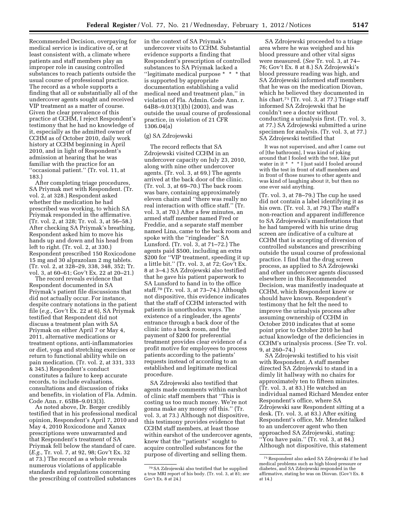Recommended Decision, overpaying for medical service is indicative of, or at least consistent with, a climate where patients and staff members play an improper role in causing controlled substances to reach patients outside the usual course of professional practice. The record as a whole supports a finding that all or substantially all of the undercover agents sought and received VIP treatment as a matter of course. Given the clear prevalence of this practice at CCHM, I reject Respondent's testimony that he had no knowledge of it, especially as the admitted owner of CCHM as of October 2010, daily work history at CCHM beginning in April 2010, and in light of Respondent's admission at hearing that he was familiar with the practice for an ''occasional patient.'' (Tr. vol. 11, at 183.)

After completing triage procedures, SA Priymak met with Respondent. (Tr. vol. 2, at 328.) Respondent asked whether the medication he had prescribed was working, to which SA Priymak responded in the affirmative. (Tr. vol. 2, at 328; Tr. vol. 3, at 56–58.) After checking SA Priymak's breathing, Respondent asked him to move his hands up and down and his head from left to right. (Tr. vol. 2, at 330.) Respondent prescribed 150 Roxicodone 15 mg and 30 alprazolam 2 mg tablets. (Tr. vol. 2, at 328–29, 338, 348, 352; Tr. vol. 3, at 60–61; Gov't Ex. 22 at 20–21.)

The record reveals evidence that Respondent documented in SA Priymak's patient file discussions that did not actually occur. For instance, despite contrary notations in the patient file (*e.g.,* Gov't Ex. 22 at 6), SA Priymak testified that Respondent did not discuss a treatment plan with SA Priymak on either April 7 or May 4, 2011, alternative medications or treatment options, anti-inflammatories or diet, yoga and stretching exercises or return to functional ability while on pain medication. (Tr. vol. 2, at 331, 333 & 345.) Respondent's conduct constitutes a failure to keep accurate records, to include evaluations, consultations and discussion of risks and benefits, in violation of Fla. Admin. Code Ann. r. 65B8–9.013(3).

As noted above, Dr. Berger credibly testified that in his professional medical opinion, Respondent's April 7, 2010 and May 4, 2010 Roxicodone and Xanax prescriptions were unwarranted and that Respondent's treatment of SA Priymak fell below the standard of care. (*E.g.,* Tr. vol. 7, at 92, 98; Gov't Ex. 32 at 73.) The record as a whole reveals numerous violations of applicable standards and regulations concerning the prescribing of controlled substances

in the context of SA Priymak's undercover visits to CCHM. Substantial evidence supports a finding that Respondent's prescription of controlled substances to SA Priymak lacked a ''legitimate medical purpose \* \* \* that is supported by appropriate documentation establishing a valid medical need and treatment plan,'' in violation of Fla. Admin. Code Ann. r. 64B8–9.013(1)(b) (2003), and was outside the usual course of professional practice, in violation of 21 CFR 1306.04(a)

# (g) SA Zdrojewski

The record reflects that SA Zdrojewski visited CCHM in an undercover capacity on July 23, 2010, along with nine other undercover agents. (Tr. vol. 3, at 69.) The agents arrived at the back door of the clinic. (Tr. vol. 3, at 69–70.) The back room was bare, containing approximately eleven chairs and ''there was really no real interaction with office staff.'' (Tr. vol. 3, at 70.) After a few minutes, an armed staff member named Fred or Freddie, and a separate staff member named Lina, came to the back room and spoke with the "ringleader" SA Lunsford. (Tr. vol. 3, at 71–72.) The agents paid \$500, including an extra \$200 for ''VIP treatment, speeding it up a little bit.'' (Tr. vol. 3, at 72; Gov't Ex. 8 at 3–4.) SA Zdrojewski also testified that he gave his patient paperwork to SA Lunsford to hand in to the office staff.70 (Tr. vol. 3, at 73–74.) Although not dispositive, this evidence indicates that the staff of CCHM interacted with patients in unorthodox ways. The existence of a ringleader, the agents' entrance through a back door of the clinic into a back room, and the payment of \$200 for preferential treatment provides clear evidence of a profit motive for employees to process patients according to the patients' requests instead of according to an established and legitimate medical procedure.

SA Zdrojewski also testified that agents made comments within earshot of clinic staff members that ''This is costing us too much money. We're not gonna make any money off this.'' (Tr. vol. 3, at 73.) Although not dispositive, this testimony provides evidence that CCHM staff members, at least those within earshot of the undercover agents, knew that the ''patients'' sought to acquire controlled substances for the purpose of diverting and selling them.

SA Zdrojewski proceeded to a triage area where he was weighed and his blood pressure and other vital signs were measured. (*See* Tr. vol. 3, at 74– 76; Gov't Ex. 8 at 8.) SA Zdrojewski's blood pressure reading was high, and SA Zdrojewski informed staff members that he was on the medication Diovan, which he believed they documented in his chart.<sup>71</sup> (Tr. vol. 3, at 77.) Triage staff informed SA Zdrojewski that he couldn't see a doctor without conducting a urinalysis first. (Tr. vol. 3, at 77.) SA Zdrojewski submitted a urine specimen for analysis. (Tr. vol. 3, at 77.) SA Zdrojewski testified that

It was not supervised, and after I came out of [the bathroom], I was kind of joking around that I fooled with the test, like put water in it \* \* \* I just said I fooled around with the test in front of staff members and in front of those nurses to other agents and was kind of laughing about it, but then no one ever said anything.

(Tr. vol. 3, at 78–79.) The cup he used did not contain a label identifying it as his own. (Tr. vol. 3, at 79.) The staff's non-reaction and apparent indifference to SA Zdrojewski's manifestations that he had tampered with his urine drug screen are indicative of a culture at CCHM that is accepting of diversion of controlled substances and prescribing outside the usual course of professional practice. I find that the drug screen process, as applied to SA Zdrojewski and other undercover agents discussed elsewhere in this Recommended Decision, was manifestly inadequate at CCHM, which Respondent knew or should have known. Respondent's testimony that he felt the need to improve the urinalysis process after assuming ownership of CCHM in October 2010 indicates that at some point prior to October 2010 he had actual knowledge of the deficiencies in CCHM's urinalysis process. (*See* Tr. vol. 9, at 260–74.)

SA Zdrojewski testified to his visit with Respondent. A staff member directed SA Zdrojewski to stand in a dimly lit hallway with no chairs for approximately ten to fifteen minutes. (Tr. vol. 3, at 83.) He watched an individual named Richard Mendez enter Respondent's office, where SA Zdrojewski saw Respondent sitting at a desk. (Tr. vol. 3, at 83.) After exiting Respondent's office, Mr. Mendez talked to an undercover agent who then approached SA Zdrojewski, stating: ''You have pain.'' (Tr. vol. 3, at 84.) Although not dispositive, this statement

<sup>70</sup>SA Zdrojewski also testified that he supplied a true MRI report of his body. (Tr. vol. 3, at 81; *see*  Gov't Ex. 8 at 24.)

<sup>71</sup>Respondent also asked SA Zdrojewski if he had medical problems such as high blood pressure or diabetes, and SA Zdrojewski responded in the affirmative, stating he was on Diovan. (Gov't Ex. 8 at 14.)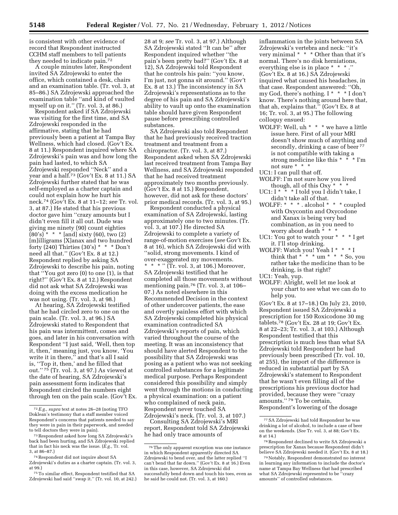is consistent with other evidence of record that Respondent instructed CCHM staff members to tell patients they needed to indicate pain.72

A couple minutes later, Respondent invited SA Zdrojewski to enter the office, which contained a desk, chairs and an examination table. (Tr. vol. 3, at 85–86.) SA Zdrojewski approached the examination table ''and kind of vaulted myself up on it.'' (Tr. vol. 3, at 86.)

Respondent asked if SA Zdrojewski was visiting for the first time, and SA Zdrojewski responded in the affirmative, stating that he had previously been a patient at Tampa Bay Wellness, which had closed. (Gov't Ex. 8 at 11.) Respondent inquired where SA Zdrojewski's pain was and how long the pain had lasted, to which SA Zdrojewski responded ''Neck'' and a year and a half.73 (Gov't Ex. 8 at 11.) SA Zdrojewski further stated that he was self-employed as a charter captain and could not explain how he hurt his neck.74 (Gov't Ex. 8 at 11–12; *see* Tr. vol. 3, at 87.) He stated that his previous doctor gave him ''crazy amounts but I didn't even fill it all out. Dude was giving me ninety (90) count eighties  $(80's)$  \* \* \* [and] sixty (60), two (2) [m]illigrams [X]anax and two hundred forty (240) Thirties (30's) \* \* \* Don't need all that.'' (Gov't Ex. 8 at 12.) Respondent replied by asking SA Zdrojewski to describe his pain, noting that ''You got zero (0) to one (1), is that right?'' (Gov't Ex. 8 at 12.) Respondent did not ask what SA Zdrojewski was doing with the excess medication he was not using. (Tr. vol. 3, at 98.)

At hearing, SA Zdrojewski testified that he had circled zero to one on the pain scale. (Tr. vol. 3, at 96.) SA Zdrojewski stated to Respondent that his pain was intermittent, comes and goes, and later in his conversation with Respondent ''I just said, 'Well, then top it, then,' meaning just, you know, 'You write it in there,'' and that's all I said is, ''Top it, then,' and he filled that out.'' 75 (Tr. vol. 3, at 97.) As viewed at the date of hearing, SA Zdrojewski's pain assessment form indicates that Respondent circled the numbers eight through ten on the pain scale. (Gov't Ex. 28 at 9; *see* Tr. vol. 3, at 97.) Although SA Zdrojewski stated ''It can be'' after Respondent inquired whether ''the pain's been pretty bad?'' (Gov't Ex. 8 at 12), SA Zdrojewski told Respondent that he controls his pain: ''you know, I'm just, not gonna sit around.'' (Gov't Ex. 8 at 13.) The inconsistency in SA Zdrojewski's representations as to the degree of his pain and SA Zdrojewski's ability to vault up onto the examination table should have given Respondent pause before prescribing controlled substances.

SA Zdrojewski also told Respondent that he had previously received traction treatment and treatment from a chiropractor. (Tr. vol. 3, at 87.) Respondent asked when SA Zdrojewski last received treatment from Tampa Bay Wellness, and SA Zdrojewski responded that he had received treatment approximately two months previously. (Gov't Ex. 8 at 15.) Respondent, however, did not ask for these doctors' prior medical records. (Tr. vol. 3, at 95.)

Respondent conducted a physical examination of SA Zdrojewski, lasting approximately one to two minutes. (Tr. vol. 3, at 107.) He directed SA Zdrojewski to complete a variety of range-of-motion exercises (*see* Gov't Ex. 8 at 16), which SA Zdrojewski did with ''solid, strong movements. I kind of over-exaggerated my movements. \* \* \*  $\cdot$   $\overline{T}$ r. vol. 3, at 106.) Moreover, SA Zdrojewski testified that he completed all those movements without mentioning pain.76 (Tr. vol. 3, at 106– 07.) As noted elsewhere in this Recommended Decision in the context of other undercover patients, the ease and overtly painless effort with which SA Zdrojewski completed his physical examination contradicted SA Zdrojewski's reports of pain, which varied throughout the course of the meeting. It was an inconsistency that should have alerted Respondent to the possibility that SA Zdrojewski was posing as a patient who was not seeking controlled substances for a legitimate medical purpose. Perhaps Respondent considered this possibility and simply went through the motions in conducting a physical examination: on a patient who complained of neck pain, Respondent never touched SA Zdrojewski's neck. (Tr. vol. 3, at 107.)

Consulting SA Zdrojewski's MRI report, Respondent told SA Zdrojewski he had only trace amounts of

inflammation in the joints between SA Zdrojewski's vertebra and neck: ''it's very minimal \* \* \* Other than that it's normal. There's no disk herniations, everything else is in place \* \* \* .'' (Gov't Ex. 8 at 16.) SA Zdrojewski inquired what caused his headaches, in that case. Respondent answered: ''Oh, my God, there's nothing. I \* \* \* I don't know. There's nothing around here that, that ah, explains that.'' (Gov't Ex. 8 at 16; Tr. vol. 3, at 95.) The following colloquy ensued:

WOLFF: Well, uh \* \* \* we have a little issue here. First of all your MRI doesn't show much of anything and secondly, drinking a case of beer <sup>77</sup> is not compatible with taking a strong medicine like this  $* \times \mathbb{I}$  im not sure \* \* \*

UC1: I can pull that off.

- WOLFF: I'm not sure how you lived though, all of this Oxy \* \* \*
- UC1:  $I^*$  \* \* I told you I didn't take, I didn't take all of that.
- WOLFF: \* \* \* . alcohol \* \* \* coupled with Oxycontin and Oxycodone and Xanax is being very bad combination, as in you need to worry about death \* \* \*
- UC1: You got to watch your \* \* \* I get it. I'll stop drinking.
- WOLFF: Watch you! Yeah I \* \* \* I think that \* \* \* um \* \* \* So, you rather take the medicine than to be drinking, is that right?

UC1: Yeah, yup.

WOLFF: Alright, well let me look at your chart to see what we can do to help you.

(Gov't Ex. 8 at 17–18.) On July 23, 2010, Respondent issued SA Zdrojewski a prescription for 150 Roxicodone 30 mg tablets.78 (Gov't Ex. 28 at 19; Gov't Ex. 8 at 22–23; Tr. vol. 3, at 103.) Although Respondent testified that this prescription is much less than what SA Zdrojewski told Respondent he had previously been prescribed (Tr. vol. 10, at 255), the import of the difference is reduced in substantial part by SA Zdrojewski's statement to Respondent that he wasn't even filling all of the prescriptions his previous doctor had provided, because they were ''crazy amounts.'' 79 To be certain, Respondent's lowering of the dosage

<sup>72</sup>*E.g., supra* text at notes 26–28 (noting TFO Doklean's testimony that a staff member voiced Respondent's concerns that patients needed to say they were in pain in their paperwork, and needed to tell doctors they were in pain).

<sup>73</sup>Respondent asked how long SA Zdrojewski's back had been hurting, and SA Zdrojewski replied that in fact his neck was the issue. (*E.g.,* Tr. vol. 3, at 86–87.)

<sup>74</sup>Respondent did not inquire about SA Zdrojewski's duties as a charter captain. (Tr. vol. 3, at 99.)

<sup>75</sup>To similar effect, Respondent testified that SA Zdrojewski had said ''swap it.'' (Tr. vol. 10, at 242.)

<sup>76</sup>The only apparent exception was one instance in which Respondent apparently directed SA Zdrojewski to bend over, and the latter replied ''I can't bend that far down.'' (Gov't Ex. 8 at 16.) Even in this case, however, SA Zdrojewski did successfully bend down and touch his toes, even as he said he could not. (Tr. vol. 3, at 160.)

<sup>77</sup>SA Zdrojewski had told Respondent he was drinking a lot of alcohol, to include a case of beer on the weekends. (*See* Tr. vol. 3, at 88; Gov't Ex. 8 at 14.)

<sup>78</sup>Respondent declined to write SA Zdrojewski a prescription for Xanax because Respondent didn't believe SA Zdrojewski needed it. (Gov't Ex. 8 at 18.)

<sup>79</sup>Notably, Respondent demonstrated no interest in learning any information to include the doctor's name at Tampa Bay Wellness that had prescribed what SA Zdrojewski represented to be ''crazy amounts'' of controlled substances.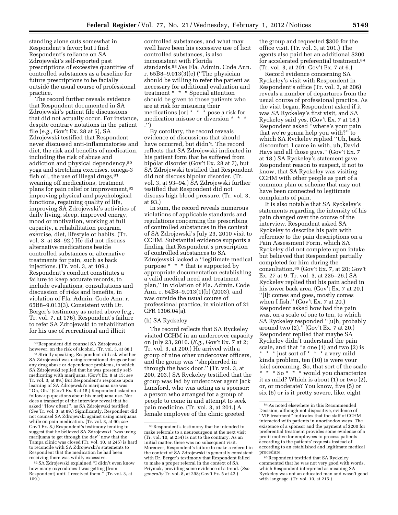standing alone cuts somewhat in Respondent's favor; but I find Respondent's reliance on SA Zdrojewski's self-reported past prescriptions of excessive quantities of controlled substances as a baseline for future prescriptions to be facially outside the usual course of professional practice.

The record further reveals evidence that Respondent documented in SA Zdrojewski's patient file discussions that did not actually occur. For instance, despite contrary notations in the patient file (*e.g.,* Gov't Ex. 28 at 5), SA Zdrojewski testified that Respondent never discussed anti-inflammatories and diet, the risk and benefits of medication, including the risk of abuse and addiction and physical dependency,80 yoga and stretching exercises, omega-3 fish oil, the use of illegal drugs, $81$ weaning off medications, treatment plans for pain relief or improvement,<sup>82</sup> improving physical and psychological functions, regaining quality of life, improving SA Zdrojewski's activities of daily living, sleep, improved energy, mood or motivation, working at full capacity, a rehabilitation program, exercise, diet, lifestyle or habits. (Tr. vol. 3, at 88–92.) He did not discuss alternative medications beside controlled substances or alternative treatments for pain, such as back injections. (Tr. vol. 3, at 109.) Respondent's conduct constitutes a failure to keep accurate records, to include evaluations, consultations and discussion of risks and benefits, in violation of Fla. Admin. Code Ann. r. 65B8–9.013(3). Consistent with Dr. Berger's testimony as noted above (*e.g.,*  Tr. vol. 7, at 176), Respondent's failure to refer SA Zdrojewski to rehabilitation for his use of recreational and illicit

82SA Zdrojewski explained ''I didn't even know how many oxycodones I was getting [from Respondent] until I received them.'' (Tr. vol. 3, at 109.)

controlled substances, and what may well have been his excessive use of licit controlled substances, is also inconsistent with Florida standards.83*See* Fla. Admin. Code Ann. r. 65B8–9.013(3)(e) (''The physician should be willing to refer the patient as necessary for additional evaluation and treatment \* \* \* Special attention should be given to those patients who are at risk for misusing their medications [or] \* \* \* pose a risk for medication misuse or diversion \* \* \* .'')

By corollary, the record reveals evidence of discussions that should have occurred, but didn't. The record reflects that SA Zdrojewski indicated in his patient form that he suffered from bipolar disorder (Gov't Ex. 28 at 7), but SA Zdrojewski testified that Respondent did not discuss bipolar disorder. (Tr. vol. 3, at 93–94.) SA Zdrojewski further testified that Respondent did not discuss high blood pressure. (Tr. vol. 3, at 93.)

In sum, the record reveals numerous violations of applicable standards and regulations concerning the prescribing of controlled substances in the context of SA Zdrojewski's July 23, 2010 visit to CCHM. Substantial evidence supports a finding that Respondent's prescription of controlled substances to SA Zdrojewski lacked a ''legitimate medical purpose \* \* \* that is supported by appropriate documentation establishing a valid medical need and treatment plan,'' in violation of Fla. Admin. Code Ann. r. 64B8–9.013(1)(b) (2003), and was outside the usual course of professional practice, in violation of 21 CFR 1306.04(a).

### (h) SA Ryckeley

The record reflects that SA Ryckeley visited CCHM in an undercover capacity on July 23, 2010. (*E.g.,* Gov't Ex. 7 at 2; Tr. vol. 3, at 200.) He arrived with a group of nine other undercover officers, and the group was ''shepherded in through the back door.'' (Tr. vol. 3, at 200, 203.) SA Ryckeley testified that the group was led by undercover agent Jack Lunsford, who was acting as a sponsor: a person who arranged for a group of people to come in and attempt to seek pain medicine. (Tr. vol. 3, at 201.) A female employee of the clinic greeted

the group and requested \$300 for the office visit. (Tr. vol. 3, at 201.) The agents also paid her an additional \$200 for accelerated preferential treatment.84 (Tr. vol. 3, at 201; Gov't Ex. 7 at 6.)

Record evidence concerning SA Ryckeley's visit with Respondent in Respondent's office (Tr. vol. 3, at 206) reveals a number of departures from the usual course of professional practice. As the visit began, Respondent asked if it was SA Ryckeley's first visit, and SA Ryckeley said yes. (Gov't Ex. 7 at 18.) Respondent asked ''where's your pain that we're gonna help you with?'' to which SA Ryckeley replied ''Uh, back discomfort. I came in with, uh, David Hays and all those guys.'' (Gov't Ex. 7 at 18.) SA Ryckeley's statement gave Respondent reason to suspect, if not to know, that SA Ryckeley was visiting CCHM with other people as part of a common plan or scheme that may not have been connected to legitimate complaints of pain.

It is also notable that SA Ryckeley's statements regarding the intensity of his pain changed over the course of the interview. Respondent asked SA Ryckeley to describe his pain with reference to the pain descriptions on a Pain Assessment Form, which SA Ryckeley did not complete upon intake but believed that Respondent partially completed for him during the consultation.85 (Gov't Ex. 7, at 20; Gov't Ex. 27 at 9; Tr. vol. 3, at 225–26.) SA Ryckeley replied that his pain ached in his lower back area. (Gov't Ex. 7 at 20.) ''[I]t comes and goes, mostly comes when I fish.'' (Gov't Ex. 7 at 20.) Respondent asked how bad the pain was, on a scale of one to ten, to which SA Ryckeley responded ''[u]h, probably around two (2).'' (Gov't Ex. 7 at 20.) Respondent replied that maybe SA Ryckeley didn't understand the pain scale, and that ''a one (1) and two (2) is \* \* \* just sort of \* \* \* a very mild kinda problem, ten (10) is were your [sic] screaming. So, that sort of the scale \* \* \* So \* \* \* would you characterize it as mild? Which is about (1) or two (2), or, or moderate? You know, five (5) or six (6) or is it pretty severe, like, eight

<sup>80</sup>Respondent did counsel SA Zdrojewski, however, on the risk of alcohol. (Tr. vol. 3, at 88.) 81Strictly speaking, Respondent did ask whether SA Zdrojewski was using recreational drugs or had any drug abuse or dependence problems, to which SA Zdrojewski replied that he was presently selfmedicating with marijuana. (Gov't Ex. 8 at 15; *see*  Tr. vol. 3, at 89.) But Respondent's response upon learning of SA Zdrojewski's marijuana use was ''Oh, Oh.'' (Gov't Ex. 8 at 15.) Respondent asked no follow-up questions about his marijuana use. Nor does a transcript of the interview reveal that he asked ''How often?'', as SA Zdrojewski testified. (*See* Tr. vol. 3, at 89.) Significantly, Respondent did not counsel SA Zdrojewski against using marijuana while on pain medication. (Tr. vol. 3, at 90; *see*  Gov't Ex. 8.) Respondent's testimony tending to suggest that he believed SA Zdrojewski ''was using marijuana to get through the day'' now that the Tampa clinic was closed (Tr. vol. 10, at 245) is hard to reconcile with SA Zdrojewski's statements to Respondent that the medication he had been receiving there was wildly excessive.

<sup>83</sup>Respondent's testimony that he intended to make referrals to a neurosurgeon at the next visit (Tr. vol. 10, at 254) is not to the contrary. As an initial matter, there was no subsequent visit. Moreover, Respondent's failure to make a referral in the context of SA Zdrojewski is generally consistent with Dr. Berger's testimony that Respondent failed to make a proper referral in the context of SA Priymak, providing some evidence of a trend. (*See generally* Tr. vol. 8, at 298; Gov't Ex. 5 at 42.)

<sup>84</sup>As noted elsewhere in this Recommended Decision, although not dispositive, evidence of ''VIP treatment'' indicates that the staff of CCHM interacted with patients in unorthodox ways. The existence of a sponsor and the payment of \$200 for preferential treatment provides some evidence of a profit motive for employees to process patients according to the patients' requests instead of according to an established and legitimate medical procedure.

<sup>85</sup>Respondent testified that SA Ryckeley commented that he was not very good with words, which Respondent interpreted as meaning SA Ryckeley was not an educated man and wasn't good with language. (Tr. vol. 10, at 215.)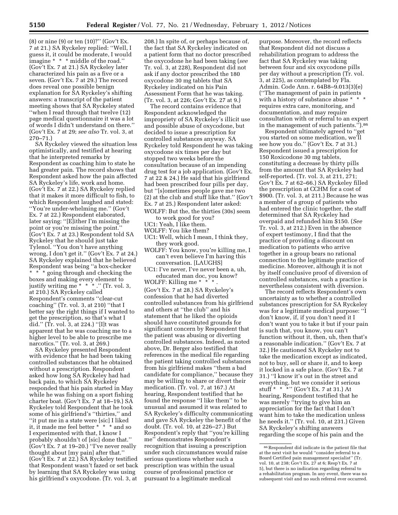(8) or nine (9) or ten (10)?'' (Gov't Ex. 7 at 21.) SA Ryckeley replied: ''Well, I guess it, it could be moderate, I would imagine \* \* \* middle of the road.'' (Gov't Ex. 7 at 21.) SA Ryckeley later characterized his pain as a five or a seven. (Gov't Ex. 7 at 29.) The record does reveal one possible benign explanation for SA Ryckeley's shifting answers: a transcript of the patient meeting shows that SA Ryckeley stated ''when I read through that twelve (12) page medical questionnaire it was a lot of words I didn't understand on there.'' (Gov't Ex. 7 at 29; *see also* Tr. vol. 3, at 270–71.)

SA Ryckeley viewed the situation less optimistically, and testified at hearing that he interpreted remarks by Respondent as coaching him to state he had greater pain. The record shows that Respondent asked how the pain affected SA Ryckeley's life, work and home. (Gov't Ex. 7 at 22.) SA Ryckeley replied that it makes it more difficult to fish, to which Respondent laughed and stated: ''You're under-whelming me.'' (Gov't Ex. 7 at 22.) Respondent elaborated, later saying: ''[E]ither I'm missing the point or you're missing the point.'' (Gov't Ex. 7 at 23.) Respondent told SA Ryckeley that he should just take Tylenol. ''You don't have anything wrong, I don't get it.'' (Gov't Ex. 7 at 24.) SA Ryckeley explained that he believed Respondent was being ''a box-checker \* \* \* going through and checking the boxes and making every element to justify writing me \* \* \* .'' (Tr. vol. 3, at 210.) SA Ryckeley called Respondent's comments ''clear-cut coaching'' (Tr. vol. 3, at 210) ''that I better say the right things if I wanted to get the prescription, so that's what I did.'' (Tr. vol. 3, at 224.) ''[I]t was apparent that he was coaching me to a higher level to be able to prescribe me narcotics.'' (Tr. vol. 3, at 269.)

SA Ryckeley presented Respondent with evidence that he had been taking controlled substances that he obtained without a prescription. Respondent asked how long SA Ryckeley had had back pain, to which SA Ryckeley responded that his pain started in May while he was fishing on a sport fishing charter boat. (Gov't Ex. 7 at 18–19.) SA Ryckeley told Respondent that he took some of his girlfriend's ''thirties,'' and ''it put me in a state were [sic] I liked it, it made me feel better \* \* \* and so I experimented with that, I know I probably shouldn't of [sic] done that.'' (Gov't Ex. 7 at 19–20.) ''I've never really thought about [my pain] after that.'' (Gov't Ex. 7 at 22.) SA Ryckeley testified that Respondent wasn't fazed or set back by learning that SA Ryckeley was using his girlfriend's oxycodone. (Tr. vol. 3, at

208.) In spite of, or perhaps because of, the fact that SA Ryckeley indicated on a patient form that no doctor prescribed the oxycodone he had been taking (*see*  Tr. vol. 3, at 228), Respondent did not ask if any doctor prescribed the 180 oxycodone 30 mg tablets that SA Ryckeley indicated on his Pain Assessment Form that he was taking. (Tr. vol. 3, at 226; Gov't Ex. 27 at 9.)

The record contains evidence that Respondent acknowledged the impropriety of SA Ryckeley's illicit use and possible abuse of oxycodone, but decided to issue a prescription for controlled substances anyway. SA Ryckeley told Respondent he was taking oxycodone six times per day but stopped two weeks before the consultation because of an impending drug test for a job application. (Gov't Ex. 7 at 22 & 24.) He said that his girlfriend had been prescribed four pills per day, but ''[s]ometimes people gave me two (2) at the club and stuff like that.'' (Gov't Ex. 7 at 25.) Respondent later asked:

WOLFF: But the, the thirties (30s) seem to work good for you?

- UC1: Yeah, I like them.
- WOLFF: You like them?
- UC1: Well, which I mean, I think they, they work good.
- WOLFF: You know, you're killing me, I can't even believe I'm having this conversation. [LAUGHS]
- UC1: I've never, I've never been a, uh, educated man doc, you know?

WOLFF: Killing me \* \* \* .

(Gov't Ex. 7 at 28.) SA Ryckeley's confession that he had diverted controlled substances from his girlfriend and others at ''the club'' and his statement that he liked the opioids should have constituted grounds for significant concern by Respondent that the patient was abusing or diverting controlled substances. Indeed, as noted above, Dr. Berger also testified that references in the medical file regarding the patient taking controlled substances from his girlfriend makes ''them a bad candidate for compliance,'' because they may be willing to share or divert their medication. (Tr. vol. 7, at 167.) At hearing, Respondent testified that he found the response ''I like them'' to be unusual and assumed it was related to SA Ryckeley's difficulty communicating and gave SA Ryckeley the benefit of the doubt. (Tr. vol. 10, at 226–27.) But Respondent's reply that ''you're killing me'' demonstrates Respondent's recognition that issuing a prescription under such circumstances would raise serious questions whether such a prescription was within the usual course of professional practice or pursuant to a legitimate medical

purpose. Moreover, the record reflects that Respondent did not discuss a rehabilitation program to address the fact that SA Ryckeley was taking between four and six oxycodone pills per day without a prescription (Tr. vol. 3, at 225), as contemplated by Fla. Admin. Code Ann. r. 64B8–9.013(3)(e) (''The management of pain in patients with a history of substance abuse \* \* \* requires extra care, monitoring, and documentation, and may require consultation with or referral to an expert in the management of such patients.'').86

Respondent ultimately agreed to ''get you started on some medication, we'll see how you do.'' (Gov't Ex. 7 at 31.) Respondent issued a prescription for 150 Roxicodone 30 mg tablets, constituting a decrease by thirty pills from the amount that SA Ryckeley had self-reported. (Tr. vol. 3, at 211, 271; Gov't Ex. 7 at 62–66.) SA Ryckeley filled the prescription at CCHM for a cost of \$900. (Tr. vol. 3, at 211.) Because he was a member of a group of patients who had entered the clinic together, the staff determined that SA Ryckeley had overpaid and refunded him \$150. (*See*  Tr. vol. 3, at 212.) Even in the absence of expert testimony, I find that the practice of providing a discount on medication to patients who arrive together in a group bears no rational connection to the legitimate practice of medicine. Moreover, although it is not by itself conclusive proof of diversion of controlled substances, such a practice is nevertheless consistent with diversion.

The record reflects Respondent's own uncertainty as to whether a controlled substances prescription for SA Ryckeley was for a legitimate medical purpose: ''I don't know, if, if you don't need it I don't want you to take it but if your pain is such that, you know, you can't function without it, then, uh, then that's a reasonable indication.'' (Gov't Ex. 7 at 32.) He cautioned SA Ryckeley not to take the medication except as indicated, not to buy, sell or share it, and to keep it locked in a safe place. (Gov't Ex. 7 at 31.) ''I know it's out in the street and everything, but we consider it serious stuff \* \* \*'' (Gov't Ex. 7 at 31.) At hearing, Respondent testified that he was merely "trying to give him an appreciation for the fact that I don't want him to take the medication unless he needs it.'' (Tr. vol. 10, at 231.) Given SA Ryckeley's shifting answers regarding the scope of his pain and the

<sup>86</sup>Respondent did indicate in the patient file that at the next visit he would ''consider referral to a Board Certified pain management specialist'' (Tr. vol. 10, at 238; Gov't Ex. 27 at 6; Resp't Ex. 7 at 5), but there is no indication regarding referral to a rehabilitation program. In any event, there was no subsequent visit and no such referral ever occurred.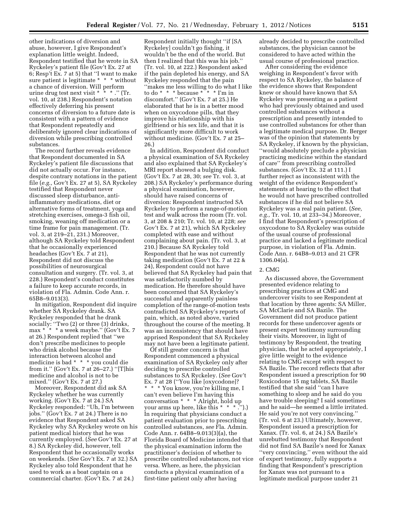other indications of diversion and abuse, however, I give Respondent's explanation little weight. Indeed, Respondent testified that he wrote in SA Ryckeley's patient file (Gov't Ex. 27 at 6; Resp't Ex. 7 at 5) that ''I want to make sure patient is legitimate \* \* \* without a chance of diversion. Will perform urine drug test next visit \* \* \* .'' (Tr. vol. 10, at 238.) Respondent's notation effectively deferring his present concerns of diversion to a future date is consistent with a pattern of evidence that Respondent repeatedly and deliberately ignored clear indications of diversion while prescribing controlled substances.

The record further reveals evidence that Respondent documented in SA Ryckeley's patient file discussions that did not actually occur. For instance, despite contrary notations in the patient file (*e.g.,* Gov't Ex. 27 at 5), SA Ryckeley testified that Respondent never discussed sleep disturbance, antiinflammatory medications, diet or alternative forms of treatment, yoga and stretching exercises, omega-3 fish oil, smoking, weaning off medication or a time frame for pain management. (Tr. vol. 3, at 219–21, 231.) Moreover, although SA Ryckeley told Respondent that he occasionally experienced headaches (Gov't Ex. 7 at 21), Respondent did not discuss the possibilities of neurosurgical consultation and surgery. (Tr. vol. 3, at 228.) Respondent's conduct constitutes a failure to keep accurate records, in violation of Fla. Admin. Code Ann. r. 65B8–9.013(3).

In mitigation, Respondent did inquire whether SA Ryckeley drank. SA Ryckeley responded that he drank socially: ''Two (2) or three (3) drinks, max \* \* \* a week maybe.'' (Gov't Ex. 7 at 26.) Respondent replied that ''we don't prescribe medicines to people who drink alcohol because the interaction between alcohol and medicine is bad \* \* \* you could die from it.'' (Gov't Ex. 7 at 26–27.) ''[T]his medicine and alcohol is not to be mixed.'' (Gov't Ex. 7 at 27.)

Moreover, Respondent did ask SA Ryckeley whether he was currently working. (Gov't Ex. 7 at 24.) SA Ryckeley responded: ''Uh, I'm between jobs.'' (Gov't Ex. 7 at 24.) There is no evidence that Respondent asked SA Ryckeley why SA Ryckeley wrote on his patient medical history that he was currently employed. (*See* Gov't Ex. 27 at 8.) SA Ryckeley did, however, tell Respondent that he occasionally works on weekends. (*See* Gov't Ex. 7 at 32.) SA Ryckeley also told Respondent that he used to work as a boat captain on a commercial charter. (Gov't Ex. 7 at 24.)

Respondent initially thought ''if [SA Ryckeley] couldn't go fishing, it wouldn't be the end of the world. But then I realized that this was his job.'' (Tr. vol. 10, at 222.) Respondent asked if the pain depleted his energy, and SA Ryckeley responded that the pain ''makes me less willing to do what I like to do \* \* \* because \* \* \* I'm in discomfort.'' (Gov't Ex. 7 at 25.) He elaborated that he is in a better mood when on oxycodone pills, that they improve his relationship with his girlfriend or his sex life, and that it is significantly more difficult to work without medicine. (Gov't Ex. 7 at 25– 26.)

In addition, Respondent did conduct a physical examination of SA Ryckeley and also explained that SA Ryckeley's MRI report showed a bulging disk. (Gov't Ex. 7 at 28, 30; *see* Tr. vol. 3, at 208.) SA Ryckeley's performance during a physical examination, however, should have raised concerns of diversion: Respondent instructed SA Ryckeley to perform a range-of-motion test and walk across the room (Tr. vol. 3, at 208 & 210; Tr. vol. 10, at 228; *see*  Gov't Ex. 7 at 21), which SA Ryckeley completed with ease and without complaining about pain. (Tr. vol. 3, at 210.) Because SA Ryckeley told Respondent that he was not currently taking medication (Gov't Ex. 7 at 22 & 24), Respondent could not have believed that SA Ryckeley had pain that was satisfactorily numbed by medication. He therefore should have been concerned that SA Ryckeley's successful and apparently painless completion of the range-of-motion tests contradicted SA Ryckeley's reports of pain, which, as noted above, varied throughout the course of the meeting. It was an inconsistency that should have apprised Respondent that SA Ryckeley may not have been a legitimate patient.

Of still greater concern is that Respondent commenced a physical examination of SA Ryckeley only after deciding to prescribe controlled substances to SA Ryckeley. (*See* Gov't Ex. 7 at 28 (''You like [oxycodone]? \* \* \* You know, you're killing me, I can't even believe I'm having this conversation \* \* \* \* Alright, hold up your arms up here, like this \* \* \* .'').) In requiring that physicians conduct a patient evaluation prior to prescribing controlled substances, *see* Fla. Admin. Code Ann. r. 64B8–9.013(3)(a), the Florida Board of Medicine intended that the physical examination inform the practitioner's decision of whether to prescribe controlled substances, not vice versa. Where, as here, the physician conducts a physical examination of a first-time patient only after having

already decided to prescribe controlled substances, the physician cannot be considered to have acted within the usual course of professional practice.

After considering the evidence weighing in Respondent's favor with respect to SA Ryckeley, the balance of the evidence shows that Respondent knew or should have known that SA Ryckeley was presenting as a patient who had previously obtained and used controlled substances without a prescription and presently intended to use controlled substances for other than a legitimate medical purpose. Dr. Berger was of the opinion that statements by SA Ryckeley, if known by the physician, ''would absolutely preclude a physician practicing medicine within the standard of care'' from prescribing controlled substances. (Gov't Ex. 32 at 111.) I further reject as inconsistent with the weight of the evidence Respondent's statements at hearing to the effect that he would not have prescribed controlled substances if he did not believe SA Ryckeley was a real pain patient. (*See, e.g.,* Tr. vol. 10, at 233–34.) Moreover, I find that Respondent's prescription of oxycodone to SA Ryckeley was outside of the usual course of professional practice and lacked a legitimate medical purpose, in violation of Fla. Admin. Code Ann. r. 64B8–9.013 and 21 CFR 1306.04(a).

#### 2. CMG

As discussed above, the Government presented evidence relating to prescribing practices at CMG and undercover visits to see Respondent at that location by three agents: SA Miller, SA McClarie and SA Bazile. The Government did not produce patient records for these undercover agents or present expert testimony surrounding their visits. Moreover, in light of testimony by Respondent, the treating physician, that he acted appropriately, I give little weight to the evidence relating to CMG except with respect to SA Bazile. The record reflects that after Respondent issued a prescription for 90 Roxicodone 15 mg tablets, SA Bazile testified that she said ''can I have something to sleep and he said do you have trouble sleeping? I said sometimes and he said—he seemed a little irritated. He said you're not very convincing.'' (Tr. vol. 6 at 23.) Ultimately, however, Respondent issued a prescription for Xanax. (Tr. vol. 6, at 24.) SA Bazile's unrebutted testimony that Respondent did not find SA Bazile's need for Xanax ''very convincing,'' even without the aid of expert testimony, fully supports a finding that Respondent's prescription for Xanax was not pursuant to a legitimate medical purpose under 21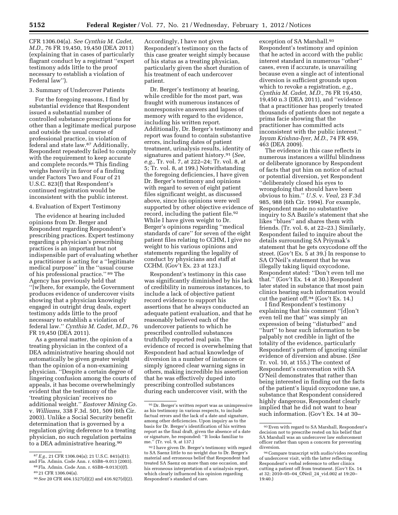CFR 1306.04(a). *See Cynthia M. Cadet, M.D.,* 76 FR 19,450, 19,450 (DEA 2011) (explaining that in cases of particularly flagrant conduct by a registrant ''expert testimony adds little to the proof necessary to establish a violation of Federal law'').

#### 3. Summary of Undercover Patients

For the foregoing reasons, I find by substantial evidence that Respondent issued a substantial number of controlled substance prescriptions for other than a legitimate medical purpose and outside the usual course of professional practice, in violation of federal and state law.87 Additionally, Respondent repeatedly failed to comply with the requirement to keep accurate and complete records.88 This finding weighs heavily in favor of a finding under Factors Two and Four of 21 U.S.C. 823(f) that Respondent's continued registration would be inconsistent with the public interest.

#### 4. Evaluation of Expert Testimony

The evidence at hearing included opinions from Dr. Berger and Respondent regarding Respondent's prescribing practices. Expert testimony regarding a physician's prescribing practices is an important but not indispensible part of evaluating whether a practitioner is acting for a ''legitimate medical purpose'' in the ''usual course of his professional practice.'' 89 The Agency has previously held that ''[w]here, for example, the Government produces evidence of undercover visits showing that a physician knowingly engaged in outright drug deals, expert testimony adds little to the proof necessary to establish a violation of federal law.'' *Cynthia M. Cadet, M.D.,* 76 FR 19,450 (DEA 2011).

As a general matter, the opinion of a treating physician in the context of a DEA administrative hearing should not automatically be given greater weight than the opinion of a non-examining physician. ''Despite a certain degree of lingering confusion among the courts of appeals, it has become overwhelmingly evident that the testimony of the 'treating physician' receives no additional weight.'' *Eastover Mining Co.*  v. *Williams,* 338 F.3d. 501, 509 (6th Cir. 2003). Unlike a Social Security benefit determination that is governed by a regulation giving deference to a treating physician, no such regulation pertains to a DEA administrative hearing.<sup>90</sup>

Accordingly, I have not given Respondent's testimony on the facts of this case greater weight simply because of his status as a treating physician, particularly given the short duration of his treatment of each undercover patient.

Dr. Berger's testimony at hearing, while credible for the most part, was fraught with numerous instances of nonresponsive answers and lapses of memory with regard to the evidence, including his written report. Additionally, Dr. Berger's testimony and report was found to contain substantive errors, including dates of patient treatment, urinalysis results, identity of signatures and patient history.91 (*See, e.g.,* Tr. vol. 7, at 222–24; Tr. vol. 8, at 5; Tr. vol. 8, at 199.) Notwithstanding the foregoing deficiencies, I have given Dr. Berger's testimony and opinions with regard to seven of eight patient files significant weight, as discussed above, since his opinions were well supported by other objective evidence of record, including the patient file.<sup>92</sup> While I have given weight to Dr. Berger's opinions regarding ''medical standards of care'' for seven of the eight patient files relating to CCHM, I give no weight to his various opinions and statements regarding the legality of conduct by physicians and staff at CCHM. (Gov't Ex. 23 at 123.)

Respondent's testimony in this case was significantly diminished by his lack of credibility in numerous instances, to include a lack of objective patient record evidence to support his assertions that he always conducted an adequate patient evaluation, and that he reasonably believed each of the undercover patients to which he prescribed controlled substances truthfully reported real pain. The evidence of record is overwhelming that Respondent had actual knowledge of diversion in a number of instances or simply ignored clear warning signs in others, making incredible his assertion that he was effectively duped into prescribing controlled substances during each undercover visit, with the

exception of SA Marshall.<sup>93</sup> Respondent's testimony and opinion that he acted in accord with the public interest standard in numerous ''other'' cases, even if accurate, is unavailing because even a single act of intentional diversion is sufficient grounds upon which to revoke a registration, *e.g., Cynthia M. Cadet, M.D.,* 76 FR 19,450, 19,450 n.3 (DEA 2011), and ''evidence that a practitioner has properly treated thousands of patients does not negate a prima facie showing that the practitioner has committed acts inconsistent with the public interest.'' *Jayam Krishna-Iyer, M.D.,* 74 FR 459, 463 (DEA 2009).

The evidence in this case reflects in numerous instances a willful blindness or deliberate ignorance by Respondent of facts that put him on notice of actual or potential diversion, yet Respondent ''deliberately closed his eyes to wrongdoing that should have been obvious to him.'' *U.S.* v. *Veal,* 23 F.3d 985, 988 (6th Cir. 1994). For example, Respondent made no substantive inquiry to SA Bazile's statement that she likes ''blues'' and shares them with friends. (Tr. vol. 6, at 22–23.) Similarly, Respondent failed to inquire about the details surrounding SA Priymak's statement that he gets oxycodone off the street. (Gov't Ex. 5 at 39.) In response to SA O'Neil's statement that he was illegally taking liquid oxycodone, Respondent stated: ''Don't even tell me that.'' (Gov't Ex. 14 at 30.) Respondent later stated in substance that most pain clinics hearing such information would cut the patient off.94 (Gov't Ex. 14.)

I find Respondent's testimony explaining that his comment ''[d]on't even tell me that'' was simply an expression of being ''disturbed'' and ''hurt'' to hear such information to be palpably not credible in light of the totality of the evidence, particularly Respondent's pattern of ignoring similar evidence of diversion and abuse. (*See*  Tr. vol. 10, at 155.) The context of Respondent's conversation with SA O'Neil demonstrates that rather than being interested in finding out the facts of the patient's liquid oxycodone use, a substance that Respondent considered highly dangerous, Respondent clearly implied that he did not want to hear such information. (Gov't Ex. 14 at 30–

<sup>87</sup>*E.g.,* 21 CFR 1306.04(a); 21 U.S.C. 841(a)(1); and Fla. Admin. Code Ann. r. 65B8–9.013 (2003). 88Fla. Admin. Code Ann. r. 65B8–9.013(3)(f).

<sup>89</sup> 21 CFR 1306.04(a).

<sup>90</sup>*See* 20 CFR 404.1527(d)(2) and 416.927(d)(2).

<sup>91</sup> Dr. Berger's written report was as unimpressive as his testimony in various respects, to include factual errors and the lack of a date and signature, among other deficiencies. Upon inquiry as to the basis for Dr. Berger's identification of his written report as the final draft, given the absence of a date or signature, he responded: ''It looks familiar to me.'' (Tr. vol. 9, at 137.)

<sup>92</sup> I have given Dr. Berger's testimony with regard to SA Saenz little to no weight due to Dr. Berger's material and erroneous belief that Respondent had treated SA Saenz on more than one occasion, and his erroneous interpretation of a urinalysis report, which clearly influenced his opinion regarding Respondent's standard of care.

<sup>93</sup>Even with regard to SA Marshall, Respondent's decision not to prescribe rested on his belief that SA Marshall was an undercover law enforcement officer rather than upon a concern for preventing diversion.

<sup>94</sup>Compare transcript with audio/video recording of undercover visit, with the latter reflecting Respondent's verbal reference to other clinics cutting a patient off from treatment. (Gov't Ex. 14 at 32; 2010–05–04\_ONeil\_24\_vid.002 at 19:20– 19:40.)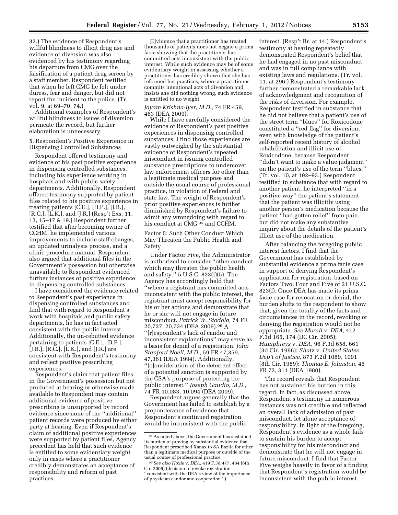32.) The evidence of Respondent's willful blindness to illicit drug use and evidence of diversion was also evidenced by his testimony regarding his departure from CMG over the falsification of a patient drug screen by a staff member. Respondent testified that when he left CMG he felt under duress, fear and danger, but did not report the incident to the police. (Tr. vol. 9, at 69–70, 74.)

Additional examples of Respondent's willful blindness to issues of diversion permeate the record, but further elaboration is unnecessary.

#### 5. Respondent's Positive Experience in Dispensing Controlled Substances

Respondent offered testimony and evidence of his past positive experience in dispensing controlled substances, including his experience working in hospitals and with public safety departments. Additionally, Respondent offered testimony supported by patient files related to his positive experience in treating patients [C.E.], [D.P.], [J.B.], [R.C.], [L.K.], and [J.R.] (Resp't Exs. 11, 13, 15–17 & 19.) Respondent further testified that after becoming owner of CCHM, he implemented various improvements to include staff changes, an updated urinalysis process, and a clinic procedure manual. Respondent also argued that additional files in the Government's possession but otherwise unavailable to Respondent evidenced further instances of positive experience in dispensing controlled substances.

I have considered the evidence related to Respondent's past experience in dispensing controlled substances and find that with regard to Respondent's work with hospitals and public safety departments, he has in fact acted consistent with the public interest. Additionally, the un-rebutted evidence pertaining to patients [C.E.], [D.P.], [J.B.], [R.C.], [L.K.], and [J.R.] are consistent with Respondent's testimony and reflect positive prescribing experiences.

Respondent's claim that patient files in the Government's possession but not produced at hearing or otherwise made available to Respondent may contain additional evidence of positive prescribing is unsupported by record evidence since none of the ''additional'' patient records were produced by either party at hearing. Even if Respondent's claim of additional positive experiences were supported by patient files, Agency precedent has held that such evidence is entitled to some evidentiary weight only in cases where a practitioner credibly demonstrates an acceptance of responsibility and reform of past practices.

[E]vidence that a practitioner has treated thousands of patients does not negate a prima facie showing that the practitioner has committed acts inconsistent with the public interest. While such evidence may be of some evidentiary weight in assessing whether a practitioner has credibly shown that she has reformed her practices, where a practitioner commits intentional acts of diversion and insists she did nothing wrong, such evidence is entitled to no weight.

## *Jayam Krishna-Iyer, M.D.,* 74 FR 459, 463 (DEA 2009).

While I have carefully considered the evidence of Respondent's past positive experiences in dispensing controlled substances, I find those experiences are vastly outweighed by the substantial evidence of Respondent's repeated misconduct in issuing controlled substance prescriptions to undercover law enforcement officers for other than a legitimate medical purpose and outside the usual course of professional practice, in violation of Federal and state law. The weight of Respondent's prior positive experiences is further diminished by Respondent's failure to admit any wrongdoing with regard to his conduct at CMG<sup>95</sup> and CCHM.

Factor 5: Such Other Conduct Which May Threaten the Public Health and Safety

Under Factor Five, the Administrator is authorized to consider ''other conduct which may threaten the public health and safety.'' 5 U.S.C. 823(f)(5). The Agency has accordingly held that ''where a registrant has committed acts inconsistent with the public interest, the registrant must accept responsibility for his or her actions and demonstrate that he or she will not engage in future misconduct. *Patrick W. Stodola,* 74 FR 20,727, 20,734 (DEA 2009).96 A ''[r]espondent's lack of candor and inconsistent explanations'' may serve as a basis for denial of a registration. *John Stanford Noell, M.D.,* 59 FR 47,359, 47,361 (DEA 1994). Additionally, ''[c]onsideration of the deterrent effect of a potential sanction is supported by the CSA's purpose of protecting the public interest.'' *Joseph Gaudio, M.D.,*  74 FR 10,083, 10,094 (DEA 2009).

Respondent argues generally that the Government has failed to establish by a preponderance of evidence that Respondent's continued registration would be inconsistent with the public

interest. (Resp't Br. at 14.) Respondent's testimony at hearing repeatedly demonstrated Respondent's belief that he had engaged in no past misconduct and was in full compliance with existing laws and regulations. (Tr. vol. 11, at 296.) Respondent's testimony further demonstrated a remarkable lack of acknowledgment and recognition of the risks of diversion. For example, Respondent testified in substance that he did not believe that a patient's use of the street term ''blues'' for Roxicodone constituted a ''red flag'' for diversion, even with knowledge of the patient's self-reported recent history of alcohol rehabilitation and illicit use of Roxicodone, because Respondent ''didn't want to make a value judgment'' on the patient's use of the term ''blues.'' (Tr. vol. 10, at 192–93.) Respondent testified in substance that with regard to another patient, he interpreted ''in a positive way'' the patient's statement that the patient was illicitly using another person's medication because the patient ''had gotten relief'' from pain, but did not make any substantive inquiry about the details of the patient's illicit use of the medication.

After balancing the foregoing public interest factors, I find that the Government has established by substantial evidence a prima facie case in support of denying Respondent's application for registration, based on Factors Two, Four and Five of 21 U.S.C. 823(f). Once DEA has made its prima facie case for revocation or denial, the burden shifts to the respondent to show that, given the totality of the facts and circumstances in the record, revoking or denying the registration would not be appropriate. *See Morall* v. *DEA,* 412 F.3d 165, 174 (DC Cir. 2005); *Humphreys* v. *DEA,* 96 F.3d 658, 661 (3d Cir. 1996); *Shatz* v. *United States Dep't of Justice,* 873 F.2d 1089, 1091 (8th Cir. 1989); *Thomas E. Johnston,* 45 FR 72, 311 (DEA 1980).

The record reveals that Respondent has not sustained his burden in this regard. In fact, as discussed above, Respondent's testimony in numerous instances was not credible and reflected an overall lack of admission of past misconduct, let alone acceptance of responsibility. In light of the foregoing, Respondent's evidence as a whole fails to sustain his burden to accept responsibility for his misconduct and demonstrate that he will not engage in future misconduct. I find that Factor Five weighs heavily in favor of a finding that Respondent's registration would be inconsistent with the public interest.

 $\rm ^{95}As$  noted above, the Government has sustained its burden of proving by substantial evidence that Respondent prescribed Xanax to SA Bazile for other than a legitimate medical purpose or outside of the usual course of professional practice.

<sup>96</sup>*See also Hoxie* v. *DEA,* 419 F.3d 477, 484 (6th Cir. 2005) (decision to revoke registration ''consistent with the DEA's view of the importance of physician candor and cooperation.'')